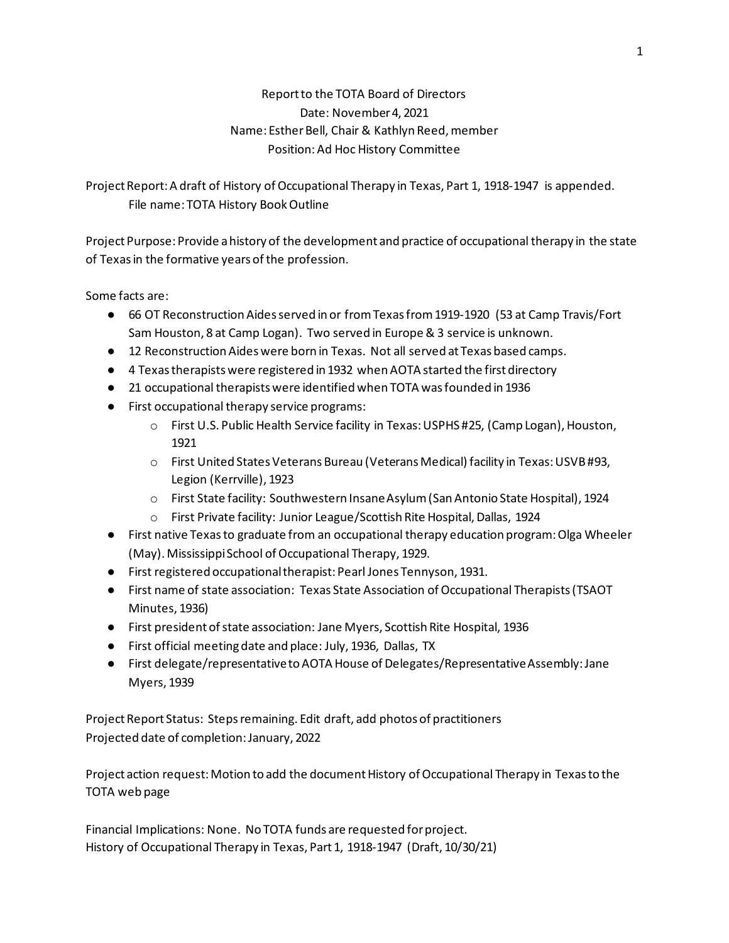# Report to the TOTA Board of Directors Date: November 4, 2021 Name: Esther Bell, Chair & Kathlyn Reed, member Position: Ad Hoc History Committee

Project Report: A draft of History of Occupational Therapy in Texas, Part 1, 1918-1947 is appended. File name: TOTA History Book Outline

Project Purpose: Provide a history of the development and practice of occupational therapy in the state of Texas in the formative years of the profession.

Some facts are:

- 66 OT Reconstruction Aides served in or from Texas from 1919-1920 (53 at Camp Travis/Fort Sam Houston, 8 at Camp Logan). Two served in Europe & 3 service is unknown.
- 12 Reconstruction Aides were born in Texas. Not all served at Texas based camps.
- 4 Texas therapists were registered in 1932 when AOTA started the first directory
- 21 occupational therapists were identified when TOTA was founded in 1936
- First occupational therapy service programs:
	- o First U.S. Public Health Service facility in Texas: USPHS #25, (Camp Logan), Houston, 1921
	- o First United States Veterans Bureau (Veterans Medical) facility in Texas: USVB #93, Legion (Kerrville), 1923
	- o First State facility: Southwestern Insane Asylum (San Antonio State Hospital), 1924
	- o First Private facility: Junior League/Scottish Rite Hospital, Dallas, 1924
- First native Texas to graduate from an occupational therapy education program: Olga Wheeler (May). Mississippi School of Occupational Therapy, 1929.
- First registered occupational therapist: Pearl Jones Tennyson, 1931.
- First name of state association: Texas State Association of Occupational Therapists (TSAOT Minutes, 1936)
- First president of state association: Jane Myers, Scottish Rite Hospital, 1936
- First official meeting date and place: July, 1936, Dallas, TX
- First delegate/representative to AOTA House of Delegates/Representative Assembly: Jane Myers, 1939

Project Report Status: Steps remaining. Edit draft, add photos of practitioners Projected date of completion: January, 2022

Project action request: Motion to add the document History of Occupational Therapy in Texas to the TOTA web page

Financial Implications: None. No TOTA funds are requested for project. History of Occupational Therapy in Texas, Part 1, 1918-1947 (Draft, 10/30/21)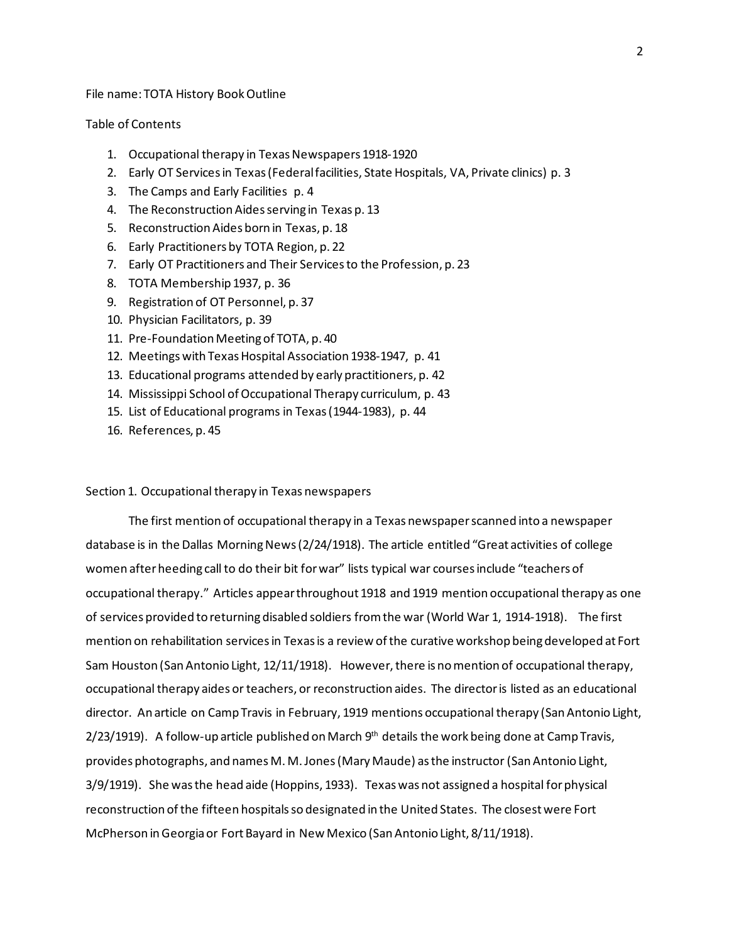File name: TOTA History Book Outline

## Table of Contents

- 1. Occupational therapy in Texas Newspapers 1918-1920
- 2. Early OT Services in Texas (Federal facilities, State Hospitals, VA, Private clinics) p. 3
- 3. The Camps and Early Facilities p. 4
- 4. The Reconstruction Aides serving in Texas p. 13
- 5. Reconstruction Aides born in Texas, p. 18
- 6. Early Practitioners by TOTA Region, p. 22
- 7. Early OT Practitioners and Their Services to the Profession, p. 23
- 8. TOTA Membership 1937, p. 36
- 9. Registration of OT Personnel, p. 37
- 10. Physician Facilitators, p. 39
- 11. Pre-Foundation Meeting of TOTA, p. 40
- 12. Meetings with Texas Hospital Association 1938-1947, p. 41
- 13. Educational programs attended by early practitioners, p. 42
- 14. Mississippi School of Occupational Therapy curriculum, p. 43
- 15. List of Educational programs in Texas (1944-1983), p. 44
- 16. References, p. 45

### Section 1. Occupational therapy in Texas newspapers

The first mention of occupational therapy in a Texas newspaper scanned into a newspaper database is in the Dallas Morning News (2/24/1918). The article entitled "Great activities of college women after heeding call to do their bit for war" lists typical war courses include "teachers of occupational therapy." Articles appear throughout 1918 and 1919 mention occupational therapy as one of services provided to returning disabled soldiers from the war (World War 1, 1914-1918). The first mention on rehabilitation services in Texas is a review of the curative workshop being developed at Fort Sam Houston (San Antonio Light, 12/11/1918). However, there is no mention of occupational therapy, occupational therapy aides or teachers, or reconstruction aides. The director is listed as an educational director. An article on Camp Travis in February, 1919 mentions occupational therapy (San Antonio Light,  $2/23/1919$ ). A follow-up article published on March  $9<sup>th</sup>$  details the work being done at Camp Travis, provides photographs, and names M. M. Jones (Mary Maude) as the instructor (San Antonio Light, 3/9/1919). She was the head aide (Hoppins, 1933). Texas was not assigned a hospital for physical reconstruction of the fifteen hospitals so designated in the United States. The closest were Fort McPherson in Georgia or Fort Bayard in New Mexico (San Antonio Light, 8/11/1918).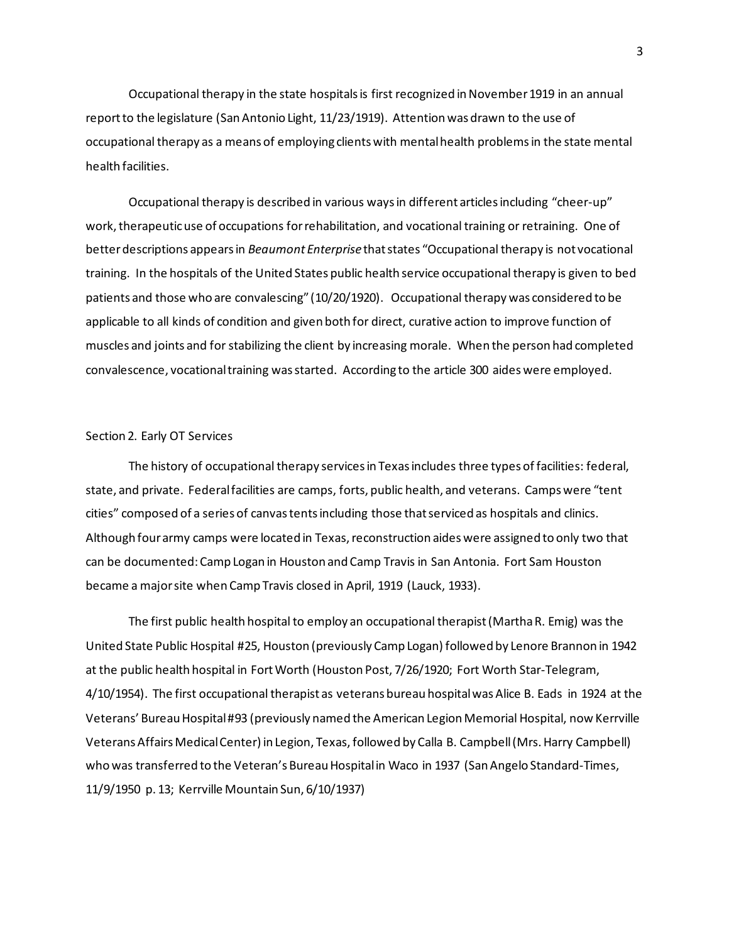Occupational therapy in the state hospitals is first recognized in November 1919 in an annual reportto the legislature (San Antonio Light, 11/23/1919). Attention was drawn to the use of occupational therapy as a means of employing clients with mental health problems in the state mental health facilities.

Occupational therapy is described in various waysin different articles including "cheer-up" work, therapeutic use of occupations for rehabilitation, and vocational training or retraining. One of better descriptions appears in *Beaumont Enterprise* that states "Occupational therapy is not vocational training. In the hospitals of the United States public health service occupational therapy is given to bed patients and those who are convalescing" (10/20/1920). Occupational therapy was considered to be applicable to all kinds of condition and given both for direct, curative action to improve function of muscles and joints and for stabilizing the client by increasing morale. When the person had completed convalescence, vocational training was started. According to the article 300 aides were employed.

#### Section 2. Early OT Services

The history of occupational therapy services in Texas includes three types of facilities: federal, state, and private. Federal facilities are camps, forts, public health, and veterans. Camps were "tent cities" composed of a series of canvas tents including those that serviced as hospitals and clinics. Although four army camps were located in Texas, reconstruction aides were assigned to only two that can be documented: Camp Logan in Houston and Camp Travis in San Antonia. Fort Sam Houston became a major site when Camp Travis closed in April, 1919 (Lauck, 1933).

The first public health hospital to employ an occupational therapist (Martha R. Emig) was the United State Public Hospital #25, Houston (previously Camp Logan) followed by Lenore Brannon in 1942 at the public health hospital in Fort Worth (Houston Post, 7/26/1920; Fort Worth Star-Telegram, 4/10/1954). The first occupational therapist as veterans bureau hospital was Alice B. Eads in 1924 at the Veterans' Bureau Hospital #93 (previously named the American Legion Memorial Hospital, now Kerrville Veterans Affairs Medical Center) in Legion, Texas, followed by Calla B. Campbell (Mrs. Harry Campbell) who was transferred to the Veteran's Bureau Hospital in Waco in 1937 (San Angelo Standard-Times, 11/9/1950 p. 13; Kerrville Mountain Sun, 6/10/1937)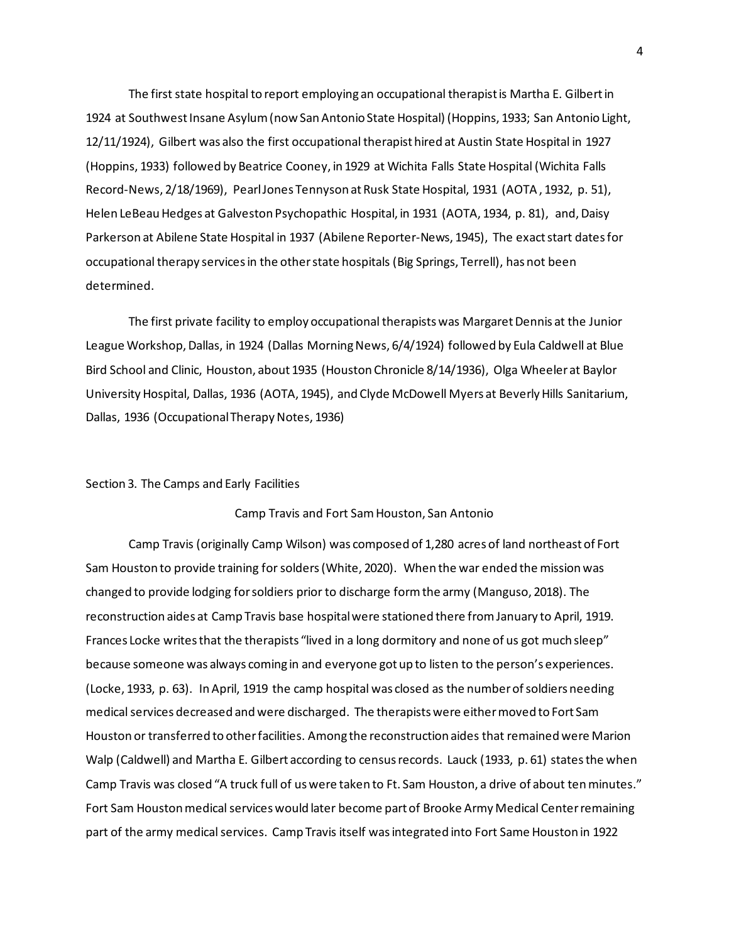The first state hospital to report employing an occupational therapist is Martha E. Gilbert in 1924 at Southwest Insane Asylum (now San Antonio State Hospital) (Hoppins, 1933; San Antonio Light, 12/11/1924), Gilbert was also the first occupational therapist hired at Austin State Hospital in 1927 (Hoppins, 1933) followed by Beatrice Cooney, in 1929 at Wichita Falls State Hospital (Wichita Falls Record-News, 2/18/1969), Pearl Jones Tennyson at Rusk State Hospital, 1931 (AOTA , 1932, p. 51), Helen LeBeau Hedges at Galveston Psychopathic Hospital, in 1931 (AOTA, 1934, p. 81), and, Daisy Parkerson at Abilene State Hospital in 1937 (Abilene Reporter-News, 1945), The exact start dates for occupational therapy services in the other state hospitals (Big Springs, Terrell), has not been determined.

The first private facility to employ occupational therapists was Margaret Dennis at the Junior League Workshop, Dallas, in 1924 (Dallas Morning News, 6/4/1924) followed by Eula Caldwell at Blue Bird School and Clinic, Houston, about 1935 (Houston Chronicle 8/14/1936), Olga Wheeler at Baylor University Hospital, Dallas, 1936 (AOTA, 1945), and Clyde McDowell Myers at Beverly Hills Sanitarium, Dallas, 1936 (Occupational Therapy Notes, 1936)

### Section 3. The Camps and Early Facilities

## Camp Travis and Fort Sam Houston, San Antonio

Camp Travis (originally Camp Wilson) was composed of 1,280 acres of land northeast of Fort Sam Houston to provide training for solders (White, 2020). When the war ended the mission was changed to provide lodging for soldiers prior to discharge form the army (Manguso, 2018). The reconstruction aides at Camp Travis base hospital were stationed there from January to April, 1919. Frances Locke writes that the therapists "lived in a long dormitory and none of us got much sleep" because someone was always coming in and everyone got up to listen to the person's experiences. (Locke, 1933, p. 63). In April, 1919 the camp hospital was closed as the number of soldiers needing medical services decreased and were discharged. The therapists were either moved to Fort Sam Houston or transferred to other facilities. Among the reconstruction aides that remained were Marion Walp (Caldwell) and Martha E. Gilbert according to census records. Lauck (1933, p. 61) states the when Camp Travis was closed "A truck full of us were taken to Ft. Sam Houston, a drive of about ten minutes." Fort Sam Houston medical services would later become part of Brooke Army Medical Center remaining part of the army medical services. Camp Travis itself was integrated into Fort Same Houston in 1922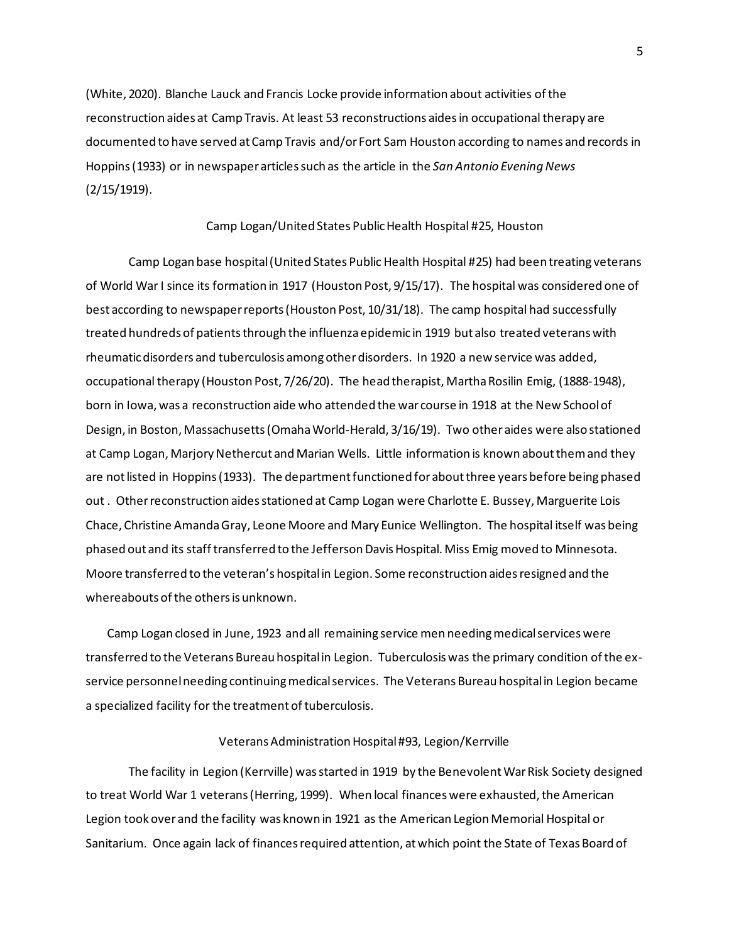(White, 2020). Blanche Lauck and Francis Locke provide information about activities of the reconstruction aides at Camp Travis. At least 53 reconstructions aides in occupational therapy are documented to have served at Camp Travis and/or Fort Sam Houston according to names and records in Hoppins (1933) or in newspaper articles such as the article in the *San Antonio Evening News* (2/15/1919).

#### Camp Logan/United States Public Health Hospital #25, Houston

Camp Logan base hospital (United States Public Health Hospital #25) had been treating veterans of World War I since its formation in 1917 (Houston Post, 9/15/17). The hospital was considered one of best according to newspaper reports (Houston Post, 10/31/18). The camp hospital had successfully treated hundreds of patients through the influenza epidemic in 1919 but also treated veterans with rheumatic disorders and tuberculosis among otherdisorders. In 1920 a new service was added, occupational therapy (Houston Post, 7/26/20). The head therapist, Martha Rosilin Emig, (1888-1948), born in Iowa, was a reconstruction aide who attended the war course in 1918 at the New School of Design, in Boston, Massachusetts (Omaha World-Herald, 3/16/19). Two other aides were also stationed at Camp Logan, Marjory Nethercut and Marian Wells. Little information is known about them and they are not listed in Hoppins (1933). The department functioned for about three years before being phased out . Other reconstruction aides stationed at Camp Logan were Charlotte E. Bussey, Marguerite Lois Chace, Christine Amanda Gray, Leone Moore and Mary Eunice Wellington. The hospital itself was being phased out and its staff transferred to the Jefferson Davis Hospital. Miss Emig moved to Minnesota. Moore transferred to the veteran's hospital in Legion. Some reconstruction aides resigned and the whereabouts of the others is unknown.

Camp Logan closed in June, 1923 and all remaining service men needing medical services were transferred to the Veterans Bureau hospital in Legion. Tuberculosis was the primary condition of the exservice personnel needing continuing medical services. The Veterans Bureau hospital in Legion became a specialized facility for the treatment of tuberculosis.

### Veterans Administration Hospital #93, Legion/Kerrville

The facility in Legion (Kerrville) was started in 1919 by the Benevolent War Risk Society designed to treat World War 1 veterans (Herring, 1999). When local finances were exhausted, the American Legion took over and the facility was known in 1921 as the American Legion Memorial Hospital or Sanitarium. Once again lack of finances required attention, at which point the State of Texas Board of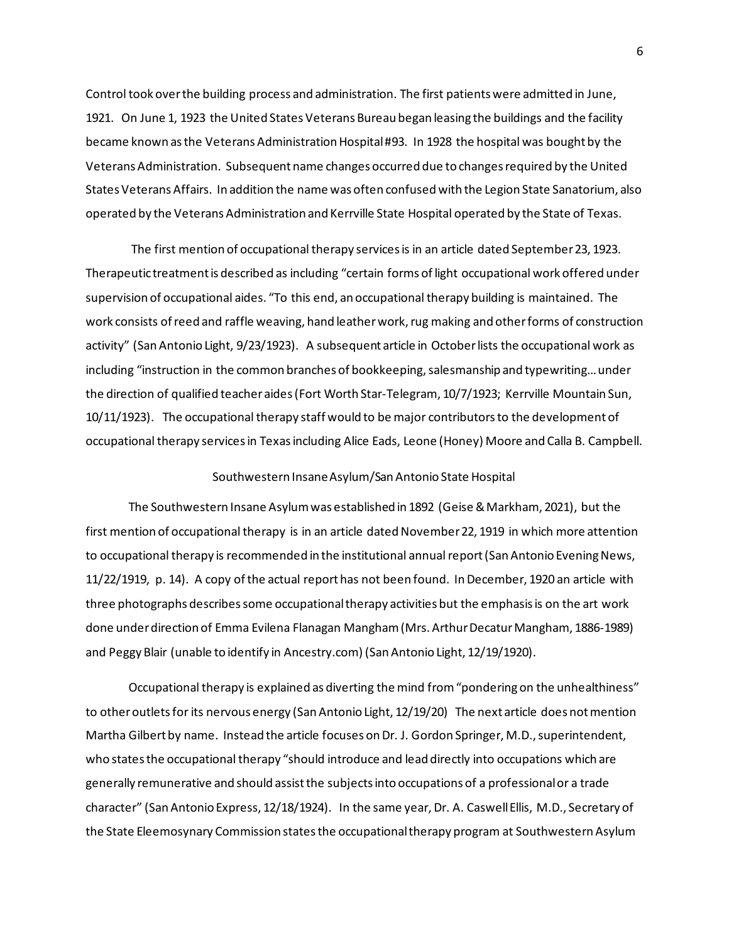Control took over the building process and administration. The first patients were admitted in June, 1921. On June 1, 1923 the United States Veterans Bureau began leasing the buildings and the facility became known as the Veterans Administration Hospital #93. In 1928 the hospital was bought by the Veterans Administration. Subsequent name changes occurred due to changes required by the United States Veterans Affairs. In addition the name was often confused with the Legion State Sanatorium, also operated by the Veterans Administration and Kerrville State Hospital operated by the State of Texas.

The first mention of occupational therapy services is in an article dated September 23, 1923. Therapeutic treatment is described as including "certain forms of light occupational work offered under supervision of occupational aides. "To this end, an occupational therapy building is maintained. The work consists of reed and raffle weaving, hand leather work, rug making and other forms of construction activity" (San Antonio Light, 9/23/1923). A subsequent article in October lists the occupational work as including "instruction in the common branches of bookkeeping, salesmanship and typewriting… under the direction of qualified teacher aides (Fort Worth Star-Telegram, 10/7/1923; Kerrville Mountain Sun, 10/11/1923). The occupational therapy staff would to be major contributors to the development of occupational therapy services in Texas including Alice Eads, Leone (Honey) Moore and Calla B. Campbell.

### Southwestern Insane Asylum/San Antonio State Hospital

The Southwestern Insane Asylum was established in 1892 (Geise & Markham, 2021), but the first mention of occupational therapy is in an article dated November 22, 1919 in which more attention to occupational therapy is recommended in the institutional annual report (San Antonio Evening News, 11/22/1919, p. 14). A copy of the actual report has not been found. In December, 1920 an article with three photographs describes some occupational therapy activities but the emphasis is on the art work done under direction of Emma Evilena Flanagan Mangham (Mrs. Arthur Decatur Mangham, 1886-1989) and Peggy Blair (unable to identify in Ancestry.com) (San Antonio Light, 12/19/1920).

Occupational therapy is explained as diverting the mind from "pondering on the unhealthiness" to other outlets for its nervous energy (San Antonio Light, 12/19/20) The next article does not mention Martha Gilbert by name. Instead the article focuses on Dr. J. Gordon Springer, M.D., superintendent, who states the occupational therapy "should introduce and lead directly into occupations which are generally remunerative and should assist the subjects into occupations of a professional or a trade character" (San Antonio Express, 12/18/1924). In the same year, Dr. A. Caswell Ellis, M.D., Secretary of the State Eleemosynary Commission states the occupational therapy program at Southwestern Asylum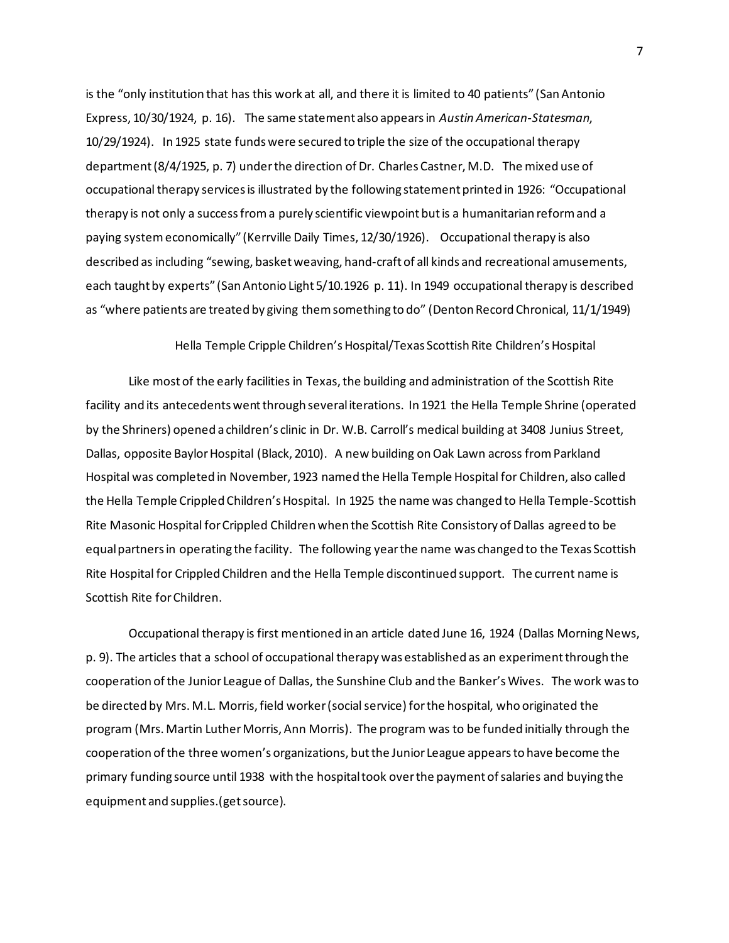is the "only institution that has this work at all, and there it is limited to 40 patients" (San Antonio Express, 10/30/1924, p. 16). The same statement also appears in *Austin American-Statesman*, 10/29/1924). In 1925 state funds were secured to triple the size of the occupational therapy department (8/4/1925, p. 7) under the direction of Dr. Charles Castner, M.D. The mixed use of occupational therapy services is illustrated by the following statement printed in 1926: "Occupational therapy is not only a success from a purely scientific viewpoint but is a humanitarian reform and a paying system economically" (Kerrville Daily Times, 12/30/1926). Occupational therapy is also described as including "sewing, basket weaving, hand-craft of all kinds and recreational amusements, each taught by experts" (San Antonio Light 5/10.1926 p. 11). In 1949 occupational therapy is described as "where patients are treated by giving them something to do" (Denton Record Chronical, 11/1/1949)

#### Hella Temple Cripple Children's Hospital/Texas Scottish Rite Children's Hospital

Like most of the early facilities in Texas, the building and administration of the Scottish Rite facility and its antecedents went through several iterations. In 1921 the Hella Temple Shrine (operated by the Shriners) opened a children's clinic in Dr. W.B. Carroll's medical building at 3408 Junius Street, Dallas, opposite Baylor Hospital (Black, 2010). A new building on Oak Lawn across from Parkland Hospital was completed in November, 1923 named the Hella Temple Hospital for Children, also called the Hella Temple Crippled Children's Hospital. In 1925 the name was changed to Hella Temple-Scottish Rite Masonic Hospital for Crippled Children when the Scottish Rite Consistory of Dallas agreed to be equal partners in operating the facility. The following year the name was changed to the Texas Scottish Rite Hospital for Crippled Children and the Hella Temple discontinued support. The current name is Scottish Rite for Children.

Occupational therapy is first mentioned in an article dated June 16, 1924 (Dallas Morning News, p. 9). The articles that a school of occupational therapy was established as an experiment through the cooperation of the Junior League of Dallas, the Sunshine Club and the Banker's Wives. The work was to be directed by Mrs. M.L. Morris, field worker (social service) for the hospital, who originated the program (Mrs. Martin Luther Morris, Ann Morris). The program was to be funded initially through the cooperation of the three women's organizations, but the Junior League appears to have become the primary funding source until 1938 with the hospital took over the payment of salaries and buying the equipment and supplies.(get source).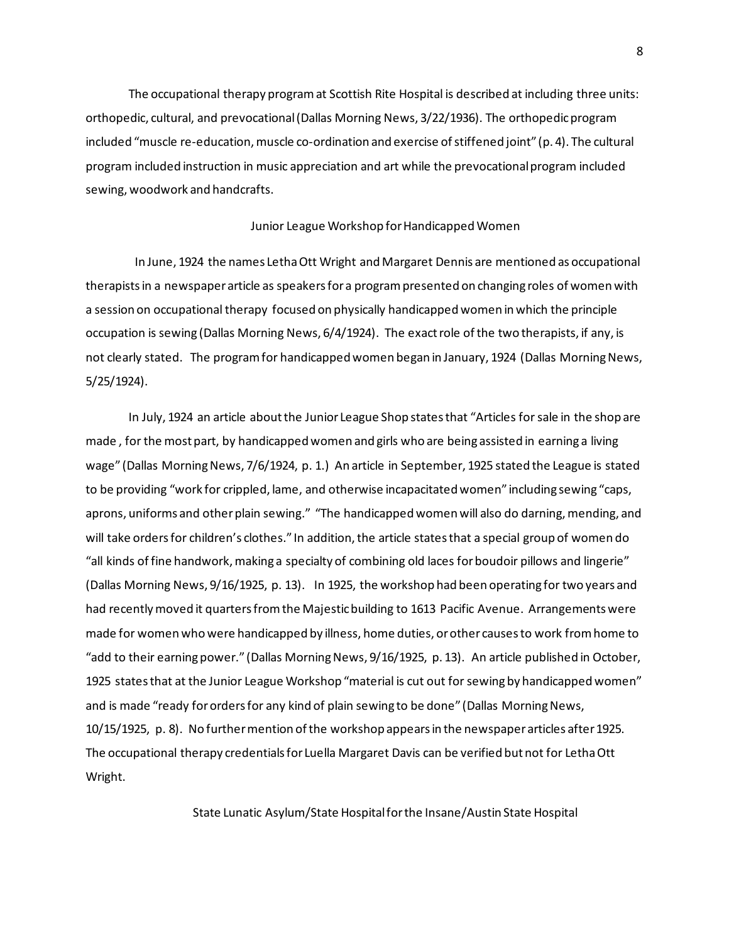The occupational therapy program at Scottish Rite Hospital is described at including three units: orthopedic, cultural, and prevocational (Dallas Morning News, 3/22/1936). The orthopedic program included "muscle re-education, muscle co-ordination and exercise of stiffened joint" (p. 4). The cultural program included instruction in music appreciation and art while the prevocational program included sewing, woodwork and handcrafts.

#### Junior League Workshop for Handicapped Women

 In June, 1924 the names Letha Ott Wright and Margaret Dennis are mentioned as occupational therapists in a newspaper article as speakers for a program presented on changing roles of women with a session on occupational therapy focused on physically handicapped women in which the principle occupation is sewing (Dallas Morning News, 6/4/1924). The exact role of the two therapists, if any, is not clearly stated. The program for handicapped women began in January, 1924 (Dallas Morning News, 5/25/1924).

In July, 1924 an article about the Junior League Shop states that "Articles for sale in the shop are made , for the most part, by handicapped women and girls who are being assisted in earning a living wage" (Dallas Morning News, 7/6/1924, p. 1.) An article in September, 1925 stated the League is stated to be providing "work for crippled, lame, and otherwise incapacitated women" including sewing "caps, aprons, uniforms and other plain sewing." "The handicapped women will also do darning, mending, and will take orders for children's clothes." In addition, the article states that a special group of women do "all kinds of fine handwork, making a specialty of combining old laces for boudoir pillows and lingerie" (Dallas Morning News, 9/16/1925, p. 13). In 1925, the workshop had been operating for two years and had recentlymoved it quarters from the Majestic building to 1613 Pacific Avenue. Arrangements were made for women who were handicapped by illness, home duties, or other causes to work from home to "add to their earning power." (Dallas Morning News, 9/16/1925, p. 13). An article published in October, 1925 states that at the Junior League Workshop "material is cut out for sewing by handicapped women" and is made "ready for orders for any kind of plain sewing to be done" (Dallas Morning News, 10/15/1925, p. 8). No further mention of the workshop appears in the newspaper articles after 1925. The occupational therapy credentials for Luella Margaret Davis can be verified but not for Letha Ott Wright.

State Lunatic Asylum/State Hospital for the Insane/Austin State Hospital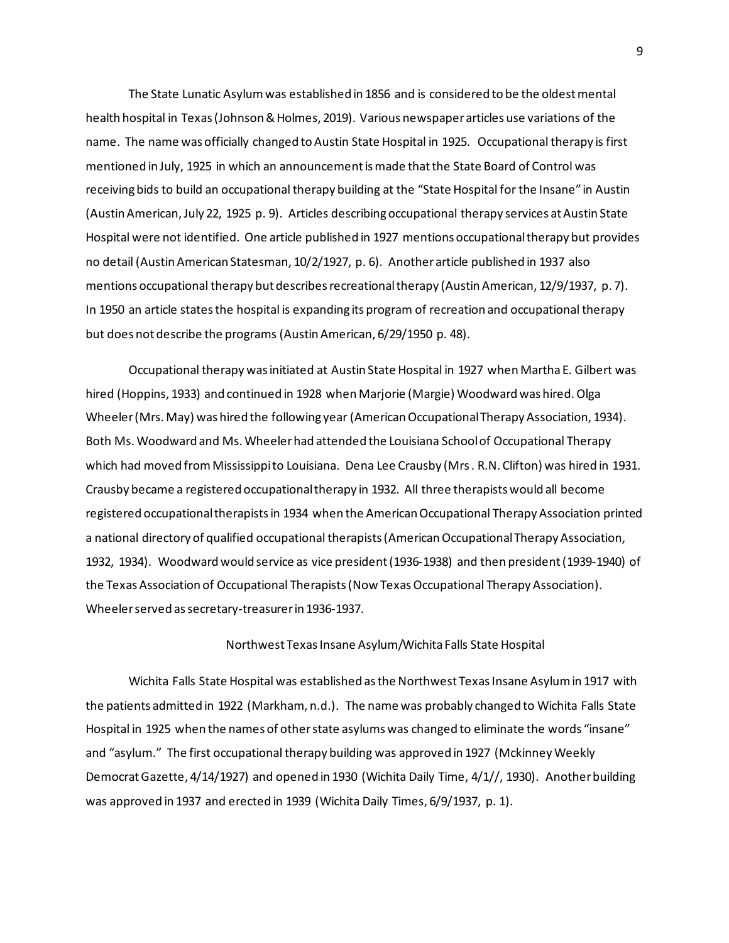The State Lunatic Asylum was established in 1856 and is considered to be the oldest mental health hospital in Texas (Johnson & Holmes, 2019). Various newspaper articles use variations of the name. The name was officially changed to Austin State Hospital in 1925. Occupational therapy is first mentioned in July, 1925 in which an announcement is made that the State Board of Control was receiving bids to build an occupational therapy building at the "State Hospital for the Insane" in Austin (Austin American, July 22, 1925 p. 9). Articles describing occupational therapy services at Austin State Hospital were not identified. One article published in 1927 mentions occupational therapy but provides no detail (Austin American Statesman, 10/2/1927, p. 6). Another article published in 1937 also mentions occupational therapy but describes recreational therapy (Austin American, 12/9/1937, p. 7). In 1950 an article states the hospital is expanding its program of recreation and occupational therapy but does not describe the programs (Austin American, 6/29/1950 p. 48).

Occupational therapy was initiated at Austin State Hospital in 1927 when Martha E. Gilbert was hired (Hoppins, 1933) and continued in 1928 when Marjorie (Margie) Woodward was hired. Olga Wheeler (Mrs. May) was hired the following year (American Occupational Therapy Association, 1934). Both Ms. Woodward and Ms. Wheeler had attended the Louisiana School of Occupational Therapy which had moved from Mississippi to Louisiana. Dena Lee Crausby (Mrs. R.N. Clifton) was hired in 1931. Crausby became a registered occupational therapy in 1932. All three therapists would all become registered occupational therapists in 1934 when the American Occupational Therapy Association printed a national directory of qualified occupational therapists (American Occupational Therapy Association, 1932, 1934). Woodward would service as vice president (1936-1938) and then president (1939-1940) of the Texas Association of Occupational Therapists (Now Texas Occupational Therapy Association). Wheeler served as secretary-treasurer in 1936-1937.

## Northwest Texas Insane Asylum/Wichita Falls State Hospital

Wichita Falls State Hospital was established as the Northwest Texas Insane Asylum in 1917 with the patients admitted in 1922 (Markham, n.d.). The name was probably changed to Wichita Falls State Hospital in 1925 when the names of other state asylums was changed to eliminate the words "insane" and "asylum." The first occupational therapy building was approved in 1927 (Mckinney Weekly Democrat Gazette, 4/14/1927) and opened in 1930 (Wichita Daily Time, 4/1//, 1930). Another building was approved in 1937 and erected in 1939 (Wichita Daily Times, 6/9/1937, p. 1).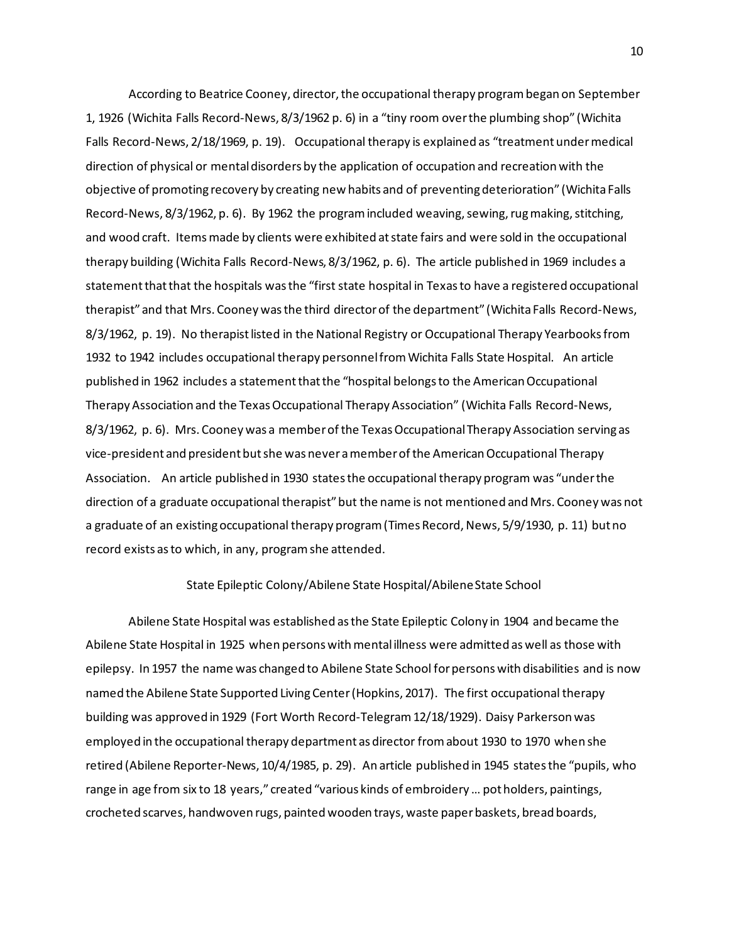According to Beatrice Cooney, director, the occupational therapy program began on September 1, 1926 (Wichita Falls Record-News, 8/3/1962 p. 6) in a "tiny room over the plumbing shop" (Wichita Falls Record-News, 2/18/1969, p. 19). Occupational therapy is explained as "treatment under medical direction of physical or mental disorders by the application of occupation and recreation with the objective of promoting recovery by creating new habits and of preventing deterioration" (Wichita Falls Record-News, 8/3/1962, p. 6). By 1962 the program included weaving, sewing, rug making, stitching, and wood craft. Items made by clients were exhibited at state fairs and were sold in the occupational therapy building (Wichita Falls Record-News, 8/3/1962, p. 6). The article published in 1969 includes a statement that that the hospitals was the "first state hospital in Texas to have a registered occupational therapist" and that Mrs. Cooney was the third director of the department" (Wichita Falls Record-News, 8/3/1962, p. 19). No therapist listed in the National Registry or Occupational Therapy Yearbooks from 1932 to 1942 includes occupational therapy personnel from Wichita Falls State Hospital. An article published in 1962 includes a statement that the "hospital belongs to the American Occupational Therapy Association and the Texas Occupational Therapy Association" (Wichita Falls Record-News, 8/3/1962, p. 6). Mrs. Cooney was a member of the Texas Occupational Therapy Association serving as vice-president and president but she was never a member of the American Occupational Therapy Association. An article published in 1930 states the occupational therapy program was "under the direction of a graduate occupational therapist" but the name is not mentioned and Mrs. Cooney was not a graduate of an existing occupational therapy program (Times Record, News, 5/9/1930, p. 11) but no record exists as to which, in any, program she attended.

#### State Epileptic Colony/Abilene State Hospital/Abilene State School

Abilene State Hospital was established as the State Epileptic Colony in 1904 and became the Abilene State Hospital in 1925 when persons with mental illness were admitted as well as those with epilepsy. In 1957 the name was changed to Abilene State School for persons with disabilities and is now named the Abilene State Supported Living Center (Hopkins, 2017). The first occupational therapy building was approved in 1929 (Fort Worth Record-Telegram 12/18/1929). Daisy Parkerson was employed in the occupational therapy department as director from about 1930 to 1970 when she retired (Abilene Reporter-News, 10/4/1985, p. 29). An article published in 1945 states the "pupils, who range in age from six to 18 years," created "various kinds of embroidery ... pot holders, paintings, crocheted scarves, handwoven rugs, painted wooden trays, waste paper baskets, bread boards,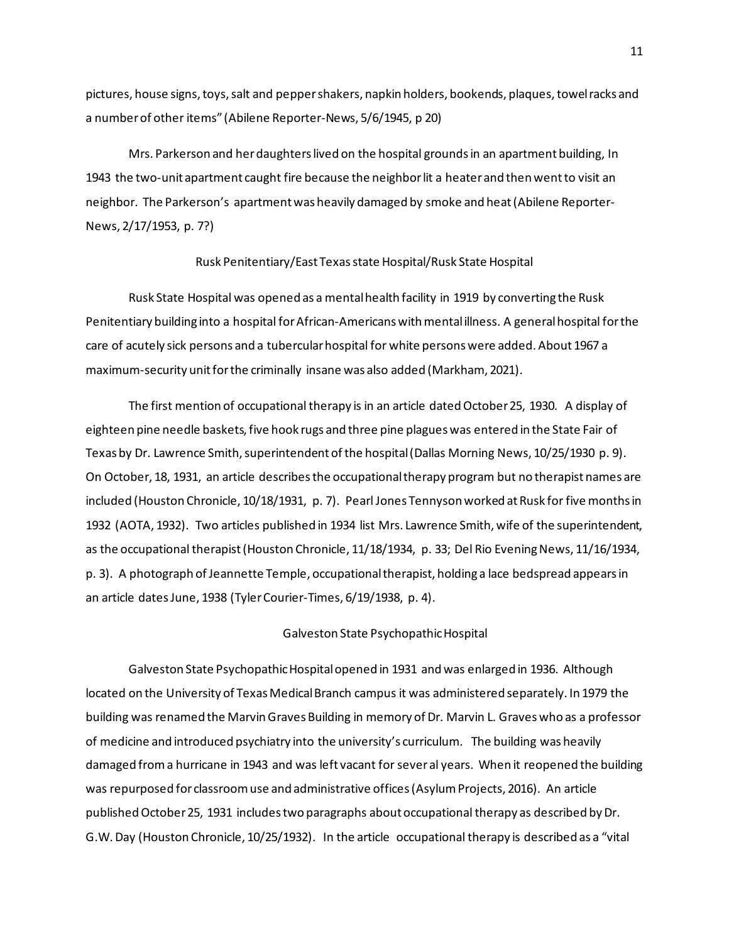pictures, house signs, toys, salt and pepper shakers, napkin holders, bookends, plaques, towel racks and a number of other items" (Abilene Reporter-News, 5/6/1945, p 20)

Mrs. Parkerson and her daughters lived on the hospital grounds in an apartment building, In 1943 the two-unit apartment caught fire because the neighbor lit a heater and then went to visit an neighbor. The Parkerson's apartment was heavily damaged by smoke and heat (Abilene Reporter-News, 2/17/1953, p. 7?)

## Rusk Penitentiary/East Texas state Hospital/Rusk State Hospital

Rusk State Hospital was opened as a mental health facility in 1919 by converting the Rusk Penitentiary building into a hospital for African-Americans with mental illness. A general hospital for the care of acutely sick persons and a tubercular hospital for white persons were added. About 1967 a maximum-security unit for the criminally insane was also added (Markham, 2021).

The first mention of occupational therapy is in an article dated October 25, 1930. A display of eighteen pine needle baskets, five hook rugs and three pine plagues was entered in the State Fair of Texas by Dr. Lawrence Smith, superintendent of the hospital (Dallas Morning News, 10/25/1930 p. 9). On October, 18, 1931, an article describes the occupational therapy program but no therapist names are included (Houston Chronicle, 10/18/1931, p. 7). Pearl Jones Tennyson worked at Rusk for five months in 1932 (AOTA, 1932). Two articles published in 1934 list Mrs. Lawrence Smith, wife of the superintendent, as the occupational therapist (Houston Chronicle, 11/18/1934, p. 33; Del Rio Evening News, 11/16/1934, p. 3). A photograph of Jeannette Temple, occupational therapist, holding a lace bedspread appears in an article dates June, 1938 (Tyler Courier-Times, 6/19/1938, p. 4).

#### Galveston State Psychopathic Hospital

Galveston State Psychopathic Hospital opened in 1931 and was enlarged in 1936. Although located on the University of Texas Medical Branch campus it was administered separately. In 1979 the building was renamed the Marvin Graves Building in memory of Dr. Marvin L. Graves who as a professor of medicine and introduced psychiatry into the university's curriculum. The building was heavily damaged from a hurricane in 1943 and was left vacant for sever al years. When it reopened the building was repurposed for classroom use and administrative offices (Asylum Projects, 2016). An article published October 25, 1931 includes two paragraphs about occupational therapy as described by Dr. G.W. Day (Houston Chronicle, 10/25/1932). In the article occupational therapy is described as a "vital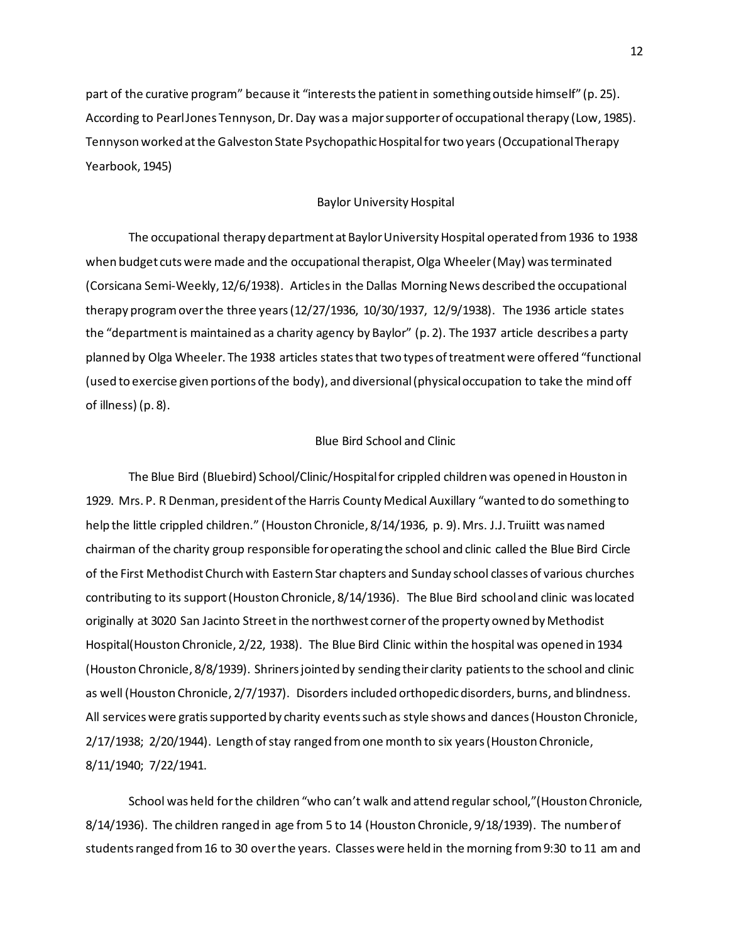part of the curative program" because it "interests the patient in something outside himself" (p. 25). According to Pearl Jones Tennyson, Dr. Day was a major supporter of occupational therapy (Low, 1985). Tennyson worked at the Galveston State Psychopathic Hospital for two years (Occupational Therapy Yearbook, 1945)

### Baylor University Hospital

The occupational therapy department at Baylor University Hospital operated from 1936 to 1938 when budget cuts were made and the occupational therapist, Olga Wheeler (May) was terminated (Corsicana Semi-Weekly, 12/6/1938). Articles in the Dallas Morning News described the occupational therapy program over the three years (12/27/1936, 10/30/1937, 12/9/1938). The 1936 article states the "department is maintained as a charity agency by Baylor" (p. 2). The 1937 article describes a party planned by Olga Wheeler. The 1938 articles states that two types of treatment were offered "functional (used to exercise given portions of the body), and diversional (physical occupation to take the mind off of illness) (p. 8).

### Blue Bird School and Clinic

The Blue Bird (Bluebird) School/Clinic/Hospital for crippled children was opened in Houston in 1929. Mrs. P. R Denman, president of the Harris County Medical Auxillary "wanted to do something to help the little crippled children." (Houston Chronicle, 8/14/1936, p. 9). Mrs. J.J. Truiitt was named chairman of the charity group responsible for operating the school and clinic called the Blue Bird Circle of the First Methodist Church with Eastern Star chapters and Sunday school classes of various churches contributing to its support (Houston Chronicle, 8/14/1936). The Blue Bird school and clinic was located originally at 3020 San Jacinto Street in the northwest corner of the property owned by Methodist Hospital(Houston Chronicle, 2/22, 1938). The Blue Bird Clinic within the hospital was opened in 1934 (Houston Chronicle, 8/8/1939). Shriners jointed by sending their clarity patients to the school and clinic as well (Houston Chronicle, 2/7/1937). Disorders included orthopedic disorders, burns, and blindness. All services were gratis supported by charity events such as style shows and dances (Houston Chronicle, 2/17/1938; 2/20/1944). Length of stay ranged from one month to six years (Houston Chronicle, 8/11/1940; 7/22/1941.

School was held for the children "who can't walk and attend regular school,"(Houston Chronicle, 8/14/1936). The children ranged in age from 5 to 14 (Houston Chronicle, 9/18/1939). The number of students ranged from 16 to 30 over the years. Classes were held in the morning from 9:30 to 11 am and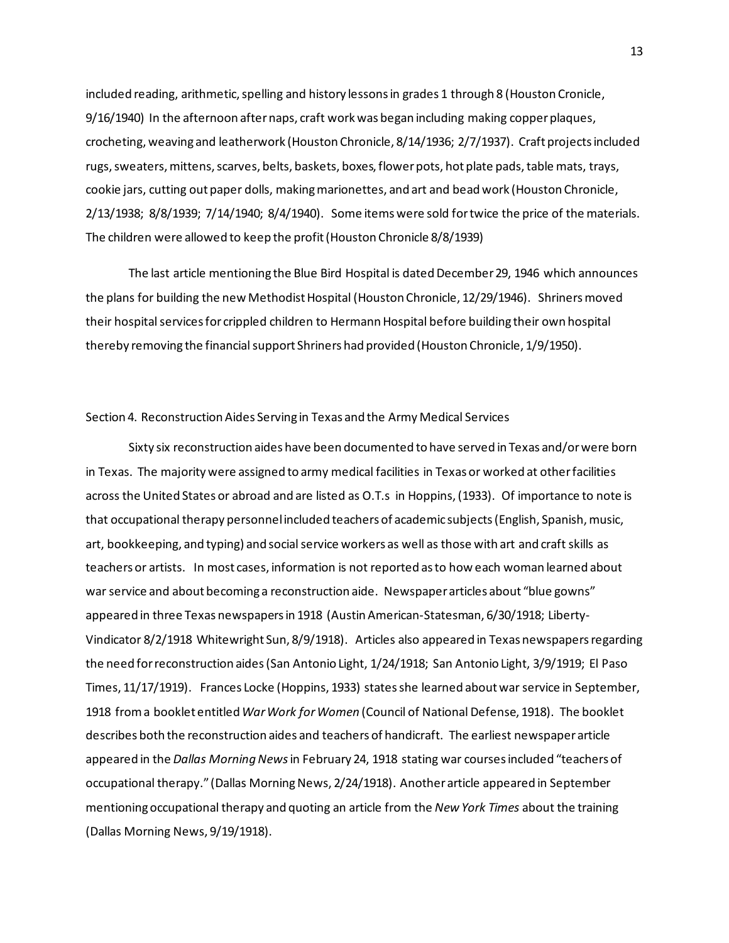included reading, arithmetic, spelling and history lessons in grades 1 through 8 (Houston Cronicle, 9/16/1940) In the afternoon after naps, craft work was began including making copper plaques, crocheting, weaving and leatherwork (Houston Chronicle, 8/14/1936; 2/7/1937). Craft projects included rugs, sweaters, mittens, scarves, belts, baskets, boxes, flower pots, hot plate pads, table mats, trays, cookie jars, cutting out paper dolls, making marionettes, and art and bead work (Houston Chronicle, 2/13/1938; 8/8/1939; 7/14/1940; 8/4/1940). Some items were sold for twice the price of the materials. The children were allowed to keep the profit (Houston Chronicle 8/8/1939)

The last article mentioning the Blue Bird Hospital is dated December 29, 1946 which announces the plans for building the new Methodist Hospital (Houston Chronicle, 12/29/1946). Shriners moved their hospital services for crippled children to Hermann Hospital before building their own hospital thereby removing the financial support Shriners had provided (Houston Chronicle, 1/9/1950).

#### Section 4. Reconstruction Aides Serving in Texas and the Army Medical Services

Sixty six reconstruction aides have been documented to have served in Texas and/or were born in Texas. The majority were assigned to army medical facilities in Texas or worked at other facilities across the United States or abroad and are listed as O.T.s in Hoppins, (1933). Of importance to note is that occupational therapy personnel included teachers of academic subjects (English, Spanish, music, art, bookkeeping, and typing) and social service workers as well as those with art and craft skills as teachers or artists. In most cases, information is not reported as to how each woman learned about war service and about becoming a reconstruction aide. Newspaper articles about "blue gowns" appeared in three Texas newspapers in 1918 (Austin American-Statesman, 6/30/1918; Liberty-Vindicator 8/2/1918 Whitewright Sun, 8/9/1918). Articles also appeared in Texas newspapers regarding the need for reconstruction aides (San Antonio Light, 1/24/1918; San Antonio Light, 3/9/1919; El Paso Times, 11/17/1919). Frances Locke (Hoppins, 1933) states she learned about war service in September, 1918 from a booklet entitled *War Work for Women* (Council of National Defense, 1918). The booklet describes both the reconstruction aides and teachers of handicraft. The earliest newspaper article appeared in the *Dallas Morning News* in February 24, 1918 stating war courses included "teachers of occupational therapy." (Dallas Morning News, 2/24/1918). Another article appeared in September mentioning occupational therapy and quoting an article from the *New York Times* about the training (Dallas Morning News, 9/19/1918).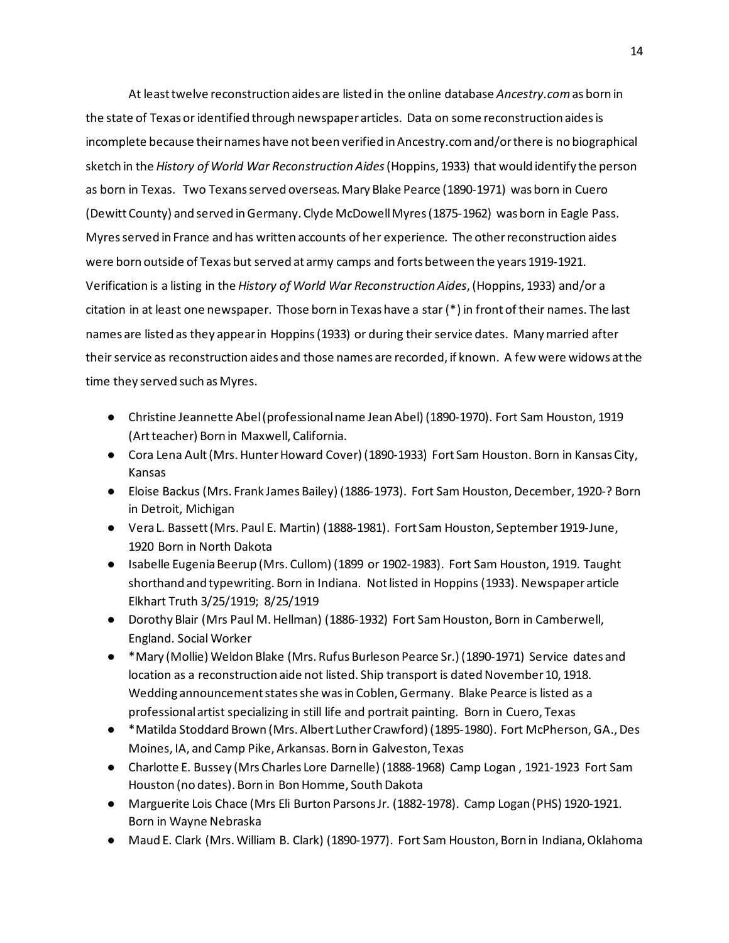At least twelve reconstruction aides are listed in the online database *Ancestry.com* as born in the state of Texas or identified through newspaper articles. Data on some reconstruction aides is incomplete because their names have not been verified in Ancestry.com and/or there is no biographical sketch in the *History of World War Reconstruction Aides*(Hoppins, 1933) that would identify the person as born in Texas. Two Texans served overseas. Mary Blake Pearce (1890-1971) was born in Cuero (Dewitt County) and served in Germany. Clyde McDowell Myres (1875-1962) was born in Eagle Pass. Myres served in France and has written accounts of her experience. The other reconstruction aides were born outside of Texas but served at army camps and forts between the years 1919-1921. Verification is a listing in the *History of World War Reconstruction Aides*, (Hoppins, 1933) and/or a citation in at least one newspaper. Those born in Texas have a star (\*) in front of their names. The last names are listed as they appear in Hoppins (1933) or during their service dates. Many married after their service as reconstruction aides and those names are recorded, if known. A few were widows at the time they served such as Myres.

- Christine Jeannette Abel (professional name Jean Abel) (1890-1970). Fort Sam Houston, 1919 (Art teacher) Born in Maxwell, California.
- Cora Lena Ault (Mrs. Hunter Howard Cover) (1890-1933) Fort Sam Houston. Born in Kansas City, Kansas
- Eloise Backus (Mrs. Frank James Bailey) (1886-1973). Fort Sam Houston, December, 1920-? Born in Detroit, Michigan
- Vera L. Bassett (Mrs. Paul E. Martin) (1888-1981). Fort Sam Houston, September 1919-June, 1920 Born in North Dakota
- Isabelle Eugenia Beerup (Mrs. Cullom) (1899 or 1902-1983). Fort Sam Houston, 1919. Taught shorthand and typewriting. Born in Indiana. Not listed in Hoppins (1933). Newspaper article Elkhart Truth 3/25/1919; 8/25/1919
- Dorothy Blair (Mrs Paul M. Hellman) (1886-1932) Fort Sam Houston, Born in Camberwell, England. Social Worker
- \*Mary (Mollie) Weldon Blake (Mrs. Rufus Burleson Pearce Sr.) (1890-1971) Service dates and location as a reconstruction aide not listed. Ship transport is dated November 10, 1918. Wedding announcement states she was in Coblen, Germany. Blake Pearce is listed as a professional artist specializing in still life and portrait painting. Born in Cuero, Texas
- \*Matilda Stoddard Brown (Mrs. Albert Luther Crawford) (1895-1980). Fort McPherson, GA., Des Moines, IA, and Camp Pike, Arkansas. Born in Galveston, Texas
- Charlotte E. Bussey (Mrs Charles Lore Darnelle) (1888-1968) Camp Logan , 1921-1923 Fort Sam Houston (no dates). Born in Bon Homme, South Dakota
- Marguerite Lois Chace (Mrs Eli Burton Parsons Jr. (1882-1978). Camp Logan (PHS) 1920-1921. Born in Wayne Nebraska
- Maud E. Clark (Mrs. William B. Clark) (1890-1977). Fort Sam Houston, Born in Indiana, Oklahoma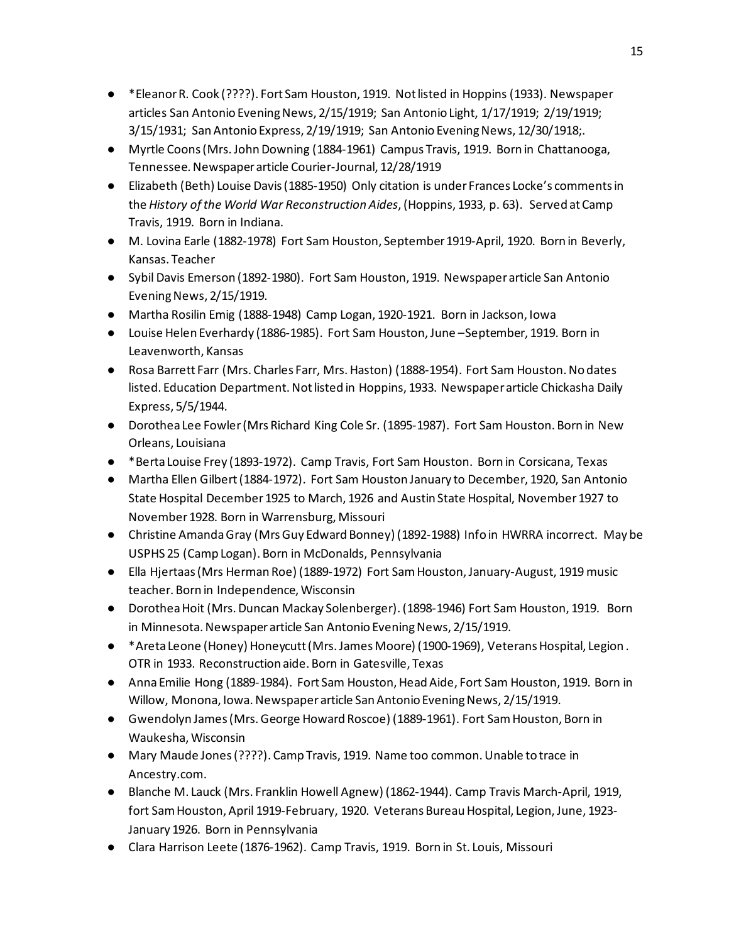- \*Eleanor R. Cook (????). Fort Sam Houston, 1919. Not listed in Hoppins (1933). Newspaper articles San Antonio Evening News, 2/15/1919; San Antonio Light, 1/17/1919; 2/19/1919; 3/15/1931; San Antonio Express, 2/19/1919; San Antonio Evening News, 12/30/1918;.
- Myrtle Coons (Mrs. John Downing (1884-1961) Campus Travis, 1919. Born in Chattanooga, Tennessee. Newspaper article Courier-Journal, 12/28/1919
- Elizabeth (Beth) Louise Davis (1885-1950) Only citation is under Frances Locke's comments in the *History of the World War Reconstruction Aides*, (Hoppins, 1933, p. 63). Served at Camp Travis, 1919. Born in Indiana.
- M. Lovina Earle (1882-1978) Fort Sam Houston, September 1919-April, 1920. Born in Beverly, Kansas. Teacher
- Sybil Davis Emerson (1892-1980). Fort Sam Houston, 1919. Newspaper article San Antonio Evening News, 2/15/1919.
- Martha Rosilin Emig (1888-1948) Camp Logan, 1920-1921. Born in Jackson, Iowa
- Louise Helen Everhardy (1886-1985). Fort Sam Houston, June –September, 1919. Born in Leavenworth, Kansas
- Rosa Barrett Farr (Mrs. Charles Farr, Mrs. Haston) (1888-1954). Fort Sam Houston. No dates listed. Education Department. Not listed in Hoppins, 1933. Newspaper article Chickasha Daily Express, 5/5/1944.
- Dorothea Lee Fowler (Mrs Richard King Cole Sr. (1895-1987). Fort Sam Houston. Born in New Orleans, Louisiana
- \*Berta Louise Frey (1893-1972). Camp Travis, Fort Sam Houston. Born in Corsicana, Texas
- Martha Ellen Gilbert (1884-1972). Fort Sam Houston January to December, 1920, San Antonio State Hospital December 1925 to March, 1926 and Austin State Hospital, November 1927 to November 1928. Born in Warrensburg, Missouri
- Christine Amanda Gray (Mrs Guy Edward Bonney) (1892-1988) Info in HWRRA incorrect. May be USPHS 25 (Camp Logan). Born in McDonalds, Pennsylvania
- Ella Hjertaas (Mrs Herman Roe) (1889-1972) Fort Sam Houston, January-August, 1919 music teacher. Born in Independence, Wisconsin
- Dorothea Hoit (Mrs. Duncan Mackay Solenberger). (1898-1946) Fort Sam Houston, 1919. Born in Minnesota. Newspaper article San Antonio Evening News, 2/15/1919.
- \*Areta Leone (Honey) Honeycutt (Mrs. James Moore) (1900-1969), Veterans Hospital, Legion . OTR in 1933. Reconstruction aide. Born in Gatesville, Texas
- Anna Emilie Hong (1889-1984). Fort Sam Houston, Head Aide, Fort Sam Houston, 1919. Born in Willow, Monona, Iowa. Newspaper article San Antonio Evening News, 2/15/1919.
- Gwendolyn James (Mrs. George Howard Roscoe) (1889-1961). Fort Sam Houston, Born in Waukesha, Wisconsin
- Mary Maude Jones (????). Camp Travis, 1919. Name too common. Unable to trace in Ancestry.com.
- Blanche M. Lauck (Mrs. Franklin Howell Agnew) (1862-1944). Camp Travis March-April, 1919, fort Sam Houston, April 1919-February, 1920. Veterans Bureau Hospital, Legion, June, 1923- January 1926. Born in Pennsylvania
- Clara Harrison Leete (1876-1962). Camp Travis, 1919. Born in St. Louis, Missouri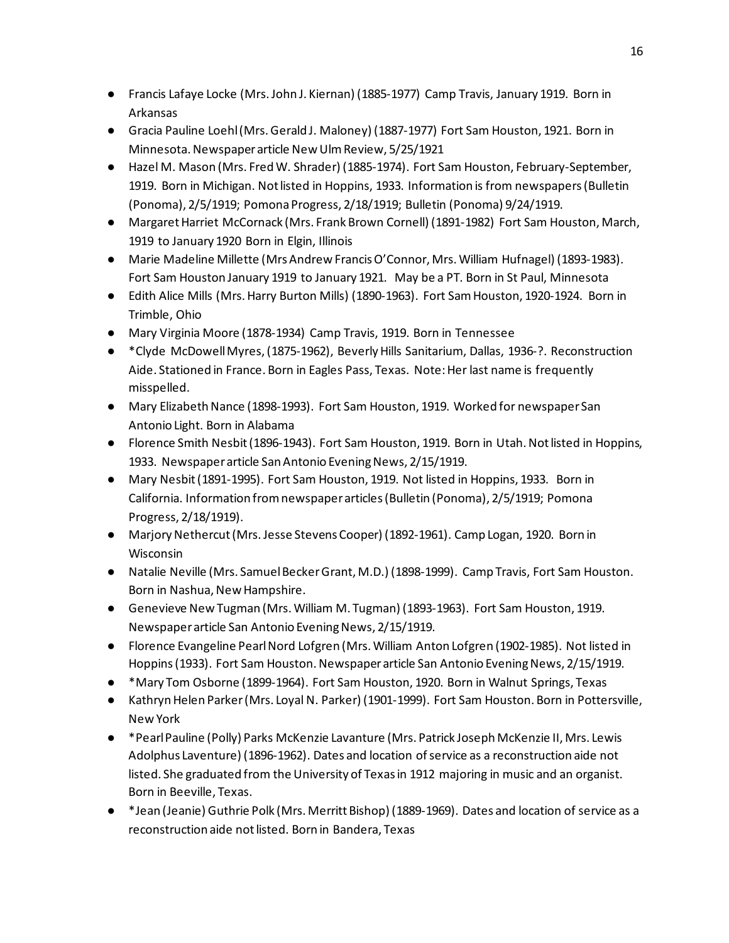- Francis Lafaye Locke (Mrs. John J. Kiernan) (1885-1977) Camp Travis, January 1919. Born in Arkansas
- Gracia Pauline Loehl (Mrs. Gerald J. Maloney) (1887-1977) Fort Sam Houston, 1921. Born in Minnesota. Newspaper article New Ulm Review, 5/25/1921
- Hazel M. Mason (Mrs. Fred W. Shrader) (1885-1974). Fort Sam Houston, February-September, 1919. Born in Michigan. Not listed in Hoppins, 1933. Information is from newspapers (Bulletin (Ponoma), 2/5/1919; Pomona Progress, 2/18/1919; Bulletin (Ponoma) 9/24/1919.
- Margaret Harriet McCornack (Mrs. Frank Brown Cornell) (1891-1982) Fort Sam Houston, March, 1919 to January 1920 Born in Elgin, Illinois
- Marie Madeline Millette (Mrs Andrew Francis O'Connor, Mrs. William Hufnagel) (1893-1983). Fort Sam Houston January 1919 to January 1921. May be a PT. Born in St Paul, Minnesota
- Edith Alice Mills (Mrs. Harry Burton Mills) (1890-1963). Fort Sam Houston, 1920-1924. Born in Trimble, Ohio
- Mary Virginia Moore (1878-1934) Camp Travis, 1919. Born in Tennessee
- \*Clyde McDowell Myres, (1875-1962), Beverly Hills Sanitarium, Dallas, 1936-?. Reconstruction Aide. Stationed in France. Born in Eagles Pass, Texas. Note: Her last name is frequently misspelled.
- Mary Elizabeth Nance (1898-1993). Fort Sam Houston, 1919. Worked for newspaper San Antonio Light. Born in Alabama
- Florence Smith Nesbit (1896-1943). Fort Sam Houston, 1919. Born in Utah. Not listed in Hoppins, 1933. Newspaper article San Antonio Evening News, 2/15/1919.
- Mary Nesbit (1891-1995). Fort Sam Houston, 1919. Not listed in Hoppins, 1933. Born in California. Information from newspaper articles (Bulletin (Ponoma), 2/5/1919; Pomona Progress, 2/18/1919).
- Marjory Nethercut (Mrs. Jesse Stevens Cooper) (1892-1961). Camp Logan, 1920. Born in Wisconsin
- Natalie Neville (Mrs. Samuel Becker Grant, M.D.) (1898-1999). Camp Travis, Fort Sam Houston. Born in Nashua, New Hampshire.
- Genevieve New Tugman (Mrs. William M. Tugman) (1893-1963). Fort Sam Houston, 1919. Newspaper article San Antonio Evening News, 2/15/1919.
- Florence Evangeline Pearl Nord Lofgren (Mrs. William Anton Lofgren (1902-1985). Not listed in Hoppins (1933). Fort Sam Houston. Newspaper article San Antonio Evening News, 2/15/1919.
- \*Mary Tom Osborne (1899-1964). Fort Sam Houston, 1920. Born in Walnut Springs, Texas
- Kathryn Helen Parker (Mrs. Loyal N. Parker) (1901-1999). Fort Sam Houston. Born in Pottersville, New York
- \*Pearl Pauline (Polly) Parks McKenzie Lavanture (Mrs. Patrick Joseph McKenzie II, Mrs. Lewis Adolphus Laventure) (1896-1962). Dates and location of service as a reconstruction aide not listed. She graduated from the University of Texas in 1912 majoring in music and an organist. Born in Beeville, Texas.
- \*Jean (Jeanie) Guthrie Polk (Mrs. Merritt Bishop) (1889-1969). Dates and location of service as a reconstruction aide not listed. Born in Bandera, Texas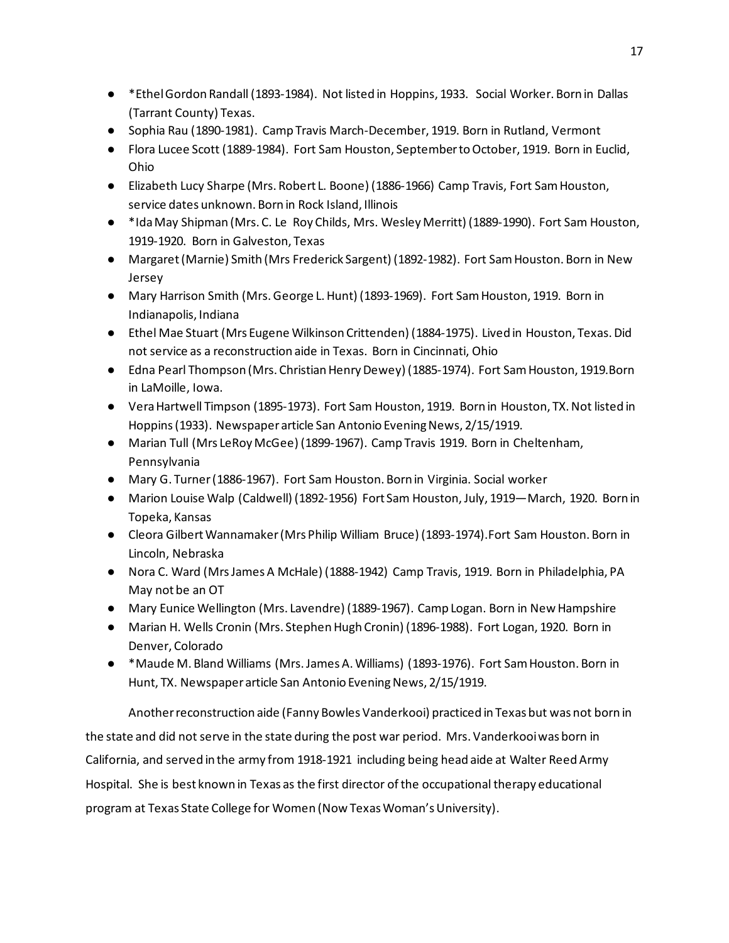- \*Ethel Gordon Randall (1893-1984). Not listed in Hoppins, 1933. Social Worker. Born in Dallas (Tarrant County) Texas.
- Sophia Rau (1890-1981). Camp Travis March-December, 1919. Born in Rutland, Vermont
- Flora Lucee Scott (1889-1984). Fort Sam Houston, September to October, 1919. Born in Euclid, Ohio
- Elizabeth Lucy Sharpe (Mrs. Robert L. Boone) (1886-1966) Camp Travis, Fort Sam Houston, service dates unknown. Born in Rock Island, Illinois
- \*Ida May Shipman (Mrs. C. Le Roy Childs, Mrs. Wesley Merritt) (1889-1990). Fort Sam Houston, 1919-1920. Born in Galveston, Texas
- Margaret (Marnie) Smith (Mrs Frederick Sargent) (1892-1982). Fort Sam Houston. Born in New Jersey
- Mary Harrison Smith (Mrs. George L. Hunt) (1893-1969). Fort Sam Houston, 1919. Born in Indianapolis, Indiana
- Ethel Mae Stuart (Mrs Eugene Wilkinson Crittenden) (1884-1975). Lived in Houston, Texas. Did not service as a reconstruction aide in Texas. Born in Cincinnati, Ohio
- Edna Pearl Thompson (Mrs. Christian Henry Dewey) (1885-1974). Fort Sam Houston, 1919. Born in LaMoille, Iowa.
- Vera Hartwell Timpson (1895-1973). Fort Sam Houston, 1919. Born in Houston, TX. Not listed in Hoppins (1933). Newspaper article San Antonio Evening News, 2/15/1919.
- Marian Tull (Mrs LeRoy McGee) (1899-1967). Camp Travis 1919. Born in Cheltenham, Pennsylvania
- Mary G. Turner (1886-1967). Fort Sam Houston. Born in Virginia. Social worker
- Marion Louise Walp (Caldwell) (1892-1956) Fort Sam Houston, July, 1919—March, 1920. Born in Topeka, Kansas
- Cleora Gilbert Wannamaker (Mrs Philip William Bruce) (1893-1974).Fort Sam Houston. Born in Lincoln, Nebraska
- Nora C. Ward (Mrs James A McHale) (1888-1942) Camp Travis, 1919. Born in Philadelphia, PA May not be an OT
- Mary Eunice Wellington (Mrs. Lavendre) (1889-1967). Camp Logan. Born in New Hampshire
- Marian H. Wells Cronin (Mrs. Stephen Hugh Cronin) (1896-1988). Fort Logan, 1920. Born in Denver, Colorado
- \*Maude M. Bland Williams (Mrs. James A. Williams) (1893-1976). Fort Sam Houston. Born in Hunt, TX. Newspaper article San Antonio Evening News, 2/15/1919.

Another reconstruction aide (Fanny Bowles Vanderkooi) practiced in Texas but was not born in the state and did not serve in the state during the post war period. Mrs. Vanderkooi was born in California, and served in the army from 1918-1921 including being head aide at Walter Reed Army Hospital. She is best known in Texas as the first director of the occupational therapy educational program at Texas State College for Women (Now Texas Woman's University).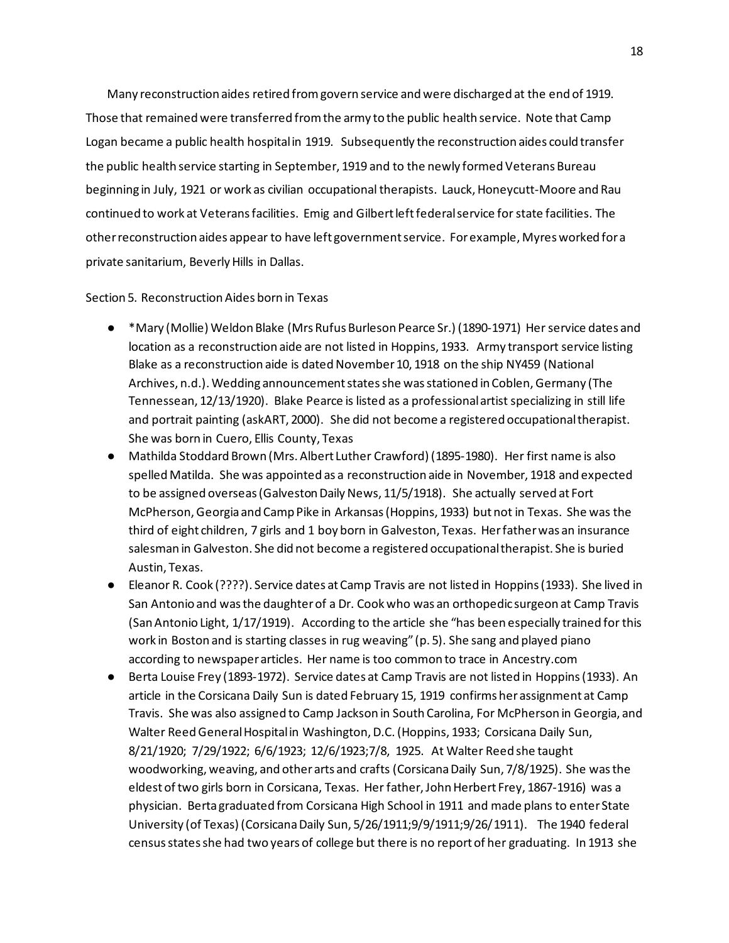Many reconstruction aides retired from govern service and were discharged at the end of 1919. Those that remained were transferred from the army to the public health service. Note that Camp Logan became a public health hospital in 1919. Subsequently the reconstruction aides could transfer the public health service starting in September, 1919 and to the newly formed Veterans Bureau beginning in July, 1921 or work as civilian occupational therapists. Lauck, Honeycutt-Moore and Rau continued to work at Veterans facilities. Emig and Gilbert left federal service for state facilities. The other reconstruction aides appear to have left government service. For example, Myres worked for a private sanitarium, Beverly Hills in Dallas.

Section 5. Reconstruction Aides born in Texas

- \*Mary (Mollie) Weldon Blake (Mrs Rufus Burleson Pearce Sr.) (1890-1971) Her service dates and location as a reconstruction aide are not listed in Hoppins, 1933. Army transport service listing Blake as a reconstruction aide is dated November 10, 1918 on the ship NY459 (National Archives, n.d.). Wedding announcement states she was stationed in Coblen, Germany (The Tennessean, 12/13/1920). Blake Pearce is listed as a professional artist specializing in still life and portrait painting (askART, 2000). She did not become a registered occupational therapist. She was born in Cuero, Ellis County, Texas
- Mathilda Stoddard Brown (Mrs. Albert Luther Crawford) (1895-1980). Her first name is also spelled Matilda. She was appointed as a reconstruction aide in November, 1918 and expected to be assigned overseas (Galveston Daily News, 11/5/1918). She actually served at Fort McPherson, Georgia and Camp Pike in Arkansas (Hoppins, 1933) but not in Texas. She was the third of eight children, 7 girls and 1 boy born in Galveston, Texas. Her father was an insurance salesman in Galveston. She did not become a registered occupational therapist. She is buried Austin, Texas.
- Eleanor R. Cook (????). Service dates at Camp Travis are not listed in Hoppins (1933). She lived in San Antonio and was the daughter of a Dr. Cook who was an orthopedic surgeon at Camp Travis (San Antonio Light, 1/17/1919). According to the article she "has been especially trained for this work in Boston and is starting classes in rug weaving" (p. 5). She sang and played piano according to newspaper articles. Her name is too common to trace in Ancestry.com
- Berta Louise Frey (1893-1972). Service dates at Camp Travis are not listed in Hoppins (1933). An article in the Corsicana Daily Sun is dated February 15, 1919 confirms her assignment at Camp Travis. She was also assigned to Camp Jackson in South Carolina, For McPherson in Georgia, and Walter Reed General Hospital in Washington, D.C. (Hoppins, 1933; Corsicana Daily Sun, 8/21/1920; 7/29/1922; 6/6/1923; 12/6/1923;7/8, 1925. At Walter Reed she taught woodworking, weaving, and other arts and crafts (Corsicana Daily Sun, 7/8/1925). She was the eldest of two girls born in Corsicana, Texas. Her father, John Herbert Frey, 1867-1916) was a physician. Berta graduated from Corsicana High School in 1911 and made plans to enter State University (of Texas) (Corsicana Daily Sun, 5/26/1911;9/9/1911;9/26/1911). The 1940 federal census states she had two years of college but there is no report of her graduating. In 1913 she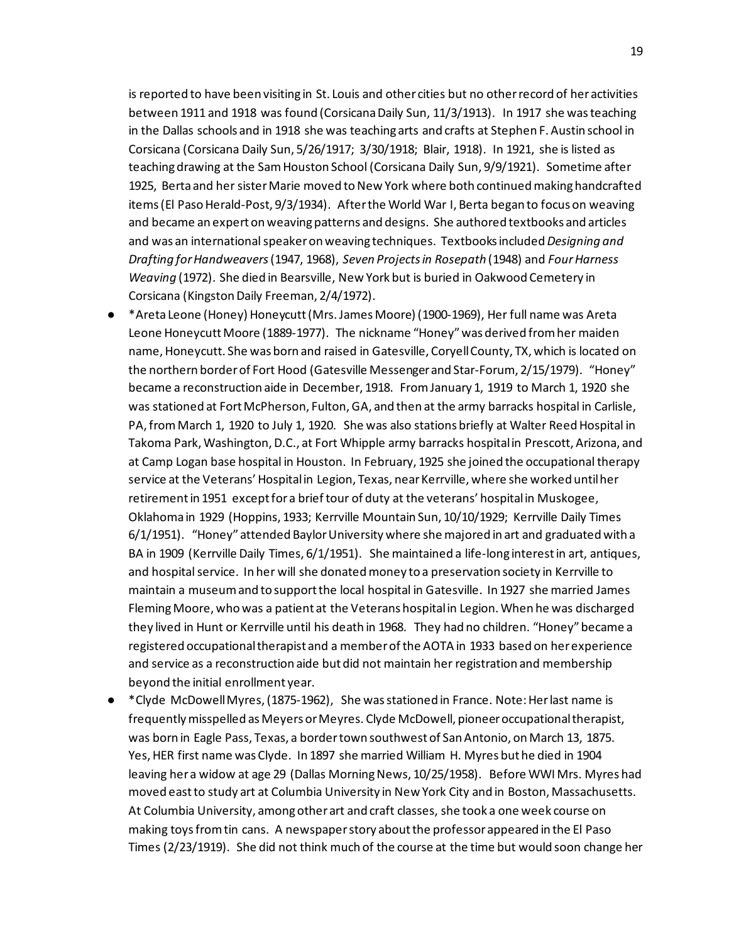is reported to have been visiting in St. Louis and other cities but no other record of her activities between 1911 and 1918 was found (Corsicana Daily Sun, 11/3/1913). In 1917 she was teaching in the Dallas schools and in 1918 she was teaching arts and crafts at Stephen F. Austin school in Corsicana (Corsicana Daily Sun, 5/26/1917; 3/30/1918; Blair, 1918). In 1921, she is listed as teaching drawing at the Sam Houston School (Corsicana Daily Sun, 9/9/1921). Sometime after 1925, Berta and her sister Marie moved to New York where both continued making handcrafted items (El Paso Herald-Post, 9/3/1934). After the World War I, Berta began to focus on weaving and became an expert on weaving patterns and designs. She authored textbooks and articles and was an international speaker on weaving techniques. Textbooks included *Designing and Drafting for Handweavers*(1947, 1968), *Seven Projects in Rosepath* (1948) and *Four Harness Weaving* (1972). She died in Bearsville, New York but is buried in Oakwood Cemetery in Corsicana (Kingston Daily Freeman, 2/4/1972).

- \*Areta Leone (Honey) Honeycutt (Mrs. James Moore) (1900-1969), Her full name was Areta Leone Honeycutt Moore (1889-1977). The nickname "Honey" was derived from her maiden name, Honeycutt. She was born and raised in Gatesville, Coryell County, TX, which is located on the northern border of Fort Hood (Gatesville Messenger and Star-Forum, 2/15/1979). "Honey" became a reconstruction aide in December, 1918. From January 1, 1919 to March 1, 1920 she was stationed at Fort McPherson, Fulton, GA, and then at the army barracks hospital in Carlisle, PA, from March 1, 1920 to July 1, 1920. She was also stations briefly at Walter Reed Hospital in Takoma Park, Washington, D.C., at Fort Whipple army barracks hospital in Prescott, Arizona, and at Camp Logan base hospital in Houston. In February, 1925 she joined the occupational therapy service at the Veterans' Hospital in Legion, Texas, near Kerrville, where she worked until her retirement in 1951 except for a brief tour of duty at the veterans' hospital in Muskogee, Oklahoma in 1929 (Hoppins, 1933; Kerrville Mountain Sun, 10/10/1929; Kerrville Daily Times 6/1/1951). "Honey" attended Baylor University where she majored in art and graduated with a BA in 1909 (Kerrville Daily Times, 6/1/1951). She maintained a life-long interest in art, antiques, and hospital service. In her will she donated money to a preservation society in Kerrville to maintain a museum and to support the local hospital in Gatesville. In 1927 she married James Fleming Moore, who was a patient at the Veterans hospital in Legion. When he was discharged they lived in Hunt or Kerrville until his death in 1968. They had no children. "Honey" became a registered occupational therapist and a member of the AOTA in 1933 based on her experience and service as a reconstruction aide but did not maintain her registration and membership beyond the initial enrollment year.
- \*Clyde McDowell Myres, (1875-1962), She was stationed in France. Note: Her last name is frequently misspelled as Meyers or Meyres. Clyde McDowell, pioneer occupational therapist, was born in Eagle Pass, Texas, a border town southwest of San Antonio, on March 13, 1875. Yes, HER first name was Clyde. In 1897 she married William H. Myres but he died in 1904 leaving her a widow at age 29 (Dallas Morning News, 10/25/1958). Before WWI Mrs. Myres had moved east to study art at Columbia University in New York City and in Boston, Massachusetts. At Columbia University, among other art and craft classes, she took a one week course on making toys from tin cans. A newspaper story about the professor appeared in the El Paso Times (2/23/1919). She did not think much of the course at the time but would soon change her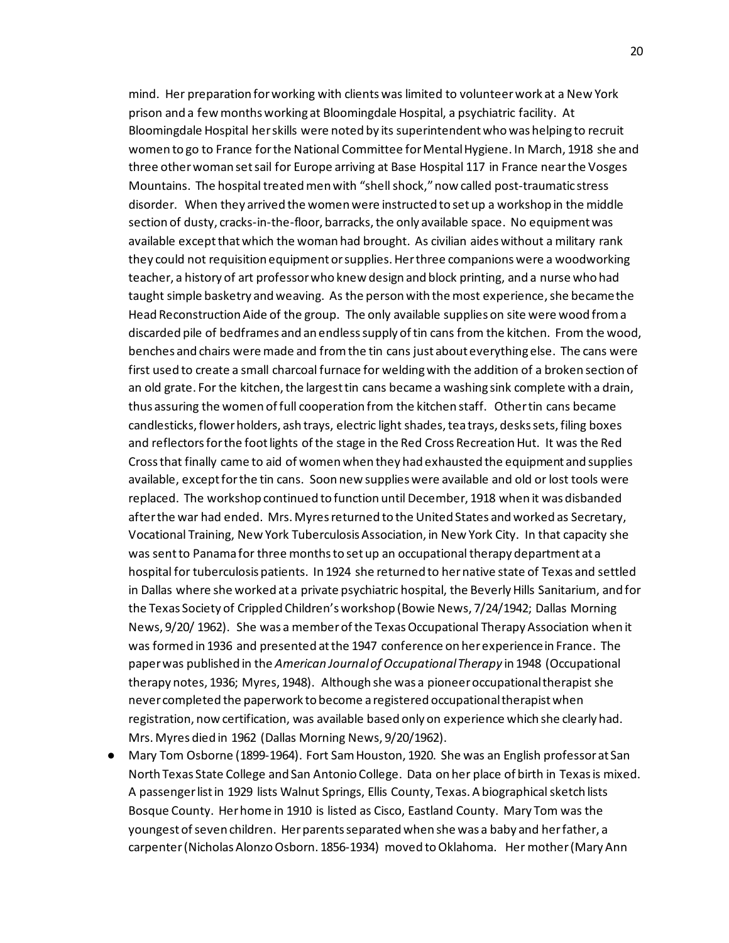mind. Her preparation for working with clients was limited to volunteer work at a New York prison and a few months working at Bloomingdale Hospital, a psychiatric facility. At Bloomingdale Hospital her skills were noted by its superintendent who was helping to recruit women to go to France for the National Committee for Mental Hygiene. In March, 1918 she and three other woman set sail for Europe arriving at Base Hospital 117 in France near the Vosges Mountains. The hospital treated men with "shell shock," now called post-traumatic stress disorder. When they arrived the women were instructed to set up a workshop in the middle section of dusty, cracks-in-the-floor, barracks, the only available space. No equipment was available except that which the woman had brought. As civilian aides without a military rank they could not requisition equipment or supplies. Her three companions were a woodworking teacher, a history of art professor who knew design and block printing, and a nurse who had taught simple basketry and weaving. As the person with the most experience, she became the Head Reconstruction Aide of the group. The only available supplies on site were wood from a discarded pile of bedframes and an endless supply of tin cans from the kitchen. From the wood, benches and chairs were made and from the tin cans just about everything else. The cans were first used to create a small charcoal furnace for welding with the addition of a broken section of an old grate. For the kitchen, the largest tin cans became a washing sink complete with a drain, thus assuring the women of full cooperation from the kitchen staff. Other tin cans became candlesticks, flower holders, ash trays, electric light shades, tea trays, desks sets, filing boxes and reflectors for the foot lights of the stage in the Red Cross Recreation Hut. It was the Red Cross that finally came to aid of women when they had exhausted the equipment and supplies available, except for the tin cans. Soon new supplies were available and old or lost tools were replaced. The workshop continued to function until December, 1918 when it was disbanded after the war had ended. Mrs. Myres returned to the United States and worked as Secretary, Vocational Training, New York Tuberculosis Association, in New York City. In that capacity she was sent to Panama for three months to set up an occupational therapy department at a hospital for tuberculosis patients. In 1924 she returned to her native state of Texas and settled in Dallas where she worked at a private psychiatric hospital, the Beverly Hills Sanitarium, and for the Texas Society of Crippled Children's workshop (Bowie News, 7/24/1942; Dallas Morning News, 9/20/ 1962). She was a member of the Texas Occupational Therapy Association when it was formed in 1936 and presented at the 1947 conference on her experience in France. The paper was published in the *American Journal of Occupational Therapy* in 1948 (Occupational therapy notes, 1936; Myres, 1948). Although she was a pioneer occupational therapist she never completed the paperwork to become a registered occupational therapist when registration, now certification, was available based only on experience which she clearly had. Mrs. Myres died in 1962 (Dallas Morning News, 9/20/1962).

● Mary Tom Osborne (1899-1964). Fort Sam Houston, 1920. She was an English professor at San North Texas State College and San Antonio College. Data on her place of birth in Texas is mixed. A passenger list in 1929 lists Walnut Springs, Ellis County, Texas. A biographical sketch lists Bosque County. Her home in 1910 is listed as Cisco, Eastland County. Mary Tom was the youngest of seven children. Her parents separated when she was a baby and her father, a carpenter (Nicholas Alonzo Osborn. 1856-1934) moved to Oklahoma. Her mother (Mary Ann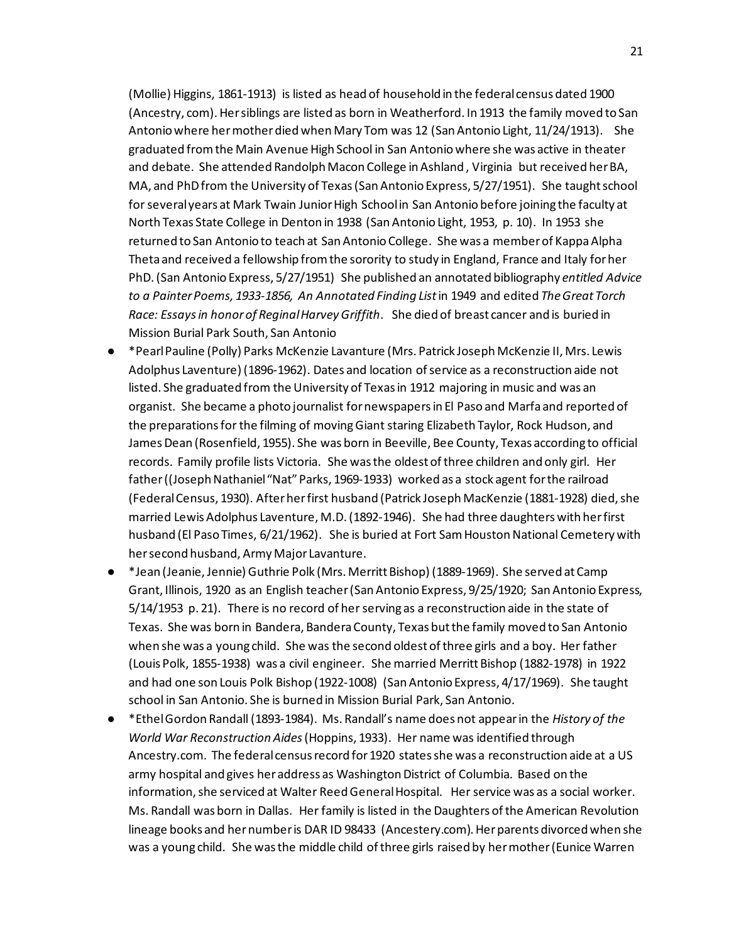(Mollie) Higgins, 1861-1913) is listed as head of household in the federal census dated 1900 (Ancestry, com). Her siblings are listed as born in Weatherford. In 1913 the family moved to San Antonio where her mother died when Mary Tom was 12 (San Antonio Light, 11/24/1913). She graduated from the Main Avenue High School in San Antonio where she was active in theater and debate. She attended Randolph Macon College in Ashland , Virginia but received her BA, MA, and PhD from the University of Texas (San Antonio Express, 5/27/1951). She taught school for several years at Mark Twain Junior High School in San Antonio before joining the faculty at North Texas State College in Denton in 1938 (San Antonio Light, 1953, p. 10). In 1953 she returned to San Antonio to teach at San Antonio College. She was a member of Kappa Alpha Theta and received a fellowship from the sorority to study in England, France and Italy for her PhD. (San Antonio Express, 5/27/1951) She published an annotated bibliography *entitled Advice to a Painter Poems, 1933-1856, An Annotated Finding List*in 1949 and edited *The Great Torch Race: Essays in honor of ReginalHarvey Griffith*. She died of breast cancer and is buried in Mission Burial Park South, San Antonio

- \*Pearl Pauline (Polly) Parks McKenzie Lavanture (Mrs. Patrick Joseph McKenzie II, Mrs. Lewis Adolphus Laventure) (1896-1962). Dates and location of service as a reconstruction aide not listed. She graduated from the University of Texas in 1912 majoring in music and was an organist. She became a photo journalist for newspapers in El Paso and Marfa and reported of the preparations for the filming of moving Giant staring Elizabeth Taylor, Rock Hudson, and James Dean (Rosenfield, 1955). She was born in Beeville, Bee County, Texas according to official records. Family profile lists Victoria. She was the oldest of three children and only girl. Her father ((Joseph Nathaniel "Nat" Parks, 1969-1933) worked as a stock agent for the railroad (Federal Census, 1930). After her first husband (Patrick Joseph MacKenzie (1881-1928) died, she married Lewis Adolphus Laventure, M.D. (1892-1946). She had three daughters with her first husband (El Paso Times, 6/21/1962). She is buried at Fort Sam Houston National Cemetery with her second husband, Army Major Lavanture.
- \*Jean (Jeanie, Jennie) Guthrie Polk (Mrs. Merritt Bishop) (1889-1969). She served at Camp Grant, Illinois, 1920 as an English teacher (San Antonio Express, 9/25/1920; San Antonio Express, 5/14/1953 p. 21). There is no record of her serving as a reconstruction aide in the state of Texas. She was born in Bandera, Bandera County, Texas but the family moved to San Antonio when she was a young child. She was the second oldest of three girls and a boy. Her father (Louis Polk, 1855-1938) was a civil engineer. She married Merritt Bishop (1882-1978) in 1922 and had one son Louis Polk Bishop (1922-1008) (San Antonio Express, 4/17/1969). She taught school in San Antonio. She is burned in Mission Burial Park, San Antonio.
- \*Ethel Gordon Randall (1893-1984). Ms. Randall's name does not appear in the *History of the World War Reconstruction Aides* (Hoppins, 1933). Her name was identified through Ancestry.com. The federal census record for 1920 states she was a reconstruction aide at a US army hospital and gives her address as Washington District of Columbia. Based on the information, she serviced at Walter Reed General Hospital. Her service was as a social worker. Ms. Randall was born in Dallas. Her family is listed in the Daughters of the American Revolution lineage books and her number is DAR ID 98433 (Ancestery.com). Her parents divorced when she was a young child. She was the middle child of three girls raised by her mother (Eunice Warren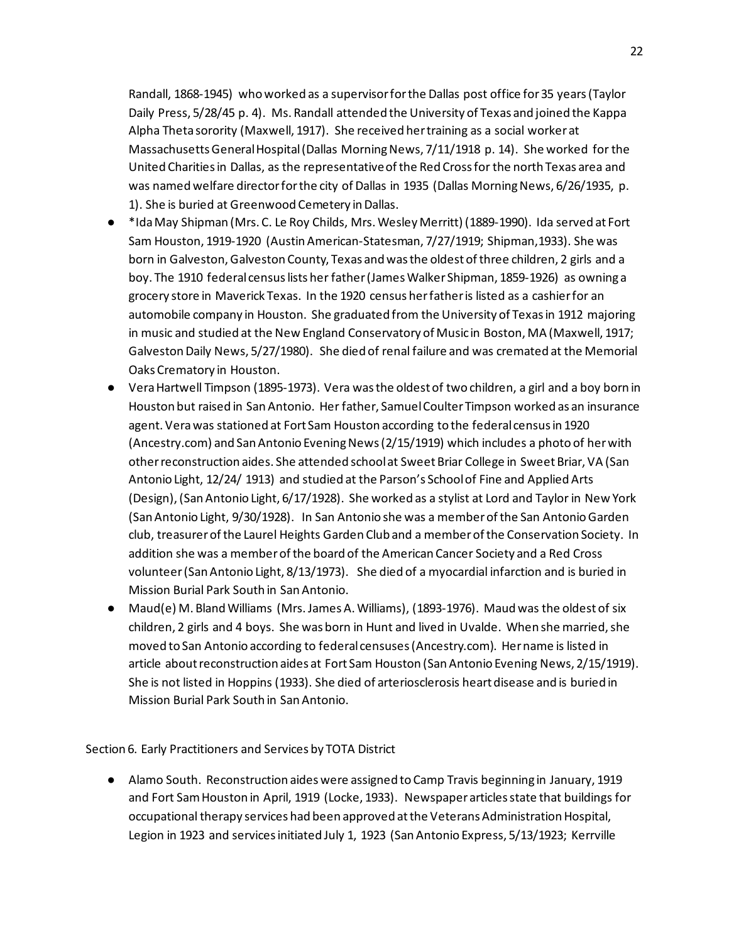Randall, 1868-1945) who worked as a supervisor for the Dallas post office for 35 years (Taylor Daily Press, 5/28/45 p. 4). Ms. Randall attended the University of Texas and joined the Kappa Alpha Theta sorority (Maxwell, 1917). She received her training as a social worker at Massachusetts General Hospital (Dallas Morning News, 7/11/1918 p. 14). She worked for the United Charities in Dallas, as the representative of the Red Cross for the north Texas area and was named welfare director for the city of Dallas in 1935 (Dallas Morning News, 6/26/1935, p. 1). She is buried at Greenwood Cemetery in Dallas.

- \*Ida May Shipman (Mrs. C. Le Roy Childs, Mrs. Wesley Merritt) (1889-1990). Ida served at Fort Sam Houston, 1919-1920 (Austin American-Statesman, 7/27/1919; Shipman,1933). She was born in Galveston, Galveston County, Texas and was the oldest of three children, 2 girls and a boy. The 1910 federal census lists her father (James Walker Shipman, 1859-1926) as owning a grocery store in Maverick Texas. In the 1920 census her father is listed as a cashier for an automobile company in Houston. She graduated from the University of Texas in 1912 majoring in music and studied at the New England Conservatory of Music in Boston, MA (Maxwell, 1917; Galveston Daily News, 5/27/1980). She died of renal failure and was cremated at the Memorial Oaks Crematory in Houston.
- Vera Hartwell Timpson (1895-1973). Vera was the oldest of two children, a girl and a boy born in Houston but raised in San Antonio. Her father, Samuel Coulter Timpson worked as an insurance agent. Vera was stationed at Fort Sam Houston according to the federal census in 1920 (Ancestry.com) and San Antonio Evening News (2/15/1919) which includes a photo of her with other reconstruction aides. She attended school at Sweet Briar College in Sweet Briar, VA (San Antonio Light, 12/24/ 1913) and studied at the Parson's School of Fine and Applied Arts (Design), (San Antonio Light, 6/17/1928). She worked as a stylist at Lord and Taylor in New York (San Antonio Light, 9/30/1928). In San Antonio she was a member of the San Antonio Garden club, treasurer of the Laurel Heights Garden Club and a member of the Conservation Society. In addition she was a member of the board of the American Cancer Society and a Red Cross volunteer (San Antonio Light, 8/13/1973). She died of a myocardial infarction and is buried in Mission Burial Park South in San Antonio.
- Maud(e) M. Bland Williams (Mrs. James A. Williams), (1893-1976). Maud was the oldest of six children, 2 girls and 4 boys. She was born in Hunt and lived in Uvalde. When she married, she moved to San Antonio according to federal censuses (Ancestry.com). Her name is listed in article about reconstruction aides at Fort Sam Houston (San Antonio Evening News, 2/15/1919). She is not listed in Hoppins (1933). She died of arteriosclerosis heart disease and is buried in Mission Burial Park South in San Antonio.

Section 6. Early Practitioners and Services by TOTA District

● Alamo South. Reconstruction aides were assigned to Camp Travis beginning in January, 1919 and Fort Sam Houston in April, 1919 (Locke, 1933). Newspaper articles state that buildings for occupational therapy services had been approved at the Veterans Administration Hospital, Legion in 1923 and services initiated July 1, 1923 (San Antonio Express, 5/13/1923; Kerrville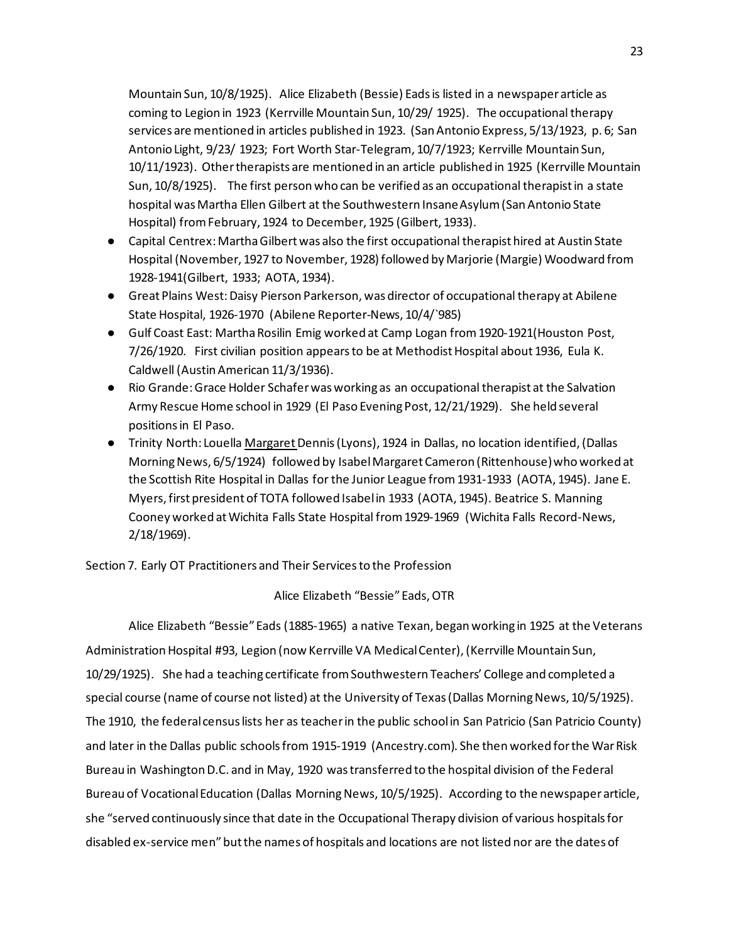Mountain Sun, 10/8/1925). Alice Elizabeth (Bessie) Eads is listed in a newspaper article as coming to Legion in 1923 (Kerrville Mountain Sun, 10/29/ 1925). The occupational therapy services are mentioned in articles published in 1923. (San Antonio Express, 5/13/1923, p. 6; San Antonio Light, 9/23/ 1923; Fort Worth Star-Telegram, 10/7/1923; Kerrville Mountain Sun, 10/11/1923). Other therapists are mentioned in an article published in 1925 (Kerrville Mountain Sun, 10/8/1925). The first person who can be verified as an occupational therapist in a state hospital was Martha Ellen Gilbert at the Southwestern Insane Asylum (San Antonio State Hospital) from February, 1924 to December, 1925 (Gilbert, 1933).

- Capital Centrex: Martha Gilbert was also the first occupational therapist hired at Austin State Hospital (November, 1927 to November, 1928) followed by Marjorie (Margie) Woodward from 1928-1941(Gilbert, 1933; AOTA, 1934).
- Great Plains West: Daisy Pierson Parkerson, was director of occupational therapy at Abilene State Hospital, 1926-1970 (Abilene Reporter-News, 10/4/`985)
- Gulf Coast East: Martha Rosilin Emig worked at Camp Logan from 1920-1921(Houston Post, 7/26/1920. First civilian position appears to be at Methodist Hospital about 1936, Eula K. Caldwell (Austin American 11/3/1936).
- Rio Grande: Grace Holder Schafer was working as an occupational therapist at the Salvation Army Rescue Home school in 1929 (El Paso Evening Post, 12/21/1929). She held several positions in El Paso.
- Trinity North: Louella Margaret Dennis (Lyons), 1924 in Dallas, no location identified, (Dallas Morning News, 6/5/1924) followed by Isabel Margaret Cameron (Rittenhouse) who worked at the Scottish Rite Hospital in Dallas for the Junior League from 1931-1933 (AOTA, 1945). Jane E. Myers, first president of TOTA followed Isabel in 1933 (AOTA, 1945). Beatrice S. Manning Cooney worked at Wichita Falls State Hospital from 1929-1969 (Wichita Falls Record-News, 2/18/1969).

Section 7. Early OT Practitioners and Their Services to the Profession

## Alice Elizabeth "Bessie" Eads, OTR

Alice Elizabeth "Bessie" Eads (1885-1965) a native Texan, began working in 1925 at the Veterans Administration Hospital #93, Legion (now Kerrville VA Medical Center), (Kerrville Mountain Sun, 10/29/1925). She had a teaching certificate from Southwestern Teachers' College and completed a special course (name of course not listed) at the University of Texas (Dallas Morning News, 10/5/1925). The 1910, the federal census lists her as teacher in the public school in San Patricio (San Patricio County) and later in the Dallas public schools from 1915-1919 (Ancestry.com). She then worked for the War Risk Bureau in Washington D.C. and in May, 1920 was transferred to the hospital division of the Federal Bureau of Vocational Education (Dallas Morning News, 10/5/1925). According to the newspaper article, she "served continuously since that date in the Occupational Therapy division of various hospitals for disabled ex-service men" but the names of hospitals and locations are not listed nor are the dates of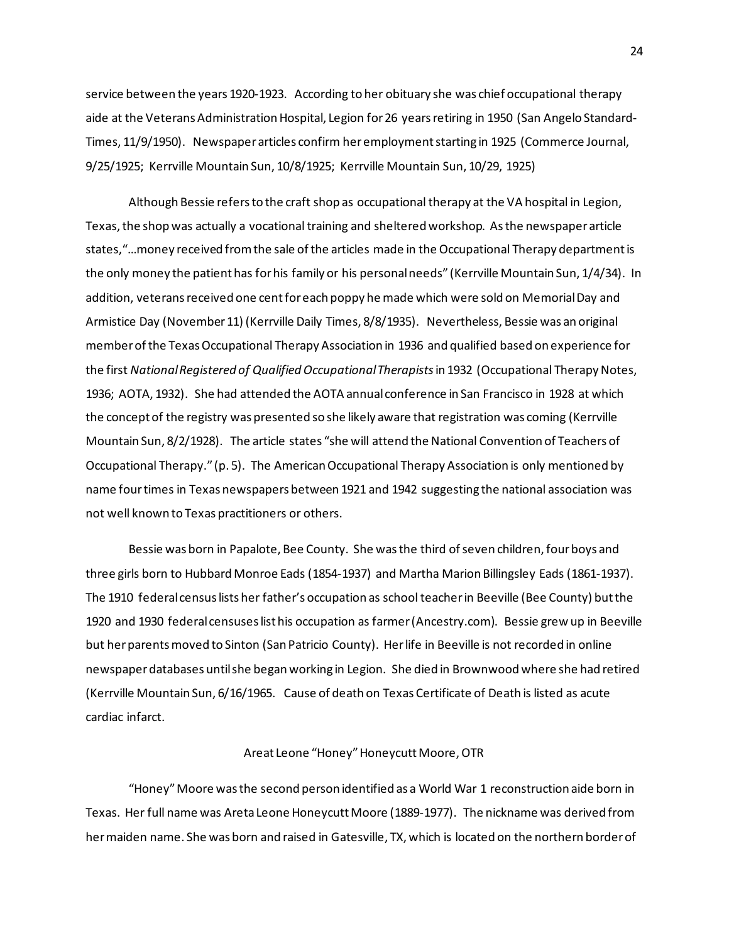service between the years 1920-1923. According to her obituary she was chief occupational therapy aide at the Veterans Administration Hospital, Legion for 26 years retiring in 1950 (San Angelo Standard-Times, 11/9/1950). Newspaper articles confirm her employment starting in 1925 (Commerce Journal, 9/25/1925; Kerrville Mountain Sun, 10/8/1925; Kerrville Mountain Sun, 10/29, 1925)

Although Bessie refers to the craft shop as occupational therapy at the VA hospital in Legion, Texas, the shop was actually a vocational training and sheltered workshop. As the newspaper article states,"…money received from the sale of the articles made in the Occupational Therapy department is the only money the patient has for his family or his personal needs" (Kerrville Mountain Sun, 1/4/34). In addition, veterans received one cent for each poppy he made which were sold on Memorial Day and Armistice Day (November 11) (Kerrville Daily Times, 8/8/1935). Nevertheless, Bessie was an original member of the Texas Occupational Therapy Association in 1936 and qualified based on experience for the first *National Registered of Qualified Occupational Therapists*in 1932 (Occupational Therapy Notes, 1936; AOTA, 1932). She had attended the AOTA annual conference in San Francisco in 1928 at which the concept of the registry was presented so she likely aware that registration was coming (Kerrville Mountain Sun, 8/2/1928). The article states "she will attend the National Convention of Teachers of Occupational Therapy." (p. 5). The American Occupational Therapy Association is only mentioned by name four times in Texas newspapers between 1921 and 1942 suggesting the national association was not well known to Texas practitioners or others.

Bessie was born in Papalote, Bee County. She was the third of seven children, four boys and three girls born to Hubbard Monroe Eads (1854-1937) and Martha Marion Billingsley Eads (1861-1937). The 1910 federal census lists her father's occupation as school teacher in Beeville (Bee County) but the 1920 and 1930 federal censuses list his occupation as farmer (Ancestry.com). Bessie grew up in Beeville but her parents moved to Sinton (San Patricio County). Her life in Beeville is not recorded in online newspaper databases until she began working in Legion. She died in Brownwood where she had retired (Kerrville Mountain Sun, 6/16/1965. Cause of death on Texas Certificate of Death is listed as acute cardiac infarct.

## Areat Leone "Honey" Honeycutt Moore, OTR

"Honey" Moore was the second person identified as a World War 1 reconstruction aide born in Texas. Her full name was Areta Leone Honeycutt Moore (1889-1977). The nickname was derived from her maiden name. She was born and raised in Gatesville, TX, which is located on the northern border of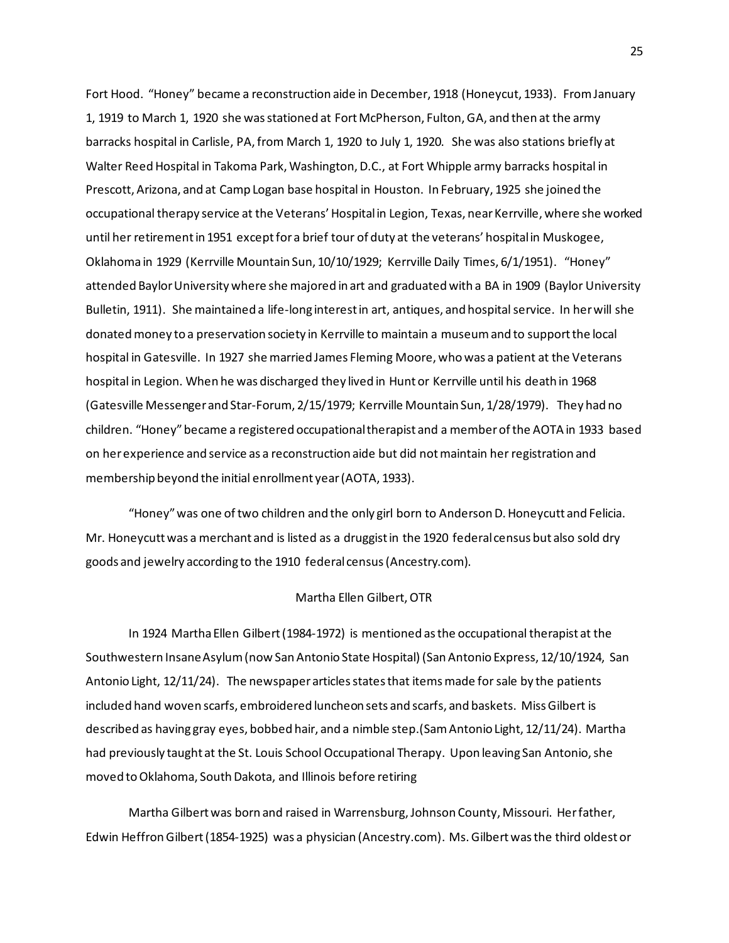Fort Hood. "Honey" became a reconstruction aide in December, 1918 (Honeycut, 1933). From January 1, 1919 to March 1, 1920 she was stationed at Fort McPherson, Fulton, GA, and then at the army barracks hospital in Carlisle, PA, from March 1, 1920 to July 1, 1920. She was also stations briefly at Walter Reed Hospital in Takoma Park, Washington, D.C., at Fort Whipple army barracks hospital in Prescott, Arizona, and at Camp Logan base hospital in Houston. In February, 1925 she joined the occupational therapy service at the Veterans' Hospital in Legion, Texas, near Kerrville, where she worked until her retirement in 1951 except for a brief tour of duty at the veterans' hospital in Muskogee, Oklahoma in 1929 (Kerrville Mountain Sun, 10/10/1929; Kerrville Daily Times, 6/1/1951). "Honey" attended Baylor University where she majored in art and graduated with a BA in 1909 (Baylor University Bulletin, 1911). She maintained a life-long interest in art, antiques, and hospital service. In her will she donated money to a preservation society in Kerrville to maintain a museum and to support the local hospital in Gatesville. In 1927 she married James Fleming Moore, who was a patient at the Veterans hospital in Legion. When he was discharged they lived in Hunt or Kerrville until his death in 1968 (Gatesville Messenger and Star-Forum, 2/15/1979; Kerrville Mountain Sun, 1/28/1979). They had no children. "Honey" became a registered occupational therapist and a member of the AOTA in 1933 based on her experience and service as a reconstruction aide but did not maintain her registration and membership beyond the initial enrollment year (AOTA, 1933).

"Honey" was one of two children and the only girl born to Anderson D. Honeycutt and Felicia. Mr. Honeycutt was a merchant and is listed as a druggist in the 1920 federal census but also sold dry goods and jewelry according to the 1910 federal census (Ancestry.com).

#### Martha Ellen Gilbert, OTR

In 1924 Martha Ellen Gilbert (1984-1972) is mentioned as the occupational therapist at the Southwestern Insane Asylum (now San Antonio State Hospital) (San Antonio Express, 12/10/1924, San Antonio Light, 12/11/24). The newspaper articles states that items made for sale by the patients included hand woven scarfs, embroidered luncheon sets and scarfs, and baskets. Miss Gilbert is described as having gray eyes, bobbed hair, and a nimble step.(Sam Antonio Light, 12/11/24). Martha had previously taught at the St. Louis School Occupational Therapy. Upon leaving San Antonio, she moved to Oklahoma, South Dakota, and Illinois before retiring

Martha Gilbert was born and raised in Warrensburg, Johnson County, Missouri. Her father, Edwin Heffron Gilbert (1854-1925) was a physician (Ancestry.com). Ms. Gilbert was the third oldest or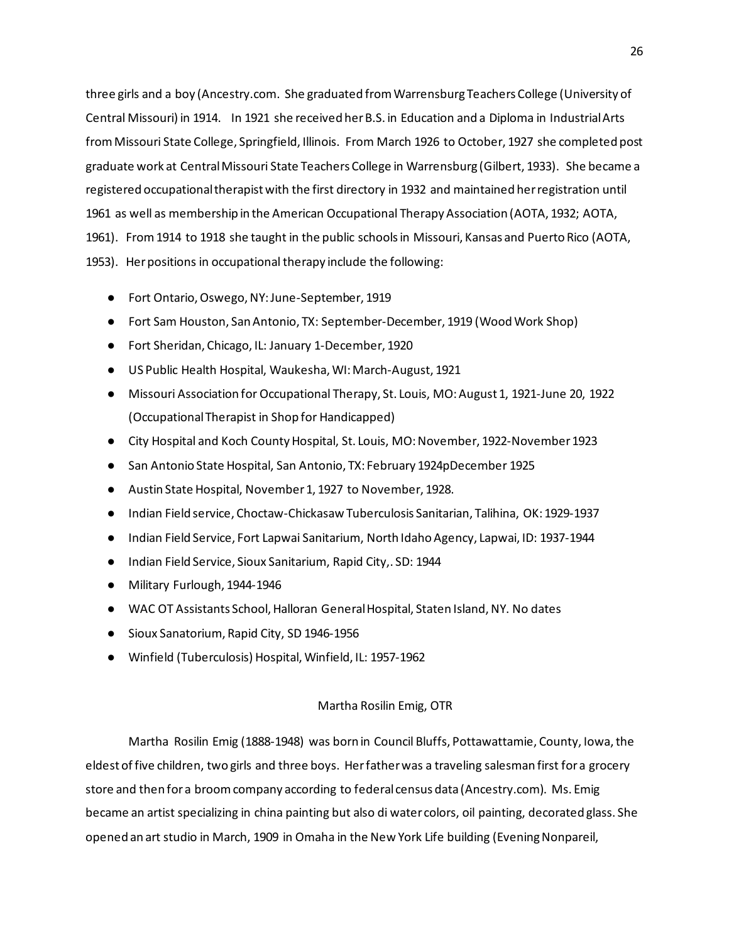three girls and a boy (Ancestry.com. She graduated from Warrensburg Teachers College (University of Central Missouri) in 1914. In 1921 she received her B.S. in Education and a Diploma in Industrial Arts from Missouri State College, Springfield, Illinois. From March 1926 to October, 1927 she completed post graduate work at Central Missouri State Teachers College in Warrensburg (Gilbert, 1933). She became a registered occupational therapist with the first directory in 1932 and maintained her registration until 1961 as well as membership in the American Occupational Therapy Association (AOTA, 1932; AOTA, 1961). From 1914 to 1918 she taught in the public schools in Missouri, Kansas and Puerto Rico (AOTA, 1953). Her positions in occupational therapy include the following:

- Fort Ontario, Oswego, NY: June-September, 1919
- Fort Sam Houston, San Antonio, TX: September-December, 1919 (Wood Work Shop)
- Fort Sheridan, Chicago, IL: January 1-December, 1920
- US Public Health Hospital, Waukesha, WI: March-August, 1921
- Missouri Association for Occupational Therapy, St. Louis, MO: August 1, 1921-June 20, 1922 (Occupational Therapist in Shop for Handicapped)
- City Hospital and Koch County Hospital, St. Louis, MO: November, 1922-November 1923
- San Antonio State Hospital, San Antonio, TX: February 1924pDecember 1925
- Austin State Hospital, November 1, 1927 to November, 1928.
- Indian Field service, Choctaw-Chickasaw Tuberculosis Sanitarian, Talihina, OK: 1929-1937
- Indian Field Service, Fort Lapwai Sanitarium, North Idaho Agency, Lapwai, ID: 1937-1944
- Indian Field Service, Sioux Sanitarium, Rapid City,. SD: 1944
- Military Furlough, 1944-1946
- WAC OT Assistants School, Halloran General Hospital, Staten Island, NY. No dates
- Sioux Sanatorium, Rapid City, SD 1946-1956
- Winfield (Tuberculosis) Hospital, Winfield, IL: 1957-1962

## Martha Rosilin Emig, OTR

Martha Rosilin Emig (1888-1948) was born in Council Bluffs, Pottawattamie, County, Iowa, the eldest of five children, two girls and three boys. Her father was a traveling salesman first for a grocery store and then for a broom company according to federal census data (Ancestry.com). Ms. Emig became an artist specializing in china painting but also di water colors, oil painting, decorated glass. She opened an art studio in March, 1909 in Omaha in the New York Life building (Evening Nonpareil,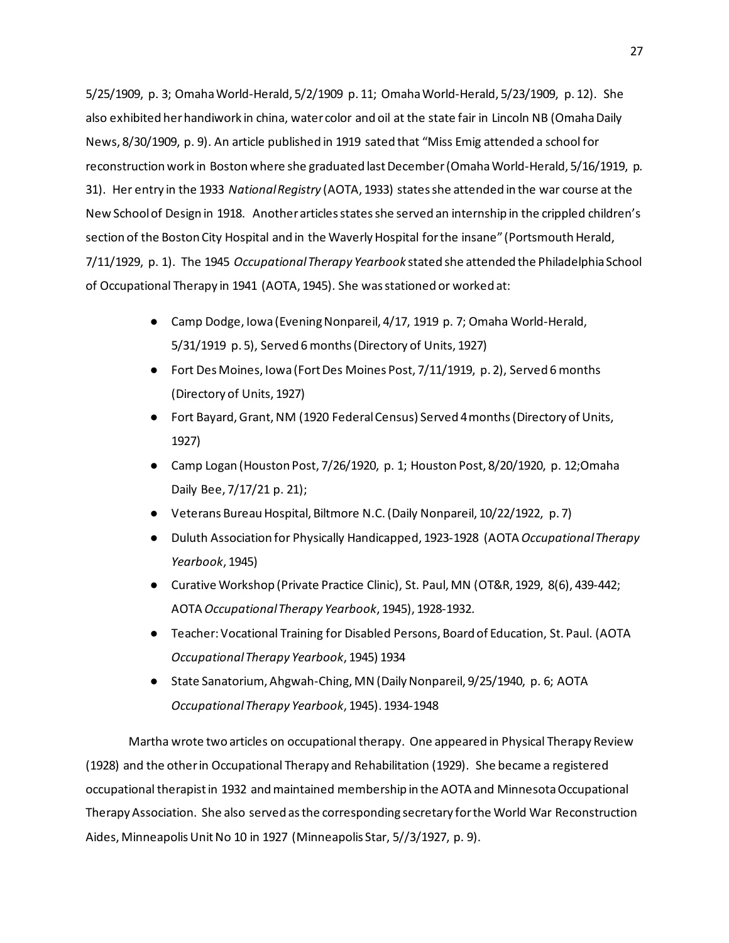5/25/1909, p. 3; Omaha World-Herald, 5/2/1909 p. 11; Omaha World-Herald, 5/23/1909, p. 12). She also exhibited her handiwork in china, water color and oil at the state fair in Lincoln NB (Omaha Daily News, 8/30/1909, p. 9). An article published in 1919 sated that "Miss Emig attended a school for reconstruction work in Boston where she graduated last December (Omaha World-Herald, 5/16/1919, p. 31). Her entry in the 1933 *National Registry* (AOTA, 1933) states she attended in the war course at the New School of Design in 1918. Another articles states she served an internship in the crippled children's section of the Boston City Hospital and in the Waverly Hospital for the insane" (Portsmouth Herald, 7/11/1929, p. 1). The 1945 *Occupational Therapy Yearbook* stated she attended the Philadelphia School of Occupational Therapy in 1941 (AOTA, 1945). She was stationed or worked at:

- Camp Dodge, Iowa (Evening Nonpareil, 4/17, 1919 p. 7; Omaha World-Herald, 5/31/1919 p. 5), Served 6 months (Directory of Units, 1927)
- Fort Des Moines, Iowa (Fort Des Moines Post, 7/11/1919, p. 2), Served 6 months (Directory of Units, 1927)
- Fort Bayard, Grant, NM (1920 Federal Census) Served 4 months (Directory of Units, 1927)
- Camp Logan (Houston Post, 7/26/1920, p. 1; Houston Post, 8/20/1920, p. 12;Omaha Daily Bee, 7/17/21 p. 21);
- Veterans Bureau Hospital, Biltmore N.C. (Daily Nonpareil, 10/22/1922, p. 7)
- Duluth Association for Physically Handicapped, 1923-1928 (AOTA *Occupational Therapy Yearbook*, 1945)
- Curative Workshop (Private Practice Clinic), St. Paul, MN (OT&R, 1929, 8(6), 439-442; AOTA *Occupational Therapy Yearbook*, 1945), 1928-1932.
- Teacher: Vocational Training for Disabled Persons, Board of Education, St. Paul. (AOTA *Occupational Therapy Yearbook*, 1945) 1934
- State Sanatorium, Ahgwah-Ching, MN (Daily Nonpareil, 9/25/1940, p. 6; AOTA *Occupational Therapy Yearbook*, 1945). 1934-1948

Martha wrote two articles on occupational therapy. One appeared in Physical Therapy Review (1928) and the other in Occupational Therapy and Rehabilitation (1929). She became a registered occupational therapist in 1932 and maintained membership in the AOTA and Minnesota Occupational Therapy Association. She also served as the corresponding secretary for the World War Reconstruction Aides, Minneapolis Unit No 10 in 1927 (Minneapolis Star, 5//3/1927, p. 9).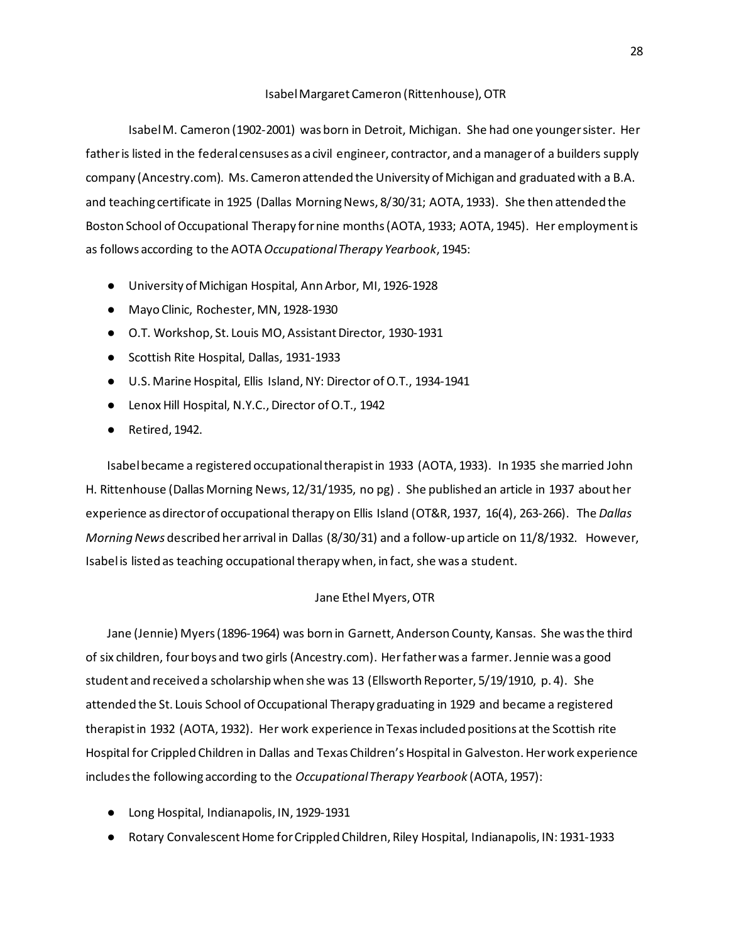#### Isabel Margaret Cameron (Rittenhouse), OTR

Isabel M. Cameron (1902-2001) was born in Detroit, Michigan. She had one younger sister. Her father is listed in the federal censuses as a civil engineer, contractor, and a manager of a builders supply company (Ancestry.com). Ms. Cameron attended the University of Michigan and graduated with a B.A. and teaching certificate in 1925 (Dallas Morning News, 8/30/31; AOTA, 1933). She then attended the Boston School of Occupational Therapy for nine months (AOTA, 1933; AOTA, 1945). Her employment is as follows according to the AOTA *Occupational Therapy Yearbook*, 1945:

- University of Michigan Hospital, Ann Arbor, MI, 1926-1928
- Mayo Clinic, Rochester, MN, 1928-1930
- O.T. Workshop, St. Louis MO, Assistant Director, 1930-1931
- Scottish Rite Hospital, Dallas, 1931-1933
- U.S. Marine Hospital, Ellis Island, NY: Director of O.T., 1934-1941
- Lenox Hill Hospital, N.Y.C., Director of O.T., 1942
- Retired, 1942.

Isabel became a registered occupational therapist in 1933 (AOTA, 1933). In 1935 she married John H. Rittenhouse (Dallas Morning News, 12/31/1935, no pg) . She published an article in 1937 about her experience as director of occupational therapy on Ellis Island (OT&R, 1937, 16(4), 263-266). The *Dallas Morning News* described her arrival in Dallas (8/30/31) and a follow-up article on 11/8/1932. However, Isabel is listed as teaching occupational therapy when, in fact, she was a student.

## Jane Ethel Myers, OTR

Jane (Jennie) Myers (1896-1964) was born in Garnett, Anderson County, Kansas. She was the third of six children, four boys and two girls (Ancestry.com). Her father was a farmer. Jennie was a good student and received a scholarship when she was 13 (Ellsworth Reporter, 5/19/1910, p. 4). She attended the St. Louis School of Occupational Therapy graduating in 1929 and became a registered therapist in 1932 (AOTA, 1932). Her work experience in Texas included positions at the Scottish rite Hospital for Crippled Children in Dallas and Texas Children's Hospital in Galveston. Her work experience includes the following according to the *Occupational Therapy Yearbook* (AOTA, 1957):

- Long Hospital, Indianapolis, IN, 1929-1931
- Rotary Convalescent Home for Crippled Children, Riley Hospital, Indianapolis, IN: 1931-1933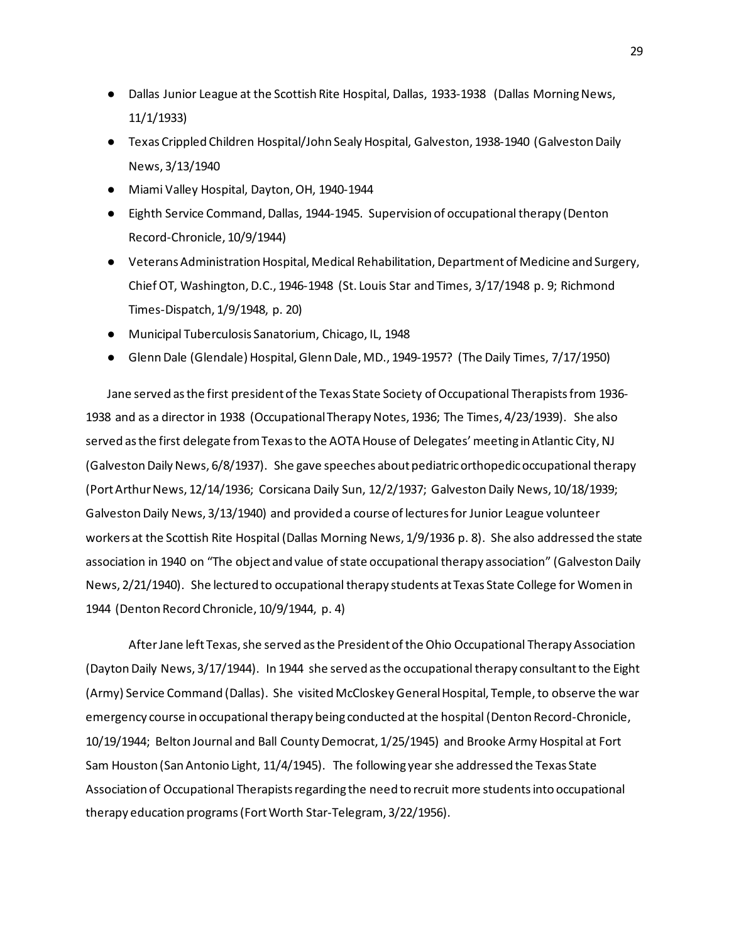- Dallas Junior League at the Scottish Rite Hospital, Dallas, 1933-1938 (Dallas Morning News, 11/1/1933)
- Texas Crippled Children Hospital/John Sealy Hospital, Galveston, 1938-1940 (Galveston Daily News, 3/13/1940
- Miami Valley Hospital, Dayton, OH, 1940-1944
- Eighth Service Command, Dallas, 1944-1945. Supervision of occupational therapy (Denton Record-Chronicle, 10/9/1944)
- Veterans Administration Hospital, Medical Rehabilitation, Department of Medicine and Surgery, Chief OT, Washington, D.C., 1946-1948 (St. Louis Star and Times, 3/17/1948 p. 9; Richmond Times-Dispatch, 1/9/1948, p. 20)
- Municipal Tuberculosis Sanatorium, Chicago, IL, 1948
- Glenn Dale (Glendale) Hospital, Glenn Dale, MD., 1949-1957? (The Daily Times, 7/17/1950)

Jane served as the first president of the Texas State Society of Occupational Therapists from 1936- 1938 and as a director in 1938 (Occupational Therapy Notes, 1936; The Times, 4/23/1939). She also served as the first delegate from Texas to the AOTA House of Delegates' meeting in Atlantic City, NJ (Galveston Daily News, 6/8/1937). She gave speeches about pediatric orthopedic occupational therapy (Port Arthur News, 12/14/1936; Corsicana Daily Sun, 12/2/1937; Galveston Daily News, 10/18/1939; Galveston Daily News, 3/13/1940) and provided a course of lectures for Junior League volunteer workers at the Scottish Rite Hospital (Dallas Morning News, 1/9/1936 p. 8). She also addressed the state association in 1940 on "The object and value of state occupational therapy association" (Galveston Daily News, 2/21/1940). She lectured to occupational therapy students at Texas State College for Women in 1944 (Denton Record Chronicle, 10/9/1944, p. 4)

After Jane left Texas, she served as the President of the Ohio Occupational Therapy Association (Dayton Daily News, 3/17/1944). In 1944 she served as the occupational therapy consultant to the Eight (Army) Service Command (Dallas). She visited McCloskey General Hospital, Temple, to observe the war emergency course in occupational therapy being conducted at the hospital (Denton Record-Chronicle, 10/19/1944; Belton Journal and Ball County Democrat, 1/25/1945) and Brooke Army Hospital at Fort Sam Houston (San Antonio Light, 11/4/1945). The following year she addressed the Texas State Association of Occupational Therapists regarding the need to recruit more students into occupational therapy education programs (Fort Worth Star-Telegram, 3/22/1956).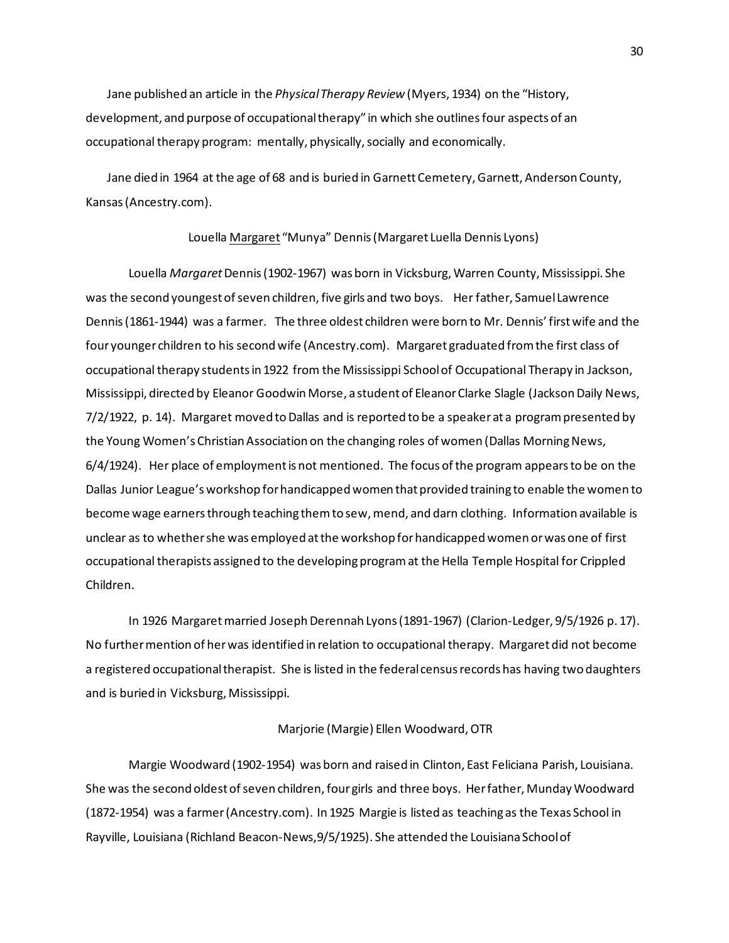Jane published an article in the *Physical Therapy Review* (Myers, 1934) on the "History, development, and purpose of occupational therapy" in which she outlines four aspects of an occupational therapy program: mentally, physically, socially and economically.

Jane died in 1964 at the age of 68 and is buried in Garnett Cemetery, Garnett, Anderson County, Kansas (Ancestry.com).

## Louella Margaret "Munya" Dennis (Margaret Luella Dennis Lyons)

Louella *Margaret*Dennis (1902-1967) was born in Vicksburg, Warren County, Mississippi. She was the second youngest of seven children, five girls and two boys. Her father, Samuel Lawrence Dennis (1861-1944) was a farmer. The three oldest children were born to Mr. Dennis' first wife and the four younger children to his second wife (Ancestry.com). Margaret graduated from the first class of occupational therapy students in 1922 from the Mississippi School of Occupational Therapy in Jackson, Mississippi, directed by Eleanor Goodwin Morse, a student of Eleanor Clarke Slagle (Jackson Daily News, 7/2/1922, p. 14). Margaret moved to Dallas and is reported to be a speaker at a program presented by the Young Women's Christian Association on the changing roles of women (Dallas Morning News, 6/4/1924). Her place of employment is not mentioned. The focus of the program appears to be on the Dallas Junior League's workshop for handicapped women that provided training to enable the women to become wage earners through teaching them to sew, mend, and darn clothing. Information available is unclear as to whether she was employed at the workshop for handicapped women or was one of first occupational therapists assigned to the developing program at the Hella Temple Hospital for Crippled Children.

In 1926 Margaret married Joseph Derennah Lyons (1891-1967) (Clarion-Ledger, 9/5/1926 p. 17). No further mention of her was identified in relation to occupational therapy. Margaret did not become a registered occupational therapist. She is listed in the federal census records has having two daughters and is buried in Vicksburg, Mississippi.

#### Marjorie (Margie) Ellen Woodward, OTR

Margie Woodward (1902-1954) was born and raised in Clinton, East Feliciana Parish, Louisiana. She was the second oldest of seven children, four girls and three boys. Her father, Munday Woodward (1872-1954) was a farmer (Ancestry.com). In 1925 Margie is listed as teaching as the Texas School in Rayville, Louisiana (Richland Beacon-News,9/5/1925). She attended the Louisiana School of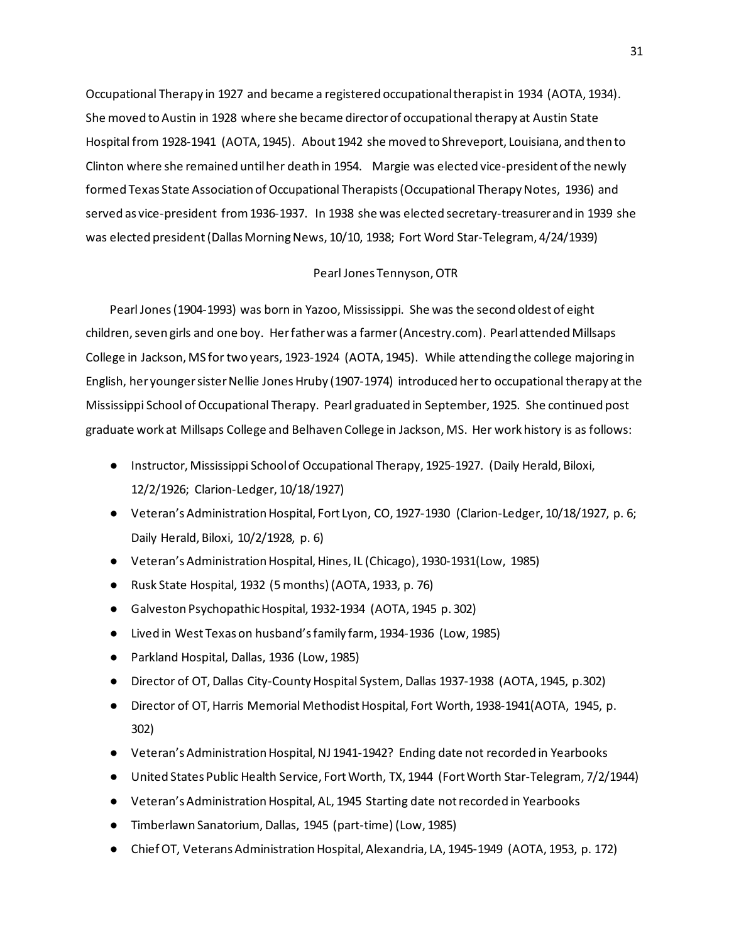Occupational Therapy in 1927 and became a registered occupational therapist in 1934 (AOTA, 1934). She moved to Austin in 1928 where she became director of occupational therapy at Austin State Hospital from 1928-1941 (AOTA, 1945). About 1942 she moved to Shreveport, Louisiana, and then to Clinton where she remained until her death in 1954. Margie was elected vice-president of the newly formed Texas State Association of Occupational Therapists (Occupational Therapy Notes, 1936) and served as vice-president from 1936-1937. In 1938 she was elected secretary-treasurer and in 1939 she was elected president (Dallas Morning News, 10/10, 1938; Fort Word Star-Telegram, 4/24/1939)

### Pearl Jones Tennyson, OTR

Pearl Jones (1904-1993) was born in Yazoo, Mississippi. She was the second oldest of eight children, seven girls and one boy. Her father was a farmer (Ancestry.com). Pearl attended Millsaps College in Jackson, MS for two years, 1923-1924 (AOTA, 1945). While attending the college majoring in English, her younger sister Nellie Jones Hruby (1907-1974) introduced her to occupational therapy at the Mississippi School of Occupational Therapy. Pearl graduated in September, 1925. She continued post graduate work at Millsaps College and Belhaven College in Jackson, MS. Her work history is as follows:

- Instructor, Mississippi School of Occupational Therapy, 1925-1927. (Daily Herald, Biloxi, 12/2/1926; Clarion-Ledger, 10/18/1927)
- Veteran's Administration Hospital, Fort Lyon, CO, 1927-1930 (Clarion-Ledger, 10/18/1927, p. 6; Daily Herald, Biloxi, 10/2/1928, p. 6)
- Veteran's Administration Hospital, Hines, IL (Chicago), 1930-1931(Low, 1985)
- Rusk State Hospital, 1932 (5 months) (AOTA, 1933, p. 76)
- Galveston Psychopathic Hospital, 1932-1934 (AOTA, 1945 p. 302)
- Lived in West Texas on husband's family farm, 1934-1936 (Low, 1985)
- Parkland Hospital, Dallas, 1936 (Low, 1985)
- Director of OT, Dallas City-County Hospital System, Dallas 1937-1938 (AOTA, 1945, p.302)
- Director of OT, Harris Memorial Methodist Hospital, Fort Worth, 1938-1941(AOTA, 1945, p. 302)
- Veteran's Administration Hospital, NJ 1941-1942? Ending date not recorded in Yearbooks
- United States Public Health Service, Fort Worth, TX, 1944 (Fort Worth Star-Telegram, 7/2/1944)
- Veteran's Administration Hospital, AL, 1945 Starting date not recorded in Yearbooks
- Timberlawn Sanatorium, Dallas, 1945 (part-time) (Low, 1985)
- Chief OT, Veterans Administration Hospital, Alexandria, LA, 1945-1949 (AOTA, 1953, p. 172)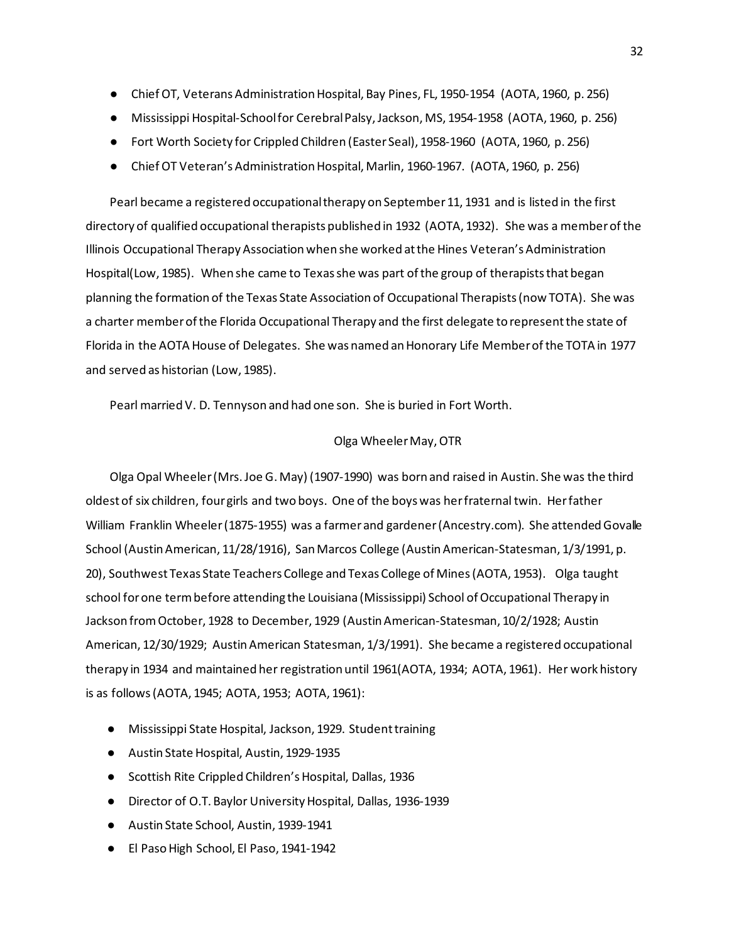- Chief OT, Veterans Administration Hospital, Bay Pines, FL, 1950-1954 (AOTA, 1960, p. 256)
- Mississippi Hospital-School for Cerebral Palsy, Jackson, MS, 1954-1958 (AOTA, 1960, p. 256)
- Fort Worth Society for Crippled Children (Easter Seal), 1958-1960 (AOTA, 1960, p. 256)
- Chief OT Veteran's Administration Hospital, Marlin, 1960-1967. (AOTA, 1960, p. 256)

Pearl became a registered occupational therapy on September 11, 1931 and is listed in the first directory of qualified occupational therapists published in 1932 (AOTA, 1932). She was a member of the Illinois Occupational Therapy Association when she worked at the Hines Veteran's Administration Hospital(Low, 1985). When she came to Texas she was part of the group of therapists that began planning the formation of the Texas State Association of Occupational Therapists (now TOTA). She was a charter member of the Florida Occupational Therapy and the first delegate to represent the state of Florida in the AOTA House of Delegates. She was named an Honorary Life Member of the TOTA in 1977 and served as historian (Low, 1985).

Pearl married V. D. Tennyson and had one son. She is buried in Fort Worth.

## Olga Wheeler May, OTR

Olga Opal Wheeler (Mrs. Joe G. May) (1907-1990) was born and raised in Austin. She was the third oldest of six children, four girls and two boys. One of the boys was her fraternal twin. Her father William Franklin Wheeler (1875-1955) was a farmer and gardener (Ancestry.com). She attended Govalle School (Austin American, 11/28/1916), San Marcos College (Austin American-Statesman, 1/3/1991, p. 20), Southwest Texas State Teachers College and Texas College of Mines (AOTA, 1953). Olga taught school for one term before attending the Louisiana (Mississippi) School of Occupational Therapy in Jackson from October, 1928 to December, 1929 (Austin American-Statesman, 10/2/1928; Austin American, 12/30/1929; Austin American Statesman, 1/3/1991). She became a registered occupational therapy in 1934 and maintained her registration until 1961(AOTA, 1934; AOTA, 1961). Her work history is as follows (AOTA, 1945; AOTA, 1953; AOTA, 1961):

- Mississippi State Hospital, Jackson, 1929. Student training
- Austin State Hospital, Austin, 1929-1935
- Scottish Rite Crippled Children's Hospital, Dallas, 1936
- Director of O.T. Baylor University Hospital, Dallas, 1936-1939
- Austin State School, Austin, 1939-1941
- El Paso High School, El Paso, 1941-1942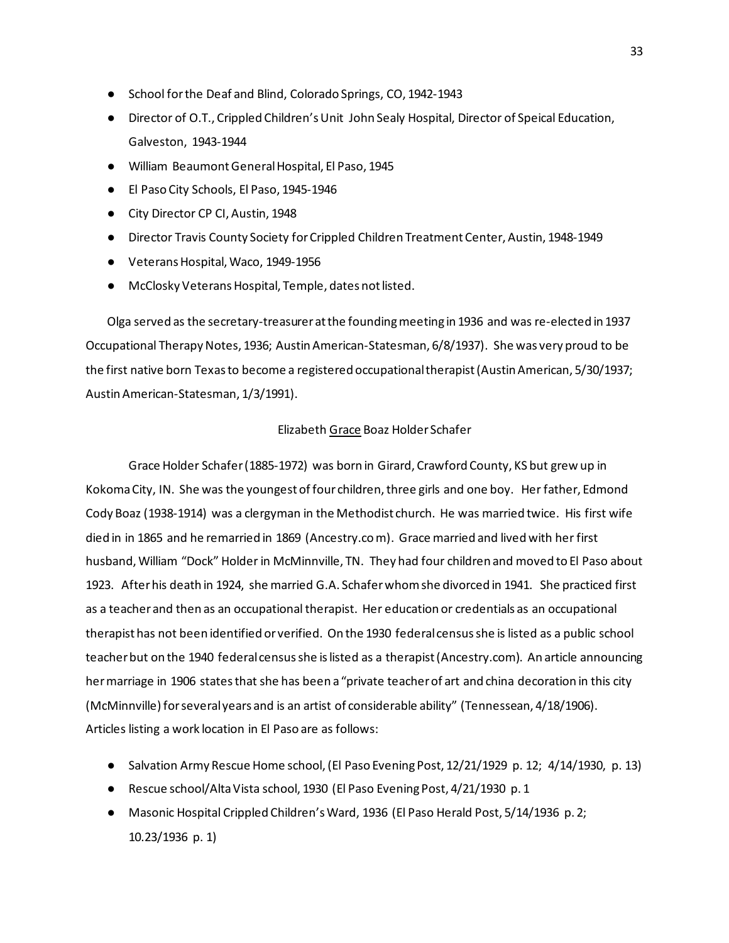- School for the Deaf and Blind, Colorado Springs, CO, 1942-1943
- Director of O.T., Crippled Children's Unit John Sealy Hospital, Director of Speical Education, Galveston, 1943-1944
- William Beaumont General Hospital, El Paso, 1945
- El Paso City Schools, El Paso, 1945-1946
- City Director CP CI, Austin, 1948
- Director Travis County Society for Crippled Children Treatment Center, Austin, 1948-1949
- Veterans Hospital, Waco, 1949-1956
- McClosky Veterans Hospital, Temple, dates not listed.

Olga served as the secretary-treasurer at the founding meeting in 1936 and was re-elected in 1937 Occupational Therapy Notes, 1936; Austin American-Statesman, 6/8/1937). She was very proud to be the first native born Texas to become a registered occupational therapist (Austin American, 5/30/1937; Austin American-Statesman, 1/3/1991).

## Elizabeth Grace Boaz Holder Schafer

Grace Holder Schafer (1885-1972) was born in Girard, Crawford County, KS but grew up in Kokoma City, IN. She was the youngest of four children, three girls and one boy. Her father, Edmond Cody Boaz (1938-1914) was a clergyman in the Methodist church. He was married twice. His first wife died in in 1865 and he remarried in 1869 (Ancestry.co m). Grace married and lived with her first husband, William "Dock" Holder in McMinnville, TN. They had four children and moved to El Paso about 1923. After his death in 1924, she married G.A. Schafer whom she divorced in 1941. She practiced first as a teacher and then as an occupational therapist. Her education or credentials as an occupational therapist has not been identified or verified. On the 1930 federal census she is listed as a public school teacher but on the 1940 federal census she is listed as a therapist (Ancestry.com). An article announcing her marriage in 1906 states that she has been a "private teacher of art and china decoration in this city (McMinnville) for several years and is an artist of considerable ability" (Tennessean, 4/18/1906). Articles listing a work location in El Paso are as follows:

- Salvation Army Rescue Home school, (El Paso Evening Post, 12/21/1929 p. 12; 4/14/1930, p. 13)
- Rescue school/Alta Vista school, 1930 (El Paso Evening Post, 4/21/1930 p. 1
- Masonic Hospital Crippled Children's Ward, 1936 (El Paso Herald Post, 5/14/1936 p. 2; 10.23/1936 p. 1)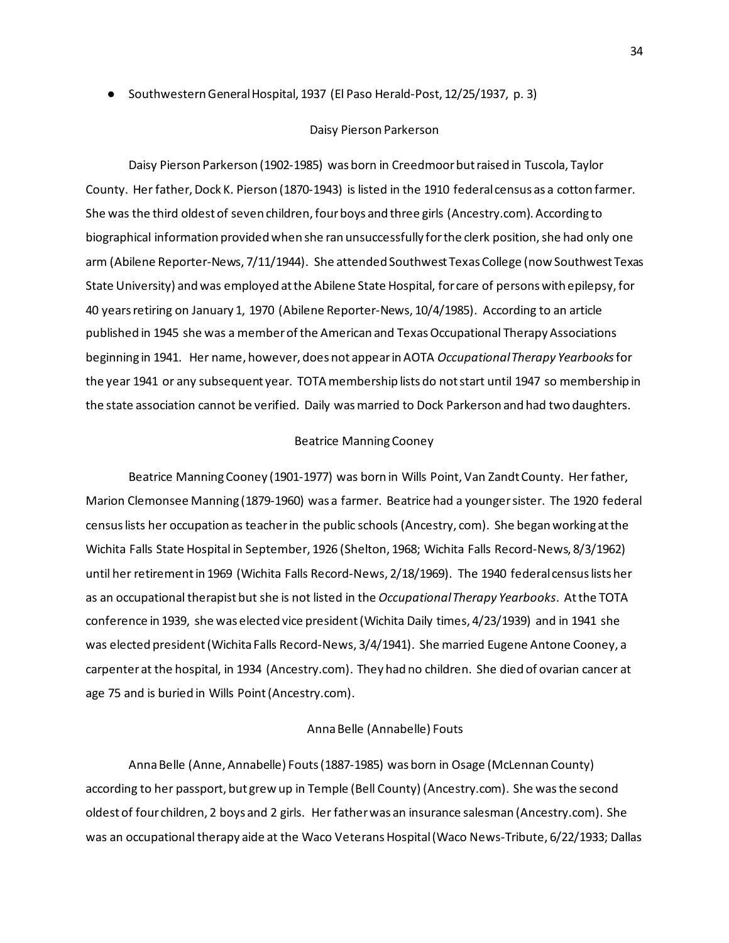● Southwestern General Hospital, 1937 (El Paso Herald-Post, 12/25/1937, p. 3)

#### Daisy Pierson Parkerson

Daisy Pierson Parkerson (1902-1985) was born in Creedmoor but raised in Tuscola, Taylor County. Her father, Dock K. Pierson (1870-1943) is listed in the 1910 federal census as a cotton farmer. She was the third oldest of seven children, four boys and three girls (Ancestry.com). According to biographical information provided when she ran unsuccessfully for the clerk position, she had only one arm (Abilene Reporter-News, 7/11/1944). She attended Southwest Texas College (now Southwest Texas State University) and was employed at the Abilene State Hospital, for care of persons with epilepsy, for 40 years retiring on January 1, 1970 (Abilene Reporter-News, 10/4/1985). According to an article published in 1945 she was a member of the American and Texas Occupational Therapy Associations beginning in 1941. Her name, however, does not appear in AOTA *Occupational Therapy Yearbooks*for the year 1941 or any subsequent year. TOTA membership lists do not start until 1947 so membership in the state association cannot be verified. Daily was married to Dock Parkerson and had two daughters.

### Beatrice Manning Cooney

Beatrice Manning Cooney (1901-1977) was born in Wills Point, Van Zandt County. Her father, Marion Clemonsee Manning (1879-1960) was a farmer. Beatrice had a younger sister. The 1920 federal census lists her occupation as teacher in the public schools (Ancestry, com). She began working at the Wichita Falls State Hospital in September, 1926 (Shelton, 1968; Wichita Falls Record-News, 8/3/1962) until her retirement in 1969 (Wichita Falls Record-News, 2/18/1969). The 1940 federal census lists her as an occupational therapist but she is not listed in the *Occupational Therapy Yearbooks*. At the TOTA conference in 1939, she was elected vice president (Wichita Daily times, 4/23/1939) and in 1941 she was elected president (Wichita Falls Record-News, 3/4/1941). She married Eugene Antone Cooney, a carpenter at the hospital, in 1934 (Ancestry.com). They had no children. She died of ovarian cancer at age 75 and is buried in Wills Point (Ancestry.com).

#### Anna Belle (Annabelle) Fouts

Anna Belle (Anne, Annabelle) Fouts (1887-1985) was born in Osage (McLennan County) according to her passport, but grew up in Temple (Bell County) (Ancestry.com). She was the second oldest of four children, 2 boys and 2 girls. Her father was an insurance salesman (Ancestry.com). She was an occupational therapy aide at the Waco Veterans Hospital (Waco News-Tribute, 6/22/1933; Dallas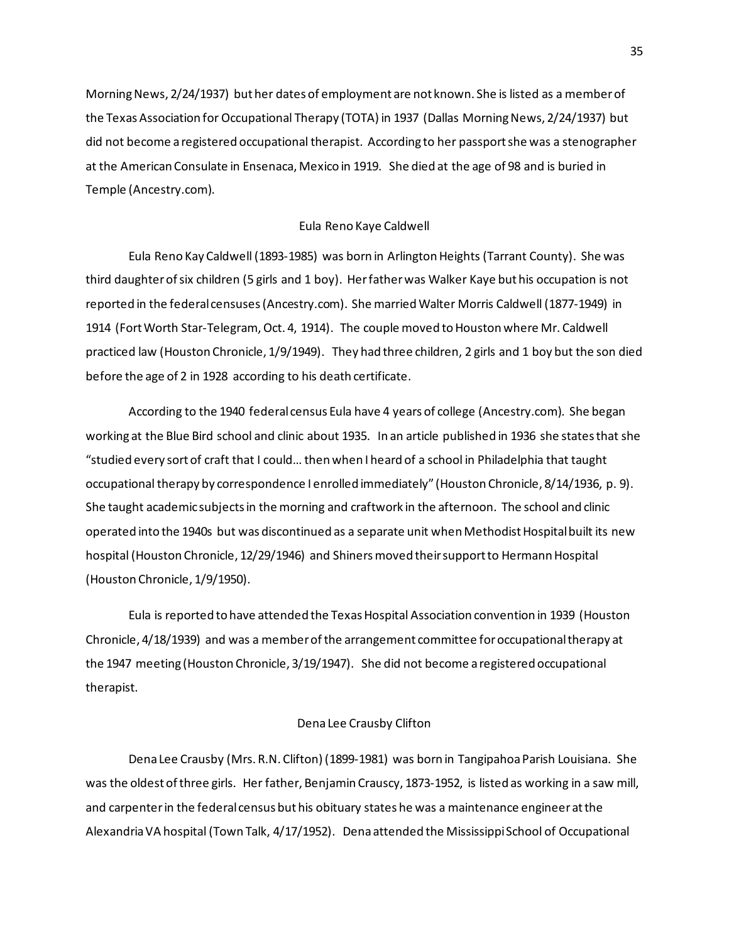Morning News, 2/24/1937) but her dates of employment are not known. She is listed as a member of the Texas Association for Occupational Therapy (TOTA) in 1937 (Dallas Morning News, 2/24/1937) but did not become a registered occupational therapist. According to her passport she was a stenographer at the American Consulate in Ensenaca, Mexico in 1919. She died at the age of 98 and is buried in Temple (Ancestry.com).

#### Eula Reno Kaye Caldwell

Eula Reno Kay Caldwell (1893-1985) was born in Arlington Heights (Tarrant County). She was third daughter of six children (5 girls and 1 boy). Her father was Walker Kaye but his occupation is not reported in the federal censuses (Ancestry.com). She married Walter Morris Caldwell (1877-1949) in 1914 (Fort Worth Star-Telegram, Oct. 4, 1914). The couple moved to Houston where Mr. Caldwell practiced law (Houston Chronicle, 1/9/1949). They had three children, 2 girls and 1 boy but the son died before the age of 2 in 1928 according to his death certificate.

According to the 1940 federal census Eula have 4 years of college (Ancestry.com). She began working at the Blue Bird school and clinic about 1935. In an article published in 1936 she states that she "studied every sort of craft that I could… then when I heard of a school in Philadelphia that taught occupational therapy by correspondence I enrolled immediately" (Houston Chronicle, 8/14/1936, p. 9). She taught academic subjects in the morning and craftwork in the afternoon. The school and clinic operated into the 1940s but was discontinued as a separate unit when Methodist Hospital built its new hospital (Houston Chronicle, 12/29/1946) and Shiners moved their support to Hermann Hospital (Houston Chronicle, 1/9/1950).

Eula is reported to have attended the Texas Hospital Association convention in 1939 (Houston Chronicle, 4/18/1939) and was a member of the arrangement committee for occupational therapy at the 1947 meeting (Houston Chronicle, 3/19/1947). She did not become a registered occupational therapist.

## Dena Lee Crausby Clifton

Dena Lee Crausby (Mrs. R.N. Clifton) (1899-1981) was born in Tangipahoa Parish Louisiana. She was the oldest of three girls. Her father, Benjamin Crauscy, 1873-1952, is listed as working in a saw mill, and carpenter in the federal census but his obituary states he was a maintenance engineer at the Alexandria VA hospital (Town Talk, 4/17/1952). Dena attended the Mississippi School of Occupational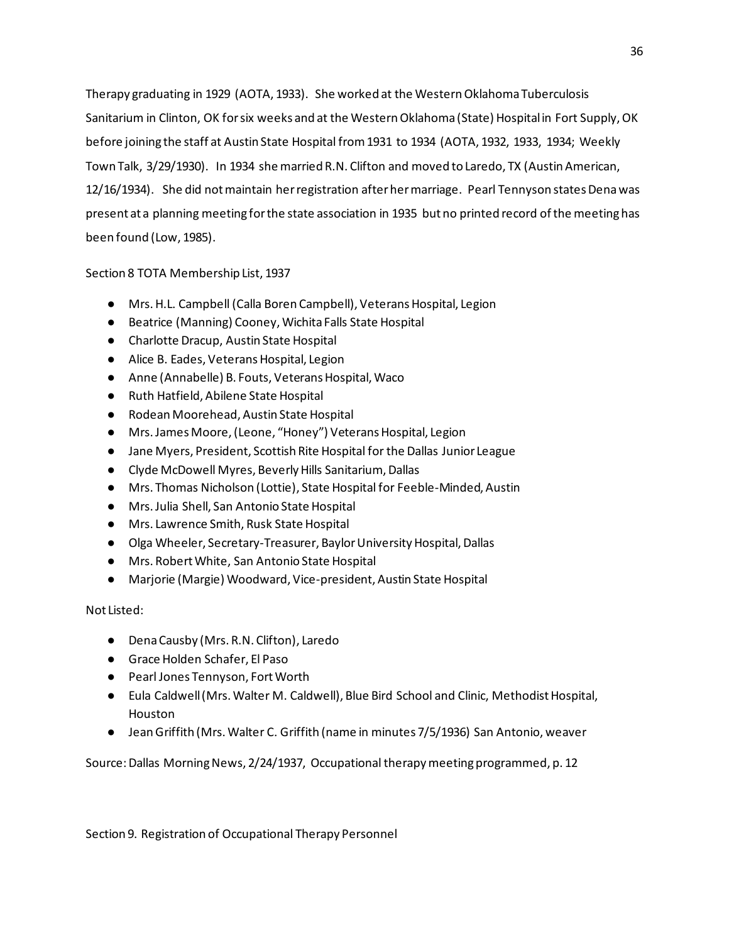Therapy graduating in 1929 (AOTA, 1933). She worked at the Western Oklahoma Tuberculosis Sanitarium in Clinton, OK for six weeks and at the Western Oklahoma (State) Hospital in Fort Supply, OK before joining the staff at Austin State Hospital from 1931 to 1934 (AOTA, 1932, 1933, 1934; Weekly Town Talk, 3/29/1930). In 1934 she married R.N. Clifton and moved to Laredo, TX (Austin American, 12/16/1934). She did not maintain her registration after her marriage. Pearl Tennyson states Dena was present at a planning meeting for the state association in 1935 but no printed record of the meeting has been found (Low, 1985).

Section 8 TOTA Membership List, 1937

- Mrs. H.L. Campbell (Calla Boren Campbell), Veterans Hospital, Legion
- Beatrice (Manning) Cooney, Wichita Falls State Hospital
- Charlotte Dracup, Austin State Hospital
- Alice B. Eades, Veterans Hospital, Legion
- Anne (Annabelle) B. Fouts, Veterans Hospital, Waco
- Ruth Hatfield, Abilene State Hospital
- Rodean Moorehead, Austin State Hospital
- Mrs. James Moore, (Leone, "Honey") Veterans Hospital, Legion
- Jane Myers, President, Scottish Rite Hospital for the Dallas Junior League
- Clyde McDowell Myres, Beverly Hills Sanitarium, Dallas
- Mrs. Thomas Nicholson (Lottie), State Hospital for Feeble-Minded, Austin
- Mrs. Julia Shell, San Antonio State Hospital
- Mrs. Lawrence Smith, Rusk State Hospital
- Olga Wheeler, Secretary-Treasurer, Baylor University Hospital, Dallas
- Mrs. Robert White, San Antonio State Hospital
- Marjorie (Margie) Woodward, Vice-president, Austin State Hospital

Not Listed:

- Dena Causby (Mrs. R.N. Clifton), Laredo
- Grace Holden Schafer, El Paso
- Pearl Jones Tennyson, Fort Worth
- Eula Caldwell (Mrs. Walter M. Caldwell), Blue Bird School and Clinic, Methodist Hospital, Houston
- Jean Griffith (Mrs. Walter C. Griffith (name in minutes 7/5/1936) San Antonio, weaver

Source: Dallas Morning News, 2/24/1937, Occupational therapy meeting programmed, p. 12

Section 9. Registration of Occupational Therapy Personnel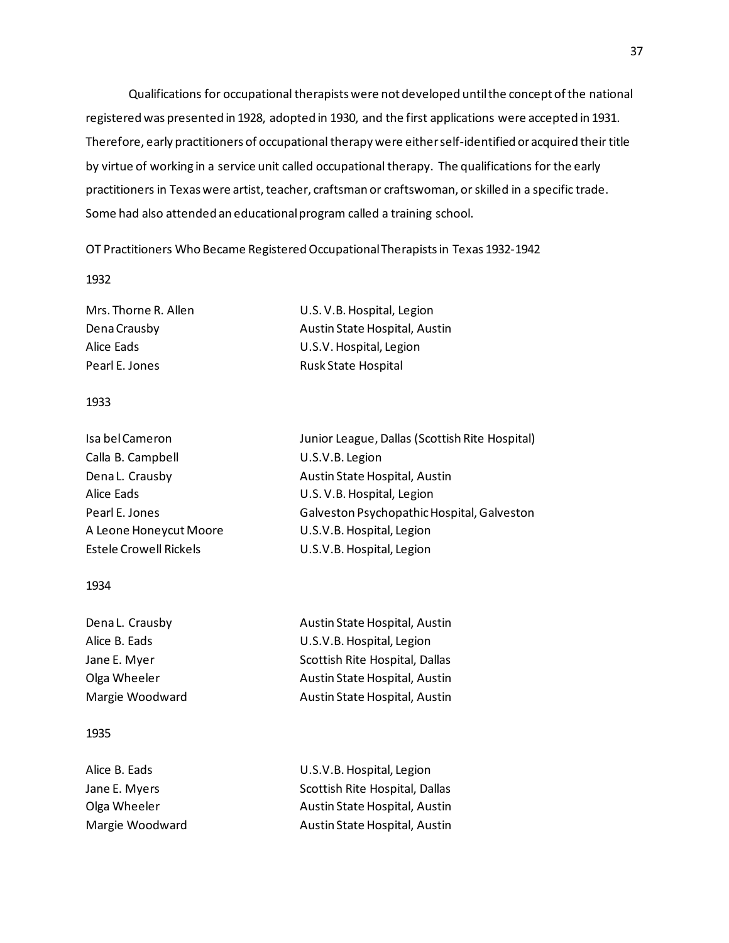Qualifications for occupational therapists were not developed until the concept of the national registered was presented in 1928, adopted in 1930, and the first applications were accepted in 1931. Therefore, early practitioners of occupational therapy were either self-identified or acquired their title by virtue of working in a service unit called occupational therapy. The qualifications for the early practitioners in Texas were artist, teacher, craftsman or craftswoman, or skilled in a specific trade. Some had also attended an educational program called a training school.

OT Practitioners Who Became Registered Occupational Therapists in Texas 1932-1942

1932

Pearl E. Jones Rusk State Hospital

Mrs. Thorne R. Allen U.S. V.B. Hospital, Legion Dena Crausby **Austin State Hospital, Austin** Alice Eads U.S.V. Hospital, Legion

## 1933

| Isa bel Cameron               | Junior League, Dallas (Scottish Rite Hospital) |
|-------------------------------|------------------------------------------------|
| Calla B. Campbell             | U.S.V.B. Legion                                |
| Dena L. Crausby               | Austin State Hospital, Austin                  |
| Alice Eads                    | U.S. V.B. Hospital, Legion                     |
| Pearl E. Jones                | Galveston Psychopathic Hospital, Galveston     |
| A Leone Honeycut Moore        | U.S.V.B. Hospital, Legion                      |
| <b>Estele Crowell Rickels</b> | U.S.V.B. Hospital, Legion                      |
|                               |                                                |

## 1934

| Dena L. Crausby | Austin State Hospital, Austin  |
|-----------------|--------------------------------|
| Alice B. Eads   | U.S.V.B. Hospital, Legion      |
| Jane E. Myer    | Scottish Rite Hospital, Dallas |
| Olga Wheeler    | Austin State Hospital, Austin  |
| Margie Woodward | Austin State Hospital, Austin  |

## 1935

| U.S.V.B. Hospital, Legion      |
|--------------------------------|
| Scottish Rite Hospital, Dallas |
| Austin State Hospital, Austin  |
| Austin State Hospital, Austin  |
|                                |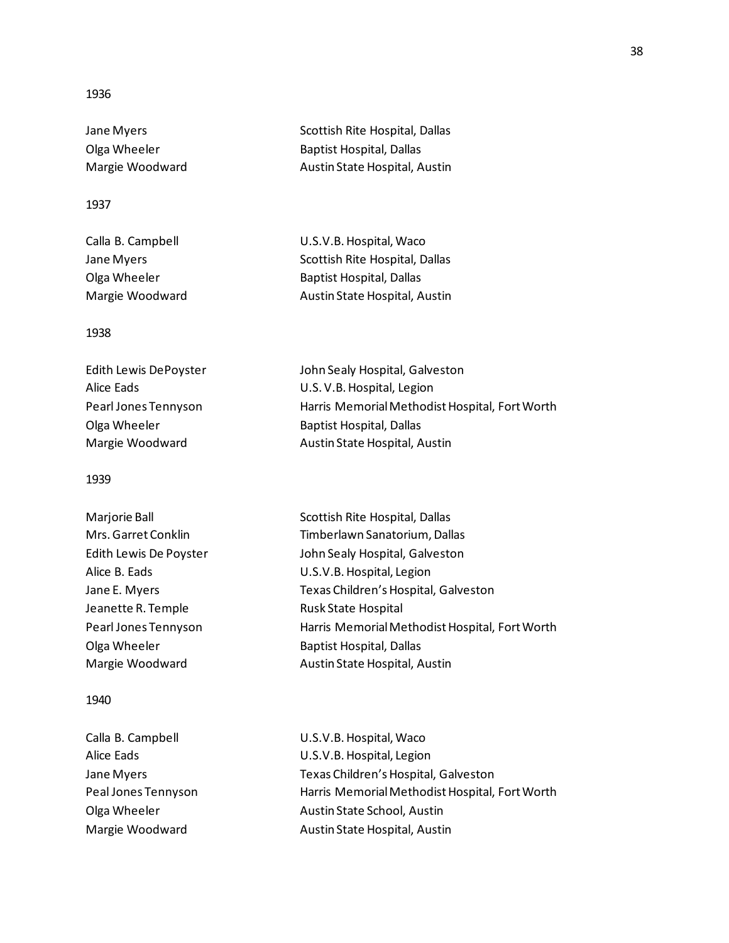# 1936

Jane Myers **Scottish Rite Hospital**, Dallas Olga Wheeler **Baptist Hospital, Dallas** Margie Woodward **Austin State Hospital, Austin** 

# 1937

| Calla B. Campbell | U.S.V.B. Hospital, Waco        |
|-------------------|--------------------------------|
| Jane Mvers        | Scottish Rite Hospital, Dallas |
| Olga Wheeler      | Baptist Hospital, Dallas       |
| Margie Woodward   | Austin State Hospital, Austin  |

## 1938

| John Sealy Hospital, Galveston                 |
|------------------------------------------------|
| U.S. V.B. Hospital, Legion                     |
| Harris Memorial Methodist Hospital, Fort Worth |
| <b>Baptist Hospital, Dallas</b>                |
| Austin State Hospital, Austin                  |
|                                                |

## 1939

| Marjorie Ball          | Scottish Rite Hospital, Dallas                 |
|------------------------|------------------------------------------------|
| Mrs. Garret Conklin    | Timberlawn Sanatorium, Dallas                  |
| Edith Lewis De Poyster | John Sealy Hospital, Galveston                 |
| Alice B. Eads          | U.S.V.B. Hospital, Legion                      |
| Jane E. Myers          | Texas Children's Hospital, Galveston           |
| Jeanette R. Temple     | Rusk State Hospital                            |
| Pearl Jones Tennyson   | Harris Memorial Methodist Hospital, Fort Worth |
| Olga Wheeler           | <b>Baptist Hospital, Dallas</b>                |
| Margie Woodward        | Austin State Hospital, Austin                  |
|                        |                                                |

## 1940

| Harris Memorial Methodist Hospital, Fort Worth |
|------------------------------------------------|
|                                                |
|                                                |
|                                                |

## 38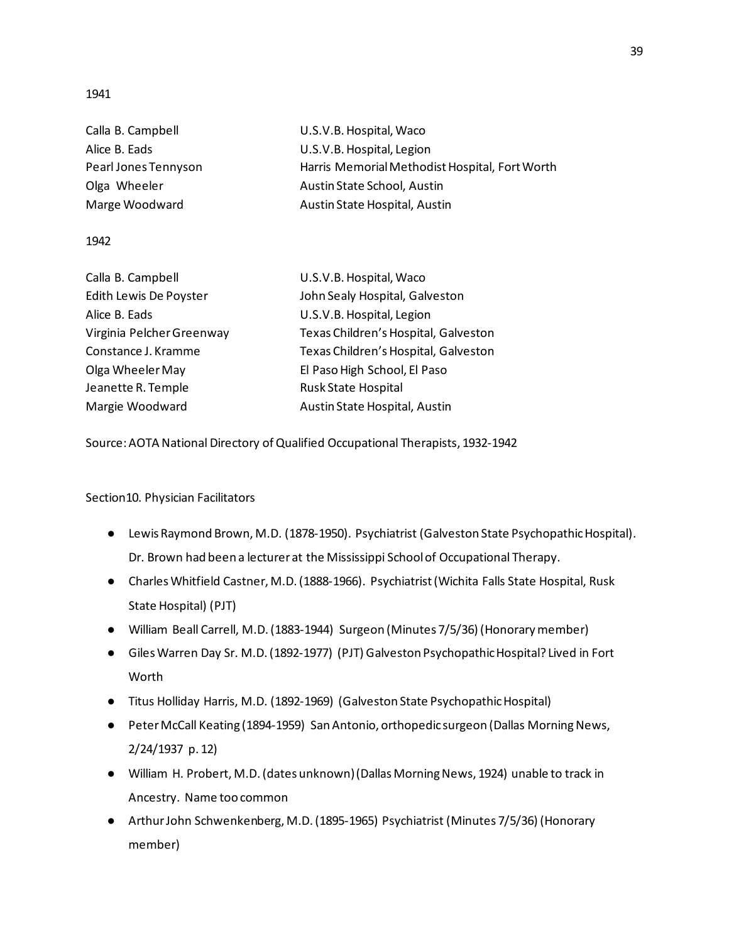1941

| U.S.V.B. Hospital, Waco                        |
|------------------------------------------------|
| U.S.V.B. Hospital, Legion                      |
| Harris Memorial Methodist Hospital, Fort Worth |
| Austin State School, Austin                    |
| Austin State Hospital, Austin                  |
|                                                |

## 1942

| Calla B. Campbell         | U.S.V.B. Hospital, Waco              |
|---------------------------|--------------------------------------|
| Edith Lewis De Poyster    | John Sealy Hospital, Galveston       |
| Alice B. Eads             | U.S.V.B. Hospital, Legion            |
| Virginia Pelcher Greenway | Texas Children's Hospital, Galveston |
| Constance J. Kramme       | Texas Children's Hospital, Galveston |
| Olga Wheeler May          | El Paso High School, El Paso         |
| Jeanette R. Temple        | <b>Rusk State Hospital</b>           |
| Margie Woodward           | Austin State Hospital, Austin        |

Source: AOTA National Directory of Qualified Occupational Therapists, 1932-1942

Section10. Physician Facilitators

- Lewis Raymond Brown, M.D. (1878-1950). Psychiatrist (Galveston State Psychopathic Hospital). Dr. Brown had been a lecturer at the Mississippi School of Occupational Therapy.
- Charles Whitfield Castner, M.D. (1888-1966). Psychiatrist (Wichita Falls State Hospital, Rusk State Hospital) (PJT)
- William Beall Carrell, M.D. (1883-1944) Surgeon (Minutes 7/5/36) (Honorary member)
- Giles Warren Day Sr. M.D. (1892-1977) (PJT) Galveston Psychopathic Hospital? Lived in Fort Worth
- Titus Holliday Harris, M.D. (1892-1969) (Galveston State Psychopathic Hospital)
- Peter McCall Keating (1894-1959) San Antonio, orthopedic surgeon (Dallas Morning News, 2/24/1937 p. 12)
- William H. Probert, M.D. (dates unknown) (Dallas Morning News, 1924) unable to track in Ancestry. Name too common
- Arthur John Schwenkenberg, M.D. (1895-1965) Psychiatrist (Minutes 7/5/36) (Honorary member)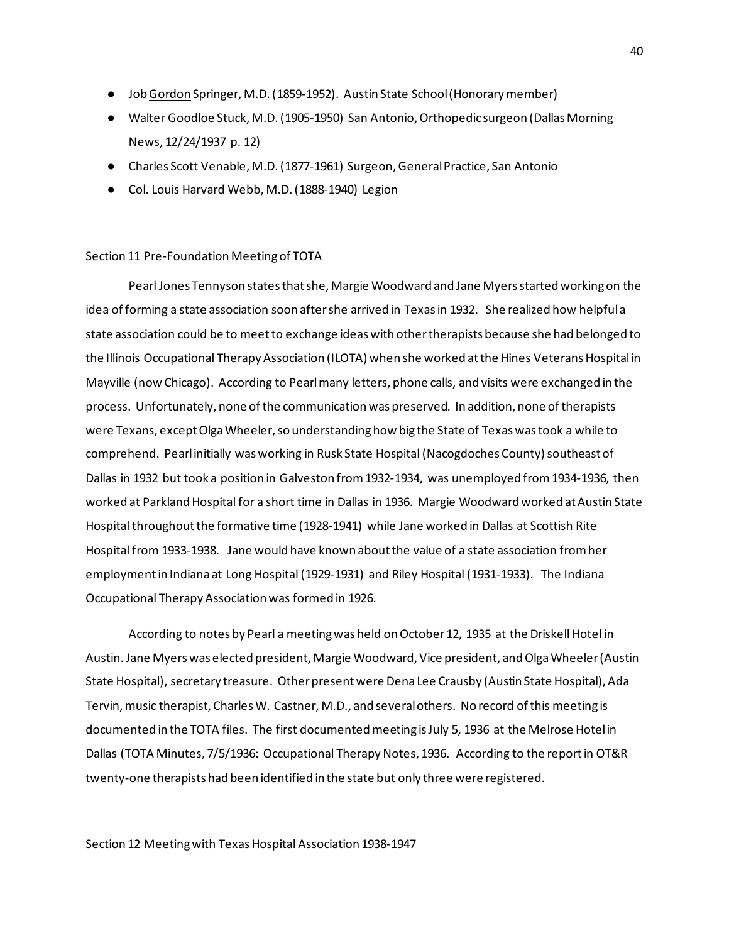- Job Gordon Springer, M.D. (1859-1952). Austin State School (Honorary member)
- Walter Goodloe Stuck, M.D. (1905-1950) San Antonio, Orthopedic surgeon (Dallas Morning News, 12/24/1937 p. 12)
- Charles Scott Venable, M.D. (1877-1961) Surgeon, General Practice, San Antonio
- Col. Louis Harvard Webb, M.D. (1888-1940) Legion

#### Section 11 Pre-Foundation Meeting of TOTA

Pearl Jones Tennyson states that she, Margie Woodward and Jane Myers started working on the idea of forming a state association soon after she arrived in Texas in 1932. She realized how helpful a state association could be to meet to exchange ideas with other therapists because she had belonged to the Illinois Occupational Therapy Association (ILOTA) when she worked at the Hines Veterans Hospital in Mayville (now Chicago). According to Pearl many letters, phone calls, and visits were exchanged in the process. Unfortunately, none of the communication was preserved. In addition, none of therapists were Texans, except Olga Wheeler, so understanding how big the State of Texas was took a while to comprehend. Pearl initially was working in Rusk State Hospital (Nacogdoches County) southeast of Dallas in 1932 but took a position in Galveston from 1932-1934, was unemployed from 1934-1936, then worked at Parkland Hospital for a short time in Dallas in 1936. Margie Woodward worked at Austin State Hospital throughout the formative time (1928-1941) while Jane worked in Dallas at Scottish Rite Hospital from 1933-1938. Jane would have known about the value of a state association from her employment in Indiana at Long Hospital (1929-1931) and Riley Hospital (1931-1933). The Indiana Occupational Therapy Association was formed in 1926.

According to notes by Pearl a meeting was held on October 12, 1935 at the Driskell Hotel in Austin. Jane Myers was elected president, Margie Woodward, Vice president, and Olga Wheeler (Austin State Hospital), secretary treasure. Other present were Dena Lee Crausby (Austin State Hospital), Ada Tervin, music therapist, Charles W. Castner, M.D., and several others. No record of this meeting is documented in the TOTA files. The first documented meeting is July 5, 1936 at the Melrose Hotel in Dallas (TOTA Minutes, 7/5/1936: Occupational Therapy Notes, 1936. According to the report in OT&R twenty-one therapists had been identified in the state but only three were registered.

Section 12 Meeting with Texas Hospital Association 1938-1947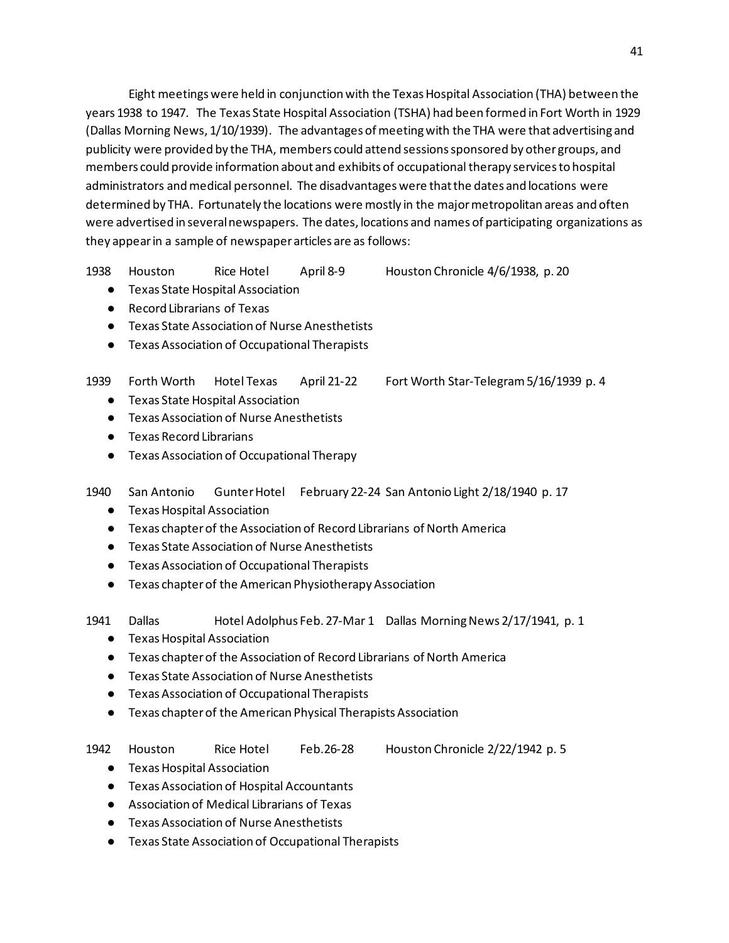Eight meetings were held in conjunction with the Texas Hospital Association (THA) between the years 1938 to 1947. The Texas State Hospital Association (TSHA) had been formed in Fort Worth in 1929 (Dallas Morning News, 1/10/1939). The advantages of meeting with the THA were that advertising and publicity were provided by the THA, members could attend sessions sponsored by other groups, and members could provide information about and exhibits of occupational therapy services to hospital administrators and medical personnel. The disadvantages were that the dates and locations were determined by THA. Fortunately the locations were mostly in the major metropolitan areas and often were advertised in several newspapers. The dates, locations and names of participating organizations as they appear in a sample of newspaper articles are as follows:

1938 Houston Rice Hotel April 8-9 Houston Chronicle 4/6/1938, p. 20

- Texas State Hospital Association
- Record Librarians of Texas
- Texas State Association of Nurse Anesthetists
- Texas Association of Occupational Therapists

1939 Forth Worth Hotel Texas April 21-22 Fort Worth Star-Telegram 5/16/1939 p. 4

- Texas State Hospital Association
- Texas Association of Nurse Anesthetists
- Texas Record Librarians
- Texas Association of Occupational Therapy

1940 San Antonio Gunter Hotel February 22-24 San Antonio Light 2/18/1940 p. 17

- Texas Hospital Association
- Texas chapter of the Association of Record Librarians of North America
- Texas State Association of Nurse Anesthetists
- Texas Association of Occupational Therapists
- Texas chapter of the American Physiotherapy Association
- 1941 Dallas Hotel Adolphus Feb. 27-Mar 1 Dallas Morning News 2/17/1941, p. 1
	- Texas Hospital Association
	- Texas chapter of the Association of Record Librarians of North America
	- Texas State Association of Nurse Anesthetists
	- Texas Association of Occupational Therapists
	- Texas chapter of the American Physical Therapists Association
- 1942 Houston Rice Hotel Feb.26-28 Houston Chronicle 2/22/1942 p. 5
- 

- Texas Hospital Association
- Texas Association of Hospital Accountants
- Association of Medical Librarians of Texas
- Texas Association of Nurse Anesthetists
- Texas State Association of Occupational Therapists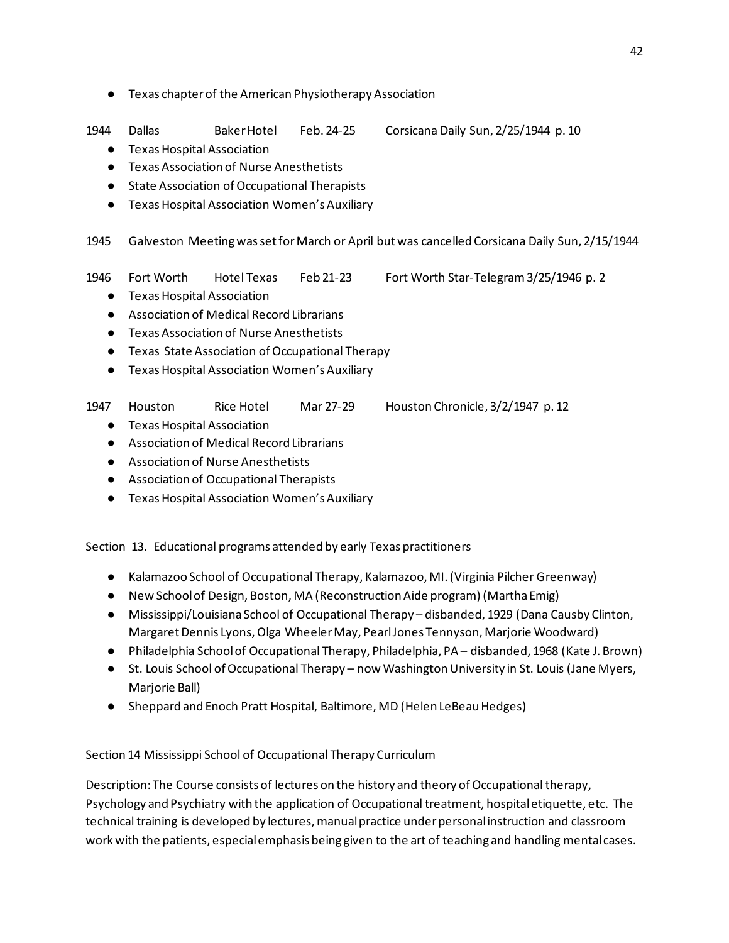- Texas chapter of the American Physiotherapy Association
- 1944 Dallas Baker Hotel Feb. 24-25 Corsicana Daily Sun, 2/25/1944 p. 10
	- Texas Hospital Association
	- Texas Association of Nurse Anesthetists
	- State Association of Occupational Therapists
	- Texas Hospital Association Women's Auxiliary

1945 Galveston Meeting was set for March or April but was cancelled Corsicana Daily Sun, 2/15/1944

- 1946 Fort Worth Hotel Texas Feb 21-23 Fort Worth Star-Telegram 3/25/1946 p. 2
	- Texas Hospital Association
	- Association of Medical Record Librarians
	- Texas Association of Nurse Anesthetists
	- Texas State Association of Occupational Therapy
	- Texas Hospital Association Women's Auxiliary

1947 Houston Rice Hotel Mar 27-29 Houston Chronicle, 3/2/1947 p. 12

- Texas Hospital Association
- Association of Medical Record Librarians
- Association of Nurse Anesthetists
- Association of Occupational Therapists
- Texas Hospital Association Women's Auxiliary

Section 13. Educational programs attended by early Texas practitioners

- Kalamazoo School of Occupational Therapy, Kalamazoo, MI. (Virginia Pilcher Greenway)
- New School of Design, Boston, MA (Reconstruction Aide program) (Martha Emig)
- Mississippi/Louisiana School of Occupational Therapy disbanded, 1929 (Dana Causby Clinton, Margaret Dennis Lyons, Olga Wheeler May, Pearl Jones Tennyson, Marjorie Woodward)
- Philadelphia School of Occupational Therapy, Philadelphia, PA disbanded, 1968 (Kate J. Brown)
- St. Louis School of Occupational Therapy now Washington University in St. Louis (Jane Myers, Marjorie Ball)
- Sheppard and Enoch Pratt Hospital, Baltimore, MD (Helen LeBeau Hedges)

Section 14 Mississippi School of Occupational Therapy Curriculum

Description: The Course consists of lectures on the history and theory of Occupational therapy, Psychology and Psychiatry with the application of Occupational treatment, hospital etiquette, etc. The technical training is developed by lectures, manual practice under personal instruction and classroom work with the patients, especial emphasis being given to the art of teaching and handling mental cases.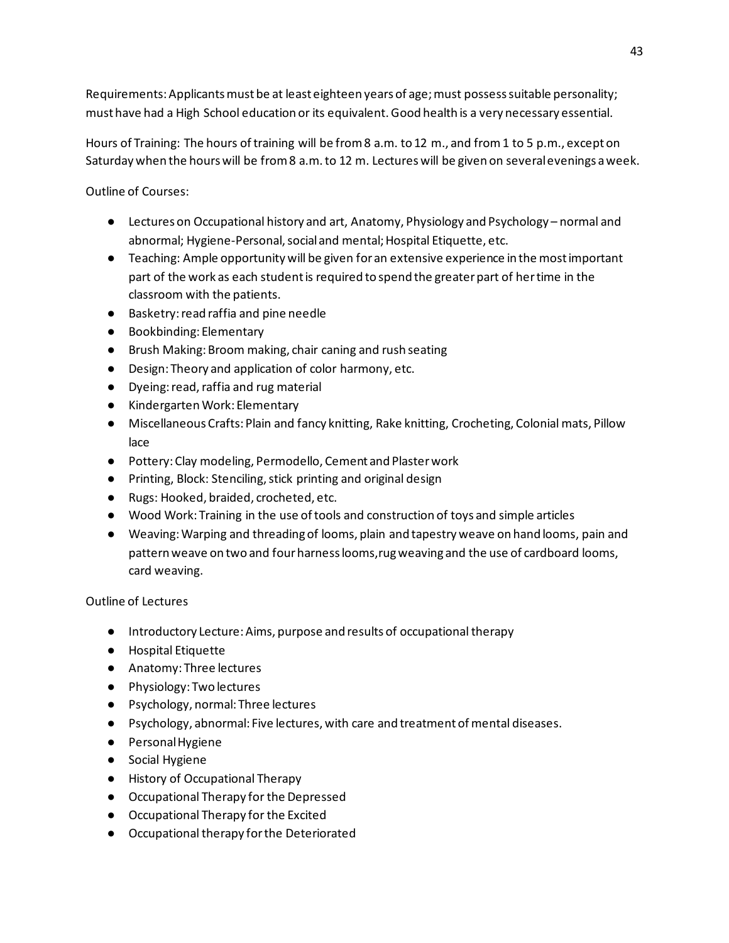Requirements: Applicants must be at least eighteen years of age; must possess suitable personality; must have had a High School education or its equivalent. Good health is a very necessary essential.

Hours of Training: The hours of training will be from 8 a.m. to 12 m., and from 1 to 5 p.m., except on Saturday when the hours will be from 8 a.m. to 12 m. Lectures will be given on several evenings a week.

Outline of Courses:

- Lectures on Occupational history and art, Anatomy, Physiology and Psychology normal and abnormal; Hygiene-Personal, social and mental; Hospital Etiquette, etc.
- Teaching: Ample opportunity will be given for an extensive experience in the most important part of the work as each student is required to spend the greater part of her time in the classroom with the patients.
- Basketry: read raffia and pine needle
- Bookbinding: Elementary
- Brush Making: Broom making, chair caning and rush seating
- Design: Theory and application of color harmony, etc.
- Dyeing: read, raffia and rug material
- Kindergarten Work: Elementary
- Miscellaneous Crafts: Plain and fancy knitting, Rake knitting, Crocheting, Colonial mats, Pillow lace
- Pottery: Clay modeling, Permodello, Cement and Plaster work
- Printing, Block: Stenciling, stick printing and original design
- Rugs: Hooked, braided, crocheted, etc.
- Wood Work: Training in the use of tools and construction of toys and simple articles
- Weaving: Warping and threading of looms, plain and tapestry weave on hand looms, pain and pattern weave on two and four harness looms,rug weaving and the use of cardboard looms, card weaving.

Outline of Lectures

- Introductory Lecture: Aims, purpose and results of occupational therapy
- Hospital Etiquette
- Anatomy: Three lectures
- Physiology: Two lectures
- Psychology, normal: Three lectures
- Psychology, abnormal: Five lectures, with care and treatment of mental diseases.
- Personal Hygiene
- Social Hygiene
- History of Occupational Therapy
- Occupational Therapy for the Depressed
- Occupational Therapy for the Excited
- Occupational therapy for the Deteriorated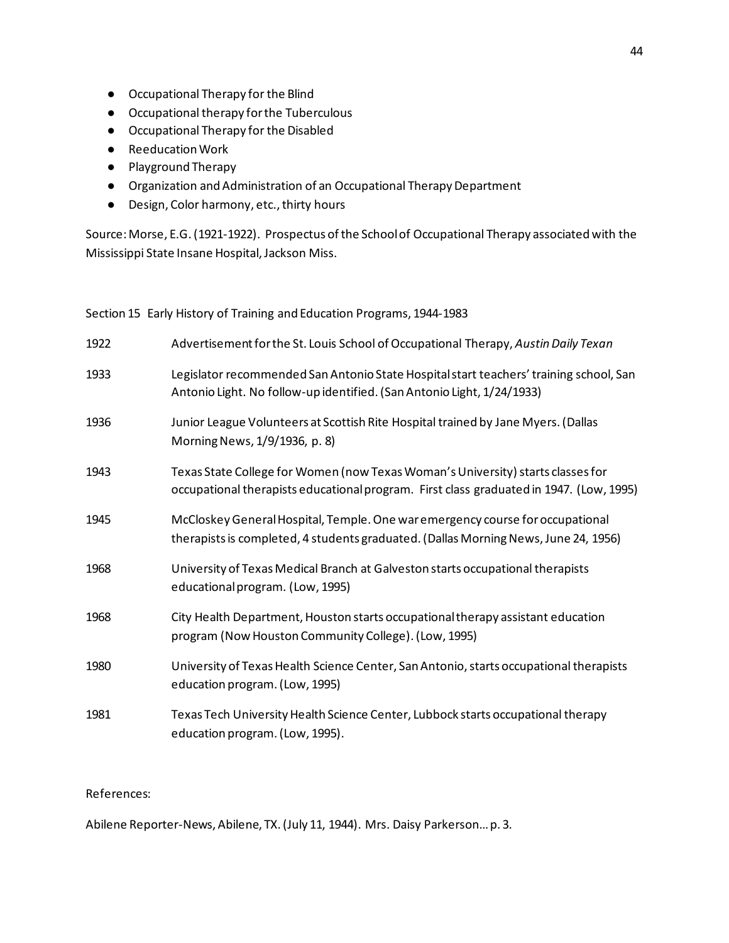- Occupational Therapy for the Blind
- Occupational therapy for the Tuberculous
- Occupational Therapy for the Disabled
- Reeducation Work
- Playground Therapy
- Organization and Administration of an Occupational Therapy Department
- Design, Color harmony, etc., thirty hours

Source: Morse, E.G. (1921-1922). Prospectus of the School of Occupational Therapy associated with the Mississippi State Insane Hospital, Jackson Miss.

Section 15 Early History of Training and Education Programs, 1944-1983

| 1922 | Advertisement for the St. Louis School of Occupational Therapy, Austin Daily Texan                                                                                         |
|------|----------------------------------------------------------------------------------------------------------------------------------------------------------------------------|
| 1933 | Legislator recommended San Antonio State Hospital start teachers' training school, San<br>Antonio Light. No follow-up identified. (San Antonio Light, 1/24/1933)           |
| 1936 | Junior League Volunteers at Scottish Rite Hospital trained by Jane Myers. (Dallas<br>Morning News, 1/9/1936, p. 8)                                                         |
| 1943 | Texas State College for Women (now Texas Woman's University) starts classes for<br>occupational therapists educational program. First class graduated in 1947. (Low, 1995) |
| 1945 | McCloskey General Hospital, Temple. One war emergency course for occupational<br>therapists is completed, 4 students graduated. (Dallas Morning News, June 24, 1956)       |
| 1968 | University of Texas Medical Branch at Galveston starts occupational therapists<br>educational program. (Low, 1995)                                                         |
| 1968 | City Health Department, Houston starts occupational therapy assistant education<br>program (Now Houston Community College). (Low, 1995)                                    |
| 1980 | University of Texas Health Science Center, San Antonio, starts occupational therapists<br>education program. (Low, 1995)                                                   |
| 1981 | Texas Tech University Health Science Center, Lubbock starts occupational therapy<br>education program. (Low, 1995).                                                        |

## References:

Abilene Reporter-News, Abilene, TX. (July 11, 1944). Mrs. Daisy Parkerson… p. 3.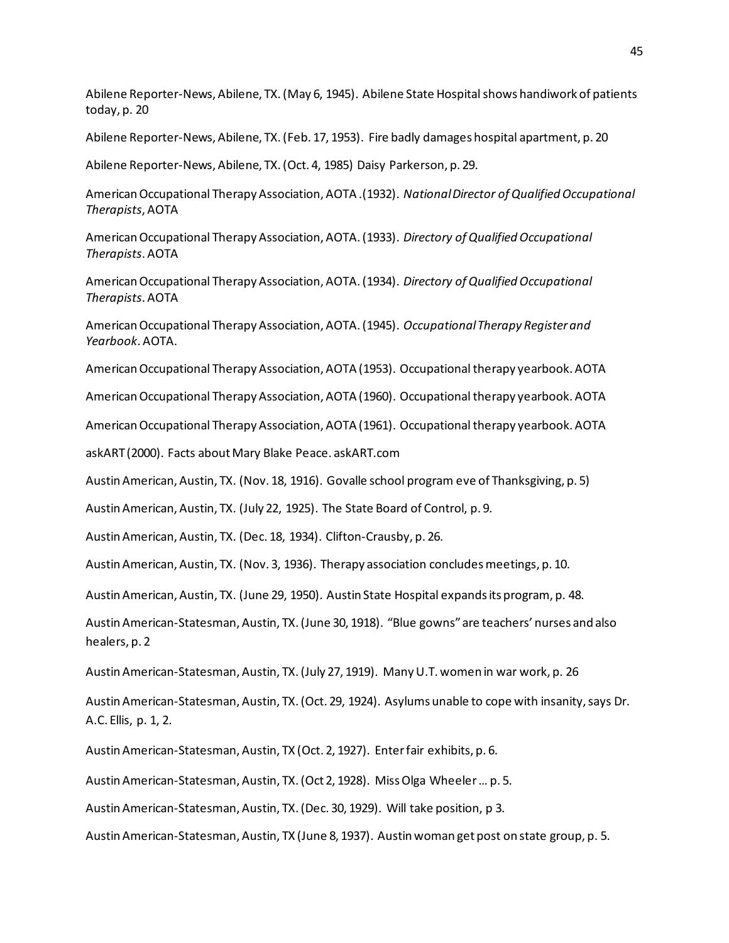Abilene Reporter-News, Abilene, TX. (May 6, 1945). Abilene State Hospital shows handiwork of patients today, p. 20

Abilene Reporter-News, Abilene, TX. (Feb. 17, 1953). Fire badly damages hospital apartment, p. 20

Abilene Reporter-News, Abilene, TX. (Oct. 4, 1985) Daisy Parkerson, p. 29.

American Occupational Therapy Association, AOTA .(1932). *National Director of Qualified Occupational Therapists*, AOTA

American Occupational Therapy Association, AOTA. (1933). *Directory of Qualified Occupational Therapists*. AOTA

American Occupational Therapy Association, AOTA. (1934). *Directory of Qualified Occupational Therapists*. AOTA

American Occupational Therapy Association, AOTA. (1945). *Occupational Therapy Register and Yearbook*. AOTA.

American Occupational Therapy Association, AOTA (1953). Occupational therapy yearbook. AOTA

American Occupational Therapy Association, AOTA (1960). Occupational therapy yearbook. AOTA

American Occupational Therapy Association, AOTA (1961). Occupational therapy yearbook. AOTA

askART (2000). Facts about Mary Blake Peace. askART.com

Austin American, Austin, TX. (Nov. 18, 1916). Govalle school program eve of Thanksgiving, p. 5)

Austin American, Austin, TX. (July 22, 1925). The State Board of Control, p. 9.

Austin American, Austin, TX. (Dec. 18, 1934). Clifton-Crausby, p. 26.

Austin American, Austin, TX. (Nov. 3, 1936). Therapy association concludes meetings, p. 10.

Austin American, Austin, TX. (June 29, 1950). Austin State Hospital expands its program, p. 48.

Austin American-Statesman, Austin, TX. (June 30, 1918). "Blue gowns" are teachers' nurses and also healers, p. 2

Austin American-Statesman, Austin, TX. (July 27, 1919). Many U.T. women in war work, p. 26

Austin American-Statesman, Austin, TX. (Oct. 29, 1924). Asylums unable to cope with insanity, says Dr. A.C. Ellis, p. 1, 2.

Austin American-Statesman, Austin, TX (Oct. 2, 1927). Enter fair exhibits, p. 6.

Austin American-Statesman, Austin, TX. (Oct 2, 1928). Miss Olga Wheeler … p. 5.

Austin American-Statesman, Austin, TX. (Dec. 30, 1929). Will take position, p 3.

Austin American-Statesman, Austin, TX (June 8, 1937). Austin woman get post on state group, p. 5.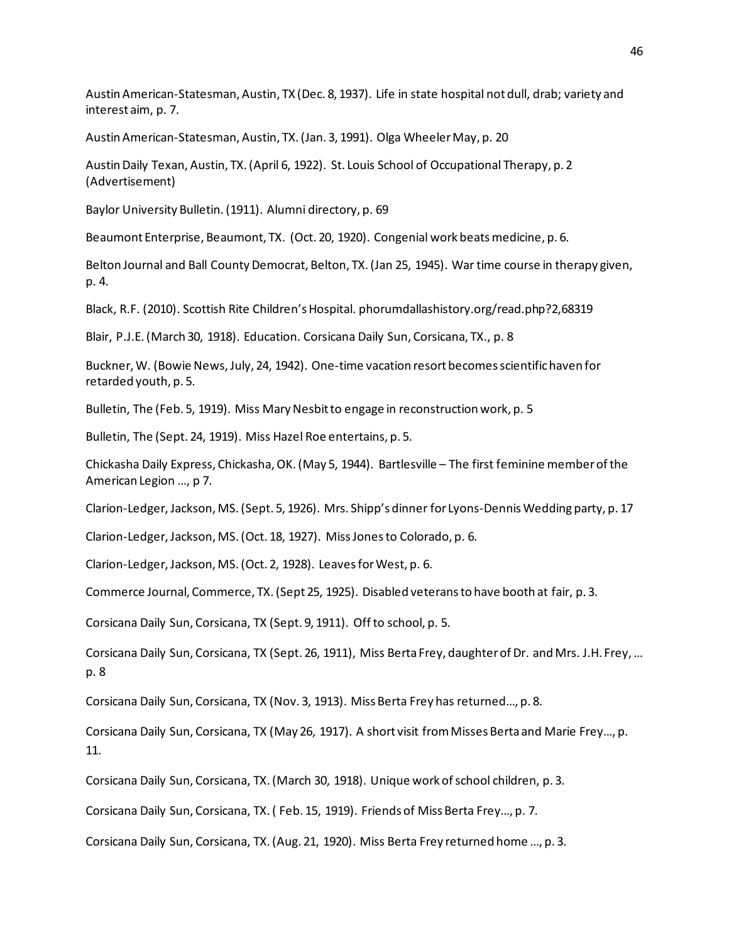Austin American-Statesman, Austin, TX (Dec. 8, 1937). Life in state hospital not dull, drab; variety and interest aim, p. 7.

Austin American-Statesman, Austin, TX. (Jan. 3, 1991). Olga Wheeler May, p. 20

Austin Daily Texan, Austin, TX. (April 6, 1922). St. Louis School of Occupational Therapy, p. 2 (Advertisement)

Baylor University Bulletin. (1911). Alumni directory, p. 69

Beaumont Enterprise, Beaumont, TX. (Oct. 20, 1920). Congenial work beats medicine, p. 6.

Belton Journal and Ball County Democrat, Belton, TX. (Jan 25, 1945). War time course in therapy given, p. 4.

Black, R.F. (2010). Scottish Rite Children's Hospital. phorumdallashistory.org/read.php?2,68319

Blair, P.J.E. (March 30, 1918). Education. Corsicana Daily Sun, Corsicana, TX., p. 8

Buckner, W. (Bowie News, July, 24, 1942). One-time vacation resort becomes scientific haven for retarded youth, p. 5.

Bulletin, The (Feb. 5, 1919). Miss Mary Nesbit to engage in reconstruction work, p. 5

Bulletin, The (Sept. 24, 1919). Miss Hazel Roe entertains, p. 5.

Chickasha Daily Express, Chickasha, OK. (May 5, 1944). Bartlesville – The first feminine member of the American Legion …, p 7.

Clarion-Ledger, Jackson, MS. (Sept. 5, 1926). Mrs. Shipp's dinner for Lyons-Dennis Wedding party, p. 17

Clarion-Ledger, Jackson, MS. (Oct. 18, 1927). Miss Jones to Colorado, p. 6.

Clarion-Ledger, Jackson, MS. (Oct. 2, 1928). Leaves for West, p. 6.

Commerce Journal, Commerce, TX. (Sept 25, 1925). Disabled veterans to have booth at fair, p. 3.

Corsicana Daily Sun, Corsicana, TX (Sept. 9, 1911). Off to school, p. 5.

Corsicana Daily Sun, Corsicana, TX (Sept. 26, 1911), Miss Berta Frey, daughter of Dr. and Mrs. J.H. Frey, … p. 8

Corsicana Daily Sun, Corsicana, TX (Nov. 3, 1913). Miss Berta Frey has returned…, p. 8.

Corsicana Daily Sun, Corsicana, TX (May 26, 1917). A short visit fromMisses Berta and Marie Frey…, p. 11.

Corsicana Daily Sun, Corsicana, TX. (March 30, 1918). Unique work of school children, p. 3.

Corsicana Daily Sun, Corsicana, TX. ( Feb. 15, 1919). Friends of Miss Berta Frey…, p. 7.

Corsicana Daily Sun, Corsicana, TX. (Aug. 21, 1920). Miss Berta Frey returned home …, p. 3.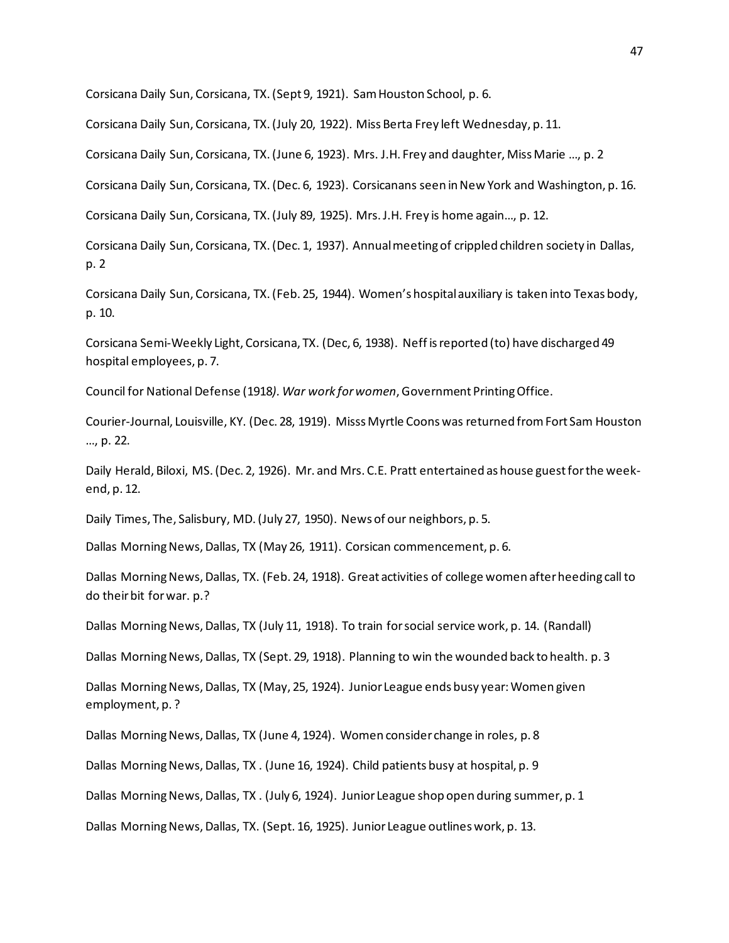Corsicana Daily Sun, Corsicana, TX. (Sept 9, 1921). Sam Houston School, p. 6.

Corsicana Daily Sun, Corsicana, TX. (July 20, 1922). Miss Berta Frey left Wednesday, p. 11.

Corsicana Daily Sun, Corsicana, TX. (June 6, 1923). Mrs. J.H. Frey and daughter, Miss Marie …, p. 2

Corsicana Daily Sun, Corsicana, TX. (Dec. 6, 1923). Corsicanans seen in New York and Washington, p. 16.

Corsicana Daily Sun, Corsicana, TX. (July 89, 1925). Mrs. J.H. Frey is home again…, p. 12.

Corsicana Daily Sun, Corsicana, TX. (Dec. 1, 1937). Annual meeting of crippled children society in Dallas, p. 2

Corsicana Daily Sun, Corsicana, TX. (Feb. 25, 1944). Women's hospital auxiliary is taken into Texas body, p. 10.

Corsicana Semi-Weekly Light, Corsicana, TX. (Dec, 6, 1938). Neff is reported (to) have discharged 49 hospital employees, p. 7.

Council for National Defense (1918*). War work for women*, Government Printing Office.

Courier-Journal, Louisville, KY. (Dec. 28, 1919). Misss Myrtle Coons was returned from Fort Sam Houston …, p. 22.

Daily Herald, Biloxi, MS. (Dec. 2, 1926). Mr. and Mrs. C.E. Pratt entertained as house guest for the weekend, p. 12.

Daily Times, The, Salisbury, MD. (July 27, 1950). News of our neighbors, p. 5.

Dallas Morning News, Dallas, TX (May 26, 1911). Corsican commencement, p. 6.

Dallas Morning News, Dallas, TX. (Feb. 24, 1918). Great activities of college women after heeding call to do their bit for war. p.?

Dallas Morning News, Dallas, TX (July 11, 1918). To train for social service work, p. 14. (Randall)

Dallas Morning News, Dallas, TX (Sept. 29, 1918). Planning to win the wounded back to health. p. 3

Dallas Morning News, Dallas, TX (May, 25, 1924). Junior League ends busy year: Women given employment, p. ?

Dallas Morning News, Dallas, TX (June 4, 1924). Women consider change in roles, p. 8

Dallas Morning News, Dallas, TX . (June 16, 1924). Child patients busy at hospital, p. 9

Dallas Morning News, Dallas, TX . (July 6, 1924). Junior League shop open during summer, p. 1

Dallas Morning News, Dallas, TX. (Sept. 16, 1925). Junior League outlines work, p. 13.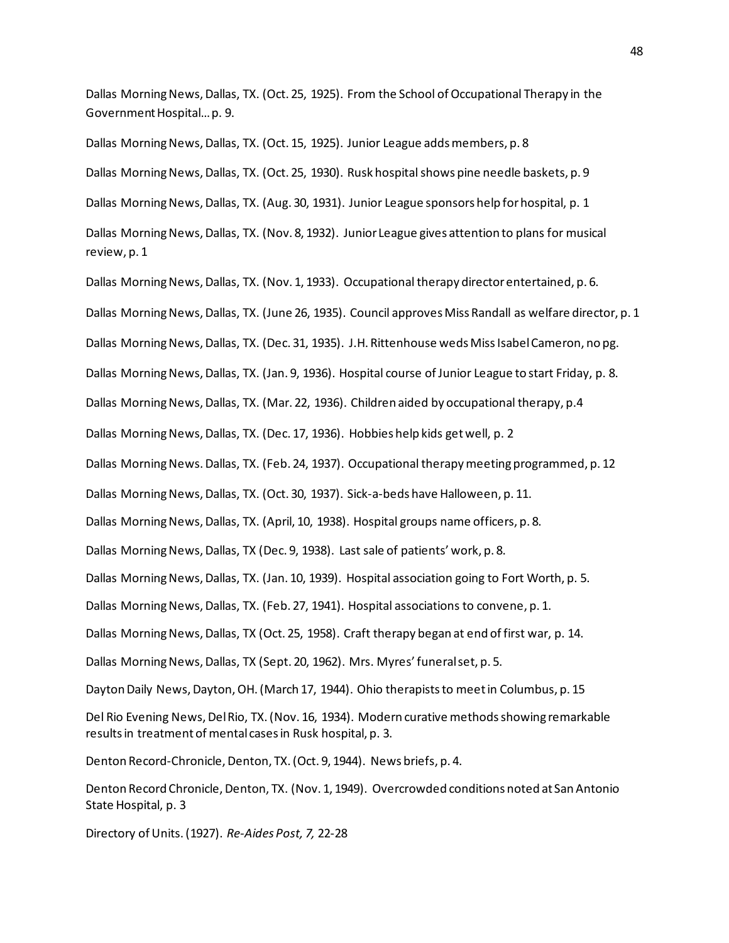Dallas Morning News, Dallas, TX. (Oct. 25, 1925). From the School of Occupational Therapy in the Government Hospital… p. 9.

Dallas Morning News, Dallas, TX. (Oct. 15, 1925). Junior League adds members, p. 8 Dallas Morning News, Dallas, TX. (Oct. 25, 1930). Rusk hospital shows pine needle baskets, p. 9 Dallas Morning News, Dallas, TX. (Aug. 30, 1931). Junior League sponsors help for hospital, p. 1 Dallas Morning News, Dallas, TX. (Nov. 8, 1932). Junior League gives attention to plans for musical review, p. 1 Dallas Morning News, Dallas, TX. (Nov. 1, 1933). Occupational therapy director entertained, p. 6. Dallas Morning News, Dallas, TX. (June 26, 1935). Council approves Miss Randall as welfare director, p. 1 Dallas Morning News, Dallas, TX. (Dec. 31, 1935). J.H. Rittenhouse weds Miss Isabel Cameron, no pg. Dallas Morning News, Dallas, TX. (Jan. 9, 1936). Hospital course of Junior League to start Friday, p. 8. Dallas Morning News, Dallas, TX. (Mar. 22, 1936). Children aided by occupational therapy, p.4 Dallas Morning News, Dallas, TX. (Dec. 17, 1936). Hobbies help kids get well, p. 2 Dallas Morning News. Dallas, TX. (Feb. 24, 1937). Occupational therapy meeting programmed, p. 12 Dallas Morning News, Dallas, TX. (Oct. 30, 1937). Sick-a-beds have Halloween, p. 11. Dallas Morning News, Dallas, TX. (April, 10, 1938). Hospital groups name officers, p. 8. Dallas Morning News, Dallas, TX (Dec. 9, 1938). Last sale of patients' work, p. 8. Dallas Morning News, Dallas, TX. (Jan. 10, 1939). Hospital association going to Fort Worth, p. 5. Dallas Morning News, Dallas, TX. (Feb. 27, 1941). Hospital associations to convene, p. 1. Dallas Morning News, Dallas, TX (Oct. 25, 1958). Craft therapy began at end of first war, p. 14. Dallas Morning News, Dallas, TX (Sept. 20, 1962). Mrs. Myres' funeral set, p. 5. Dayton Daily News, Dayton, OH. (March 17, 1944). Ohio therapists to meet in Columbus, p. 15 Del Rio Evening News, Del Rio, TX. (Nov. 16, 1934). Modern curative methods showing remarkable results in treatment of mental cases in Rusk hospital, p. 3. Denton Record-Chronicle, Denton, TX. (Oct. 9, 1944). News briefs, p. 4. Denton Record Chronicle, Denton, TX. (Nov. 1, 1949). Overcrowded conditions noted at San Antonio State Hospital, p. 3

Directory of Units. (1927). *Re-Aides Post, 7,* 22-28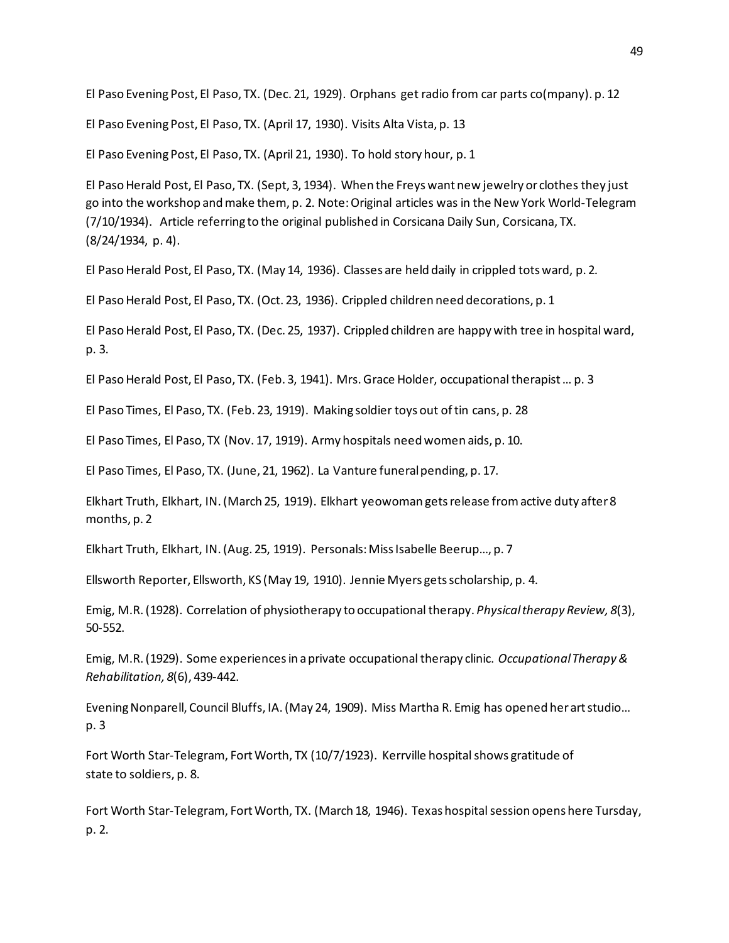El Paso Evening Post, El Paso, TX. (Dec. 21, 1929). Orphans get radio from car parts co(mpany). p. 12

El Paso Evening Post, El Paso, TX. (April 17, 1930). Visits Alta Vista, p. 13

El Paso Evening Post, El Paso, TX. (April 21, 1930). To hold story hour, p. 1

El Paso Herald Post, El Paso, TX. (Sept, 3, 1934). When the Freys want new jewelry or clothes they just go into the workshop and make them, p. 2. Note: Original articles was in the New York World-Telegram (7/10/1934). Article referring to the original published in Corsicana Daily Sun, Corsicana, TX. (8/24/1934, p. 4).

El Paso Herald Post, El Paso, TX. (May 14, 1936). Classes are held daily in crippled tots ward, p. 2.

El Paso Herald Post, El Paso, TX. (Oct. 23, 1936). Crippled children need decorations, p. 1

El Paso Herald Post, El Paso, TX. (Dec. 25, 1937). Crippled children are happy with tree in hospital ward, p. 3.

El Paso Herald Post, El Paso, TX. (Feb. 3, 1941). Mrs. Grace Holder, occupational therapist … p. 3

El Paso Times, El Paso, TX. (Feb. 23, 1919). Making soldier toys out of tin cans, p. 28

El Paso Times, El Paso, TX (Nov. 17, 1919). Army hospitals need women aids, p. 10.

El Paso Times, El Paso, TX. (June, 21, 1962). La Vanture funeral pending, p. 17.

Elkhart Truth, Elkhart, IN. (March 25, 1919). Elkhart yeowoman gets release from active duty after 8 months, p. 2

Elkhart Truth, Elkhart, IN. (Aug. 25, 1919). Personals: Miss Isabelle Beerup…, p. 7

Ellsworth Reporter, Ellsworth, KS (May 19, 1910). Jennie Myers gets scholarship, p. 4.

Emig, M.R. (1928). Correlation of physiotherapy to occupational therapy. *Physical therapy Review, 8*(3), 50-552.

Emig, M.R. (1929). Some experiences in a private occupational therapy clinic. *Occupational Therapy & Rehabilitation, 8*(6), 439-442.

Evening Nonparell, Council Bluffs, IA. (May 24, 1909). Miss Martha R. Emig has opened her art studio… p. 3

Fort Worth Star-Telegram, Fort Worth, TX (10/7/1923). Kerrville hospital shows gratitude of state to soldiers, p. 8.

Fort Worth Star-Telegram, Fort Worth, TX. (March 18, 1946). Texas hospital session opens here Tursday, p. 2.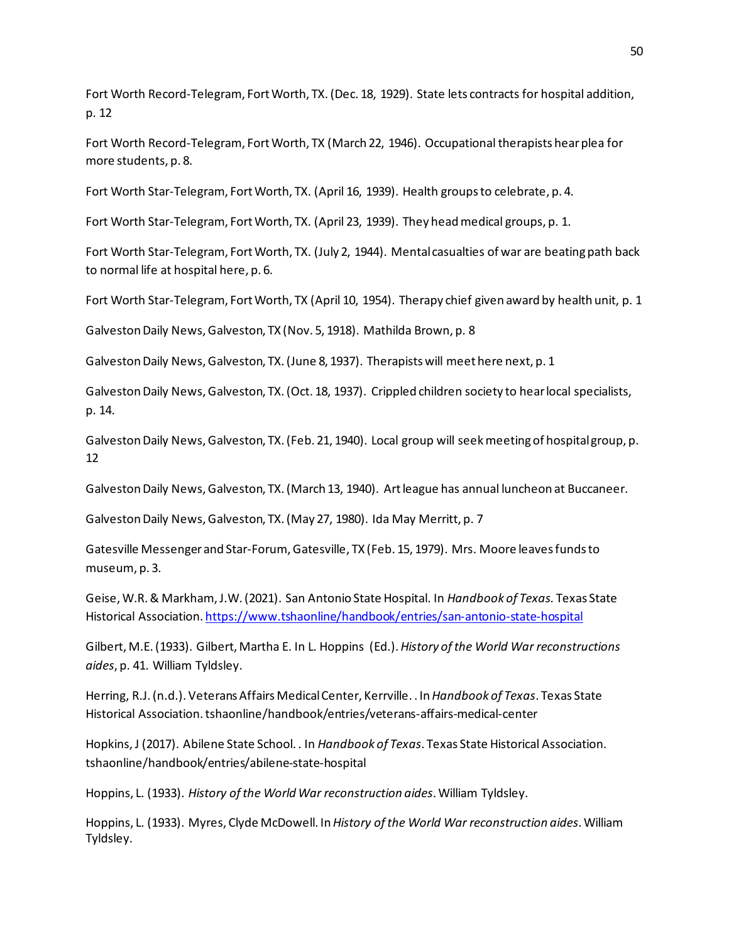Fort Worth Record-Telegram, Fort Worth, TX. (Dec. 18, 1929). State lets contracts for hospital addition, p. 12

Fort Worth Record-Telegram, Fort Worth, TX (March 22, 1946). Occupational therapists hear plea for more students, p. 8.

Fort Worth Star-Telegram, Fort Worth, TX. (April 16, 1939). Health groups to celebrate, p. 4.

Fort Worth Star-Telegram, Fort Worth, TX. (April 23, 1939). They head medical groups, p. 1.

Fort Worth Star-Telegram, Fort Worth, TX. (July 2, 1944). Mental casualties of war are beating path back to normal life at hospital here, p. 6.

Fort Worth Star-Telegram, Fort Worth, TX (April 10, 1954). Therapy chief given award by health unit, p. 1

Galveston Daily News, Galveston, TX (Nov. 5, 1918). Mathilda Brown, p. 8

Galveston Daily News, Galveston, TX. (June 8, 1937). Therapists will meet here next, p. 1

Galveston Daily News, Galveston, TX. (Oct. 18, 1937). Crippled children society to hear local specialists, p. 14.

Galveston Daily News, Galveston, TX. (Feb. 21, 1940). Local group will seek meeting of hospital group, p. 12

Galveston Daily News, Galveston, TX. (March 13, 1940). Art league has annual luncheon at Buccaneer.

Galveston Daily News, Galveston, TX. (May 27, 1980). Ida May Merritt, p. 7

Gatesville Messenger and Star-Forum, Gatesville, TX (Feb. 15, 1979). Mrs. Moore leaves funds to museum, p. 3.

Geise, W.R. & Markham, J.W. (2021). San Antonio State Hospital. In *Handbook of Texas.* Texas State Historical Association[. https://www.tshaonline/handbook/entries/san-antonio-state-hospital](https://www.tshaonline/handbook/entries/san-antonio-state-hospital)

Gilbert, M.E. (1933). Gilbert, Martha E. In L. Hoppins (Ed.). *History of the World War reconstructions aides*, p. 41. William Tyldsley.

Herring, R.J. (n.d.). Veterans Affairs Medical Center, Kerrville. . In *Handbook of Texas*. Texas State Historical Association. tshaonline/handbook/entries/veterans-affairs-medical-center

Hopkins, J (2017). Abilene State School. . In *Handbook of Texas*. Texas State Historical Association. tshaonline/handbook/entries/abilene-state-hospital

Hoppins, L. (1933). *History of the World War reconstruction aides*. William Tyldsley.

Hoppins, L. (1933). Myres, Clyde McDowell. In *History of the World War reconstruction aides*. William Tyldsley.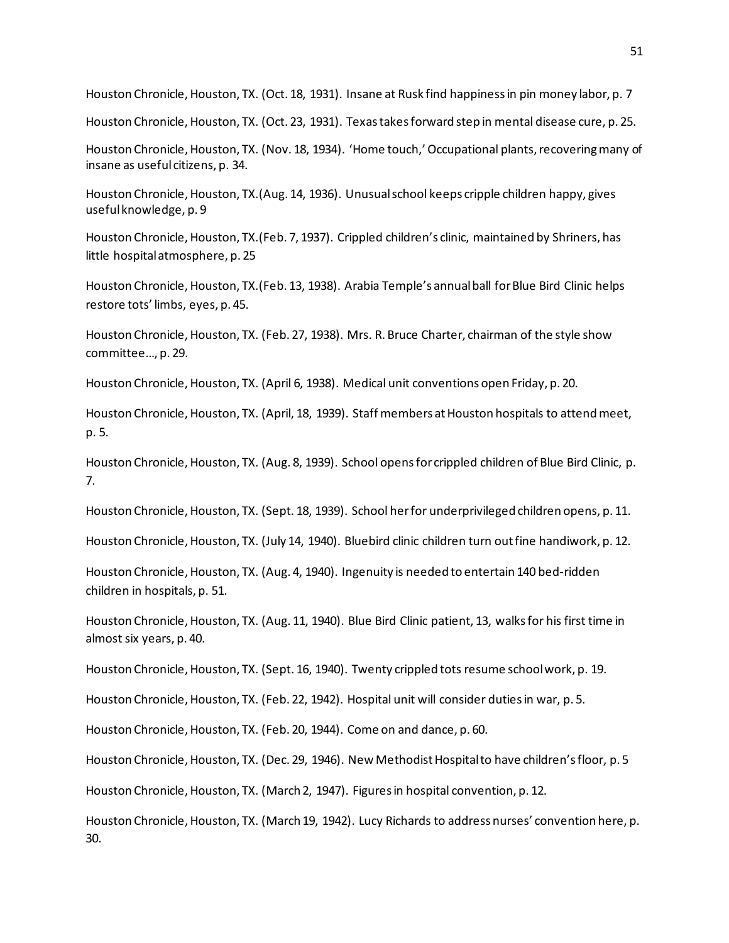Houston Chronicle, Houston, TX. (Oct. 18, 1931). Insane at Rusk find happiness in pin money labor, p. 7

Houston Chronicle, Houston, TX. (Oct. 23, 1931). Texas takes forward step in mental disease cure, p. 25.

Houston Chronicle, Houston, TX. (Nov. 18, 1934). 'Home touch,' Occupational plants, recovering many of insane as useful citizens, p. 34.

Houston Chronicle, Houston, TX.(Aug. 14, 1936). Unusualschool keeps cripple children happy, gives useful knowledge, p. 9

Houston Chronicle, Houston, TX.(Feb. 7, 1937). Crippled children's clinic, maintained by Shriners, has little hospital atmosphere, p. 25

Houston Chronicle, Houston, TX.(Feb. 13, 1938). Arabia Temple's annual ball for Blue Bird Clinic helps restore tots' limbs, eyes, p. 45.

Houston Chronicle, Houston, TX. (Feb. 27, 1938). Mrs. R. Bruce Charter, chairman of the style show committee…, p. 29.

Houston Chronicle, Houston, TX. (April 6, 1938). Medical unit conventions open Friday, p. 20.

Houston Chronicle, Houston, TX. (April, 18, 1939). Staff members at Houston hospitals to attend meet, p. 5.

Houston Chronicle, Houston, TX. (Aug. 8, 1939). School opens for crippled children of Blue Bird Clinic, p. 7.

Houston Chronicle, Houston, TX. (Sept. 18, 1939). School her for underprivileged children opens, p. 11.

Houston Chronicle, Houston, TX. (July 14, 1940). Bluebird clinic children turn out fine handiwork, p. 12.

Houston Chronicle, Houston, TX. (Aug. 4, 1940). Ingenuity is needed to entertain 140 bed-ridden children in hospitals, p. 51.

Houston Chronicle, Houston, TX. (Aug. 11, 1940). Blue Bird Clinic patient, 13, walks for his first time in almost six years, p. 40.

Houston Chronicle, Houston, TX. (Sept. 16, 1940). Twenty crippled tots resume school work, p. 19.

Houston Chronicle, Houston, TX. (Feb. 22, 1942). Hospital unit will consider duties in war, p. 5.

Houston Chronicle, Houston, TX. (Feb. 20, 1944). Come on and dance, p. 60.

Houston Chronicle, Houston, TX. (Dec. 29, 1946). New Methodist Hospital to have children's floor, p. 5

Houston Chronicle, Houston, TX. (March 2, 1947). Figures in hospital convention, p. 12.

Houston Chronicle, Houston, TX. (March 19, 1942). Lucy Richards to address nurses' convention here, p. 30.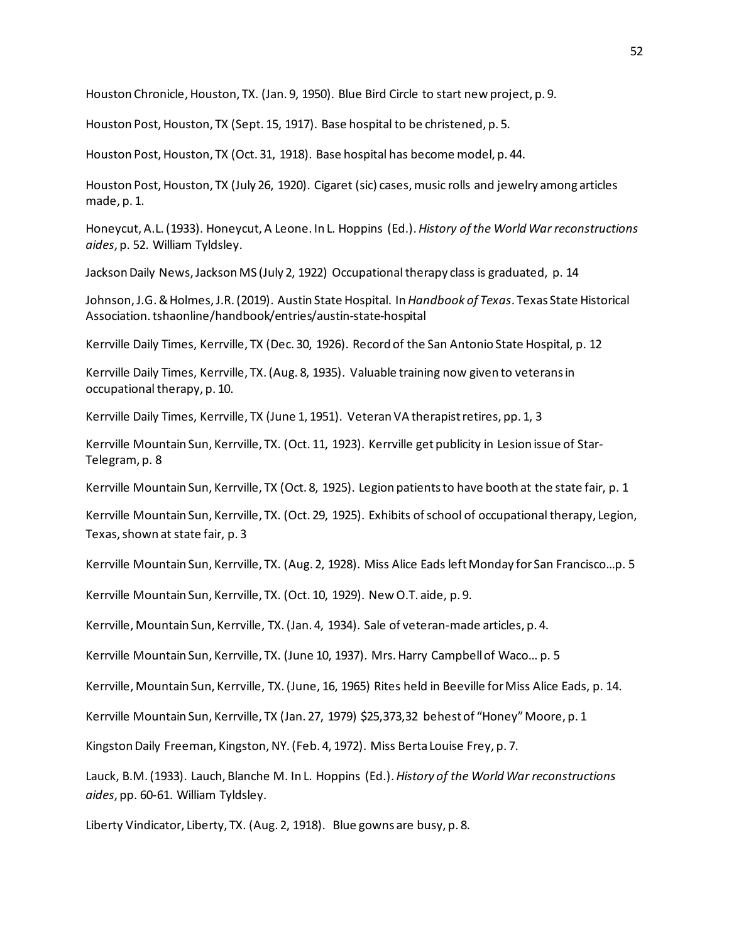Houston Chronicle, Houston, TX. (Jan. 9, 1950). Blue Bird Circle to start new project, p. 9.

Houston Post, Houston, TX (Sept. 15, 1917). Base hospital to be christened, p. 5.

Houston Post, Houston, TX (Oct. 31, 1918). Base hospital has become model, p. 44.

Houston Post, Houston, TX (July 26, 1920). Cigaret (sic) cases, music rolls and jewelry among articles made, p. 1.

Honeycut, A.L. (1933). Honeycut, A Leone. In L. Hoppins (Ed.). *History of the World War reconstructions aides*, p. 52. William Tyldsley.

Jackson Daily News, Jackson MS (July 2, 1922) Occupational therapy class is graduated, p. 14

Johnson, J.G. & Holmes, J.R. (2019). Austin State Hospital. In *Handbook of Texas*. Texas State Historical Association. tshaonline/handbook/entries/austin-state-hospital

Kerrville Daily Times, Kerrville, TX (Dec. 30, 1926). Record of the San Antonio State Hospital, p. 12

Kerrville Daily Times, Kerrville, TX. (Aug. 8, 1935). Valuable training now given to veterans in occupational therapy, p. 10.

Kerrville Daily Times, Kerrville, TX (June 1, 1951). Veteran VA therapist retires, pp. 1, 3

Kerrville Mountain Sun, Kerrville, TX. (Oct. 11, 1923). Kerrville get publicity in Lesion issue of Star-Telegram, p. 8

Kerrville Mountain Sun, Kerrville, TX (Oct. 8, 1925). Legion patients to have booth at the state fair, p. 1

Kerrville Mountain Sun, Kerrville, TX. (Oct. 29, 1925). Exhibits of school of occupational therapy, Legion, Texas, shown at state fair, p. 3

Kerrville Mountain Sun, Kerrville, TX. (Aug. 2, 1928). Miss Alice Eads left Monday for San Francisco…p. 5

Kerrville Mountain Sun, Kerrville, TX. (Oct. 10, 1929). New O.T. aide, p. 9.

Kerrville, Mountain Sun, Kerrville, TX. (Jan. 4, 1934). Sale of veteran-made articles, p. 4.

Kerrville Mountain Sun, Kerrville, TX. (June 10, 1937). Mrs. Harry Campbell of Waco... p. 5

Kerrville, Mountain Sun, Kerrville, TX. (June, 16, 1965) Rites held in Beeville for Miss Alice Eads, p. 14.

Kerrville Mountain Sun, Kerrville, TX (Jan. 27, 1979) \$25,373,32 behest of "Honey" Moore, p. 1

Kingston Daily Freeman, Kingston, NY. (Feb. 4, 1972). Miss Berta Louise Frey, p. 7.

Lauck, B.M. (1933). Lauch, Blanche M. In L. Hoppins (Ed.). *History of the World War reconstructions aides*, pp. 60-61. William Tyldsley.

Liberty Vindicator, Liberty, TX. (Aug. 2, 1918). Blue gowns are busy, p. 8.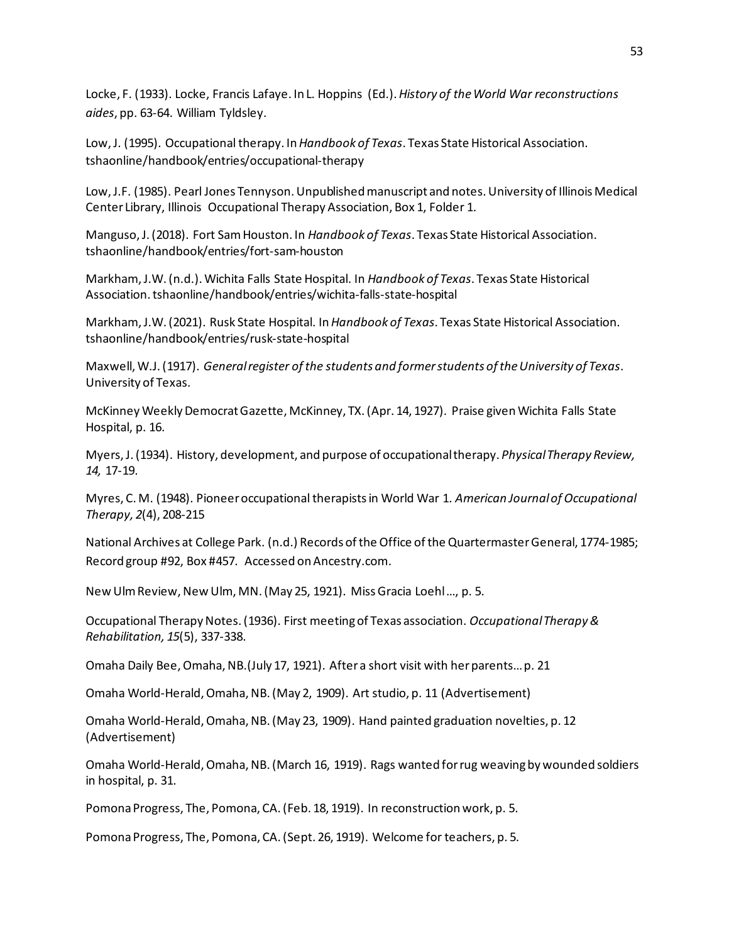Locke, F. (1933). Locke, Francis Lafaye. In L. Hoppins (Ed.). *History of the World War reconstructions aides*, pp. 63-64. William Tyldsley.

Low, J. (1995). Occupational therapy. In *Handbook of Texas*. Texas State Historical Association. tshaonline/handbook/entries/occupational-therapy

Low, J.F. (1985). Pearl Jones Tennyson. Unpublished manuscript and notes. University of Illinois Medical Center Library, Illinois Occupational Therapy Association, Box 1, Folder 1.

Manguso, J. (2018). Fort Sam Houston. In *Handbook of Texas*. Texas State Historical Association. tshaonline/handbook/entries/fort-sam-houston

Markham, J.W. (n.d.). Wichita Falls State Hospital. In *Handbook of Texas*. Texas State Historical Association. tshaonline/handbook/entries/wichita-falls-state-hospital

Markham, J.W. (2021). Rusk State Hospital. In *Handbook of Texas*. Texas State Historical Association. tshaonline/handbook/entries/rusk-state-hospital

Maxwell, W.J. (1917). *General register of the students and former students of the University of Texas*. University of Texas.

McKinney Weekly Democrat Gazette, McKinney, TX. (Apr. 14, 1927). Praise given Wichita Falls State Hospital, p. 16.

Myers, J. (1934). History, development, and purpose of occupational therapy. *Physical Therapy Review, 14,* 17-19.

Myres, C. M. (1948). Pioneer occupational therapists in World War 1. *American Journal of Occupational Therapy, 2*(4), 208-215

National Archives at College Park. (n.d.) Records of the Office of the Quartermaster General, 1774-1985; Record group #92, Box #457. Accessed on Ancestry.com.

New Ulm Review, New Ulm, MN. (May 25, 1921). Miss Gracia Loehl …, p. 5.

Occupational Therapy Notes. (1936). First meeting of Texas association. *Occupational Therapy & Rehabilitation, 15*(5), 337-338.

Omaha Daily Bee, Omaha, NB.(July 17, 1921). After a short visit with her parents… p. 21

Omaha World-Herald, Omaha, NB. (May 2, 1909). Art studio, p. 11 (Advertisement)

Omaha World-Herald, Omaha, NB. (May 23, 1909). Hand painted graduation novelties, p. 12 (Advertisement)

Omaha World-Herald, Omaha, NB. (March 16, 1919). Rags wanted for rug weaving by wounded soldiers in hospital, p. 31.

Pomona Progress, The, Pomona, CA. (Feb. 18, 1919). In reconstruction work, p. 5.

Pomona Progress, The, Pomona, CA. (Sept. 26, 1919). Welcome for teachers, p. 5.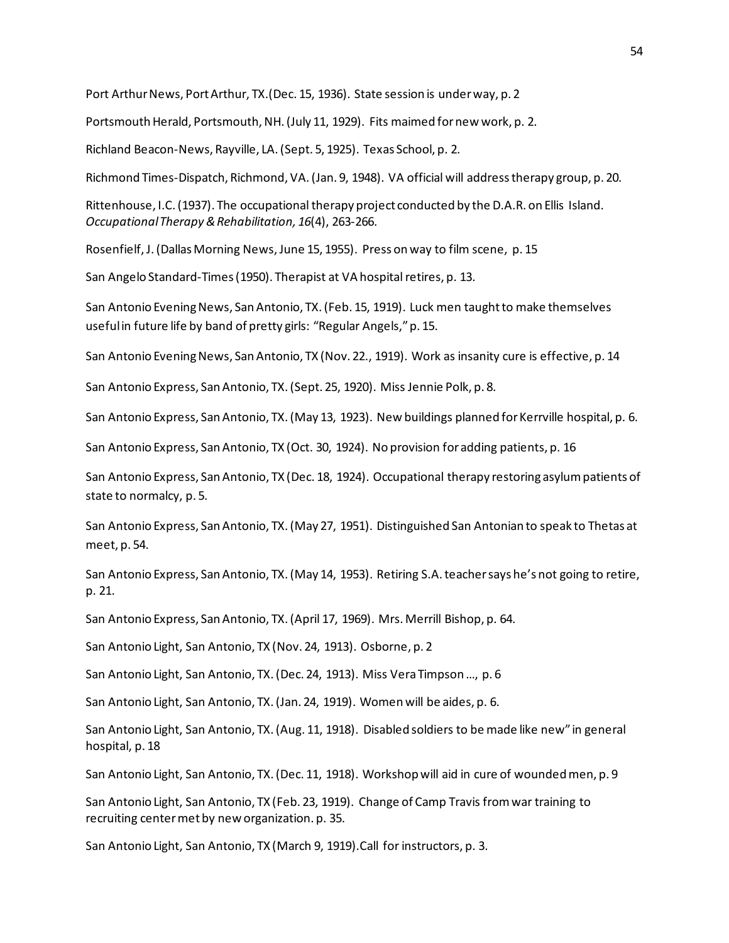Port Arthur News, Port Arthur, TX.(Dec. 15, 1936). State session is under way, p. 2

Portsmouth Herald, Portsmouth, NH. (July 11, 1929). Fits maimed for new work, p. 2.

Richland Beacon-News, Rayville, LA. (Sept. 5, 1925). Texas School, p. 2.

Richmond Times-Dispatch, Richmond, VA. (Jan. 9, 1948). VA official will address therapy group, p. 20.

Rittenhouse, I.C. (1937). The occupational therapy project conducted by the D.A.R. on Ellis Island. *Occupational Therapy & Rehabilitation, 16*(4), 263-266.

Rosenfielf, J. (Dallas Morning News, June 15, 1955). Press on way to film scene, p. 15

San Angelo Standard-Times (1950). Therapist at VA hospital retires, p. 13.

San Antonio Evening News, San Antonio, TX. (Feb. 15, 1919). Luck men taught to make themselves useful in future life by band of pretty girls: "Regular Angels," p. 15.

San Antonio Evening News, San Antonio, TX (Nov. 22., 1919). Work as insanity cure is effective, p. 14

San Antonio Express, San Antonio, TX. (Sept. 25, 1920). Miss Jennie Polk, p. 8.

San Antonio Express, San Antonio, TX. (May 13, 1923). New buildings planned for Kerrville hospital, p. 6.

San Antonio Express, San Antonio, TX (Oct. 30, 1924). No provision for adding patients, p. 16

San Antonio Express, San Antonio, TX (Dec. 18, 1924). Occupational therapy restoring asylum patients of state to normalcy, p. 5.

San Antonio Express, San Antonio, TX. (May 27, 1951). Distinguished San Antonian to speak to Thetas at meet, p. 54.

San Antonio Express, San Antonio, TX. (May 14, 1953). Retiring S.A. teacher says he's not going to retire, p. 21.

San Antonio Express, San Antonio, TX. (April 17, 1969). Mrs. Merrill Bishop, p. 64.

San Antonio Light, San Antonio, TX (Nov. 24, 1913). Osborne, p. 2

San Antonio Light, San Antonio, TX.(Dec. 24, 1913). Miss Vera Timpson …, p. 6

San Antonio Light, San Antonio, TX. (Jan. 24, 1919). Women will be aides, p. 6.

San Antonio Light, San Antonio, TX. (Aug. 11, 1918). Disabled soldiers to be made like new" in general hospital, p. 18

San Antonio Light, San Antonio, TX. (Dec. 11, 1918). Workshop will aid in cure of wounded men, p. 9

San Antonio Light, San Antonio, TX (Feb. 23, 1919). Change of Camp Travis from war training to recruiting center met by new organization. p. 35.

San Antonio Light, San Antonio, TX (March 9, 1919).Call for instructors, p. 3.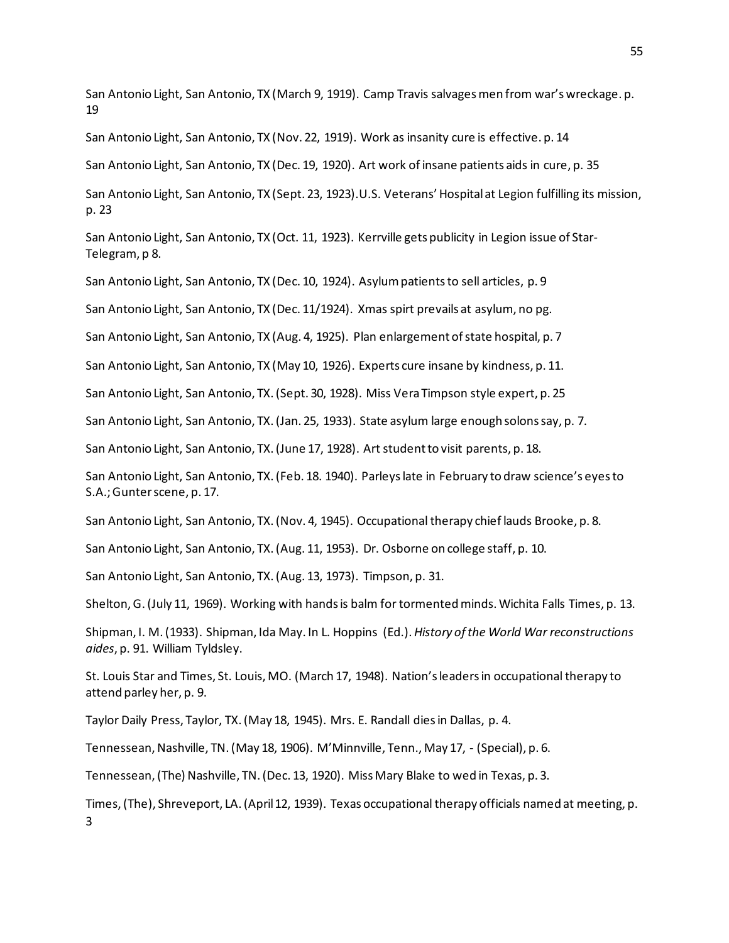San Antonio Light, San Antonio, TX (March 9, 1919). Camp Travis salvages men from war's wreckage. p. 19

San Antonio Light, San Antonio, TX (Nov. 22, 1919). Work as insanity cure is effective. p. 14

San Antonio Light, San Antonio, TX (Dec. 19, 1920). Art work of insane patients aids in cure, p. 35

San Antonio Light, San Antonio, TX (Sept. 23, 1923).U.S. Veterans' Hospital at Legion fulfilling its mission, p. 23

San Antonio Light, San Antonio, TX (Oct. 11, 1923). Kerrville gets publicity in Legion issue of Star-Telegram, p 8.

San Antonio Light, San Antonio, TX (Dec. 10, 1924). Asylum patients to sell articles, p. 9

San Antonio Light, San Antonio, TX (Dec. 11/1924). Xmas spirt prevails at asylum, no pg.

San Antonio Light, San Antonio, TX (Aug. 4, 1925). Plan enlargement of state hospital, p. 7

San Antonio Light, San Antonio, TX (May 10, 1926). Experts cure insane by kindness, p. 11.

San Antonio Light, San Antonio, TX. (Sept. 30, 1928). Miss Vera Timpson style expert, p. 25

San Antonio Light, San Antonio, TX. (Jan. 25, 1933). State asylum large enough solons say, p. 7.

San Antonio Light, San Antonio, TX. (June 17, 1928). Art student to visit parents, p. 18.

San Antonio Light, San Antonio, TX. (Feb. 18. 1940). Parleys late in February to draw science's eyes to S.A.; Gunter scene, p. 17.

San Antonio Light, San Antonio, TX. (Nov. 4, 1945). Occupational therapy chief lauds Brooke, p. 8.

San Antonio Light, San Antonio, TX. (Aug. 11, 1953). Dr. Osborne on college staff, p. 10.

San Antonio Light, San Antonio, TX. (Aug. 13, 1973). Timpson, p. 31.

Shelton, G. (July 11, 1969). Working with hands is balm for tormented minds. Wichita Falls Times, p. 13.

Shipman, I. M. (1933). Shipman, Ida May. In L. Hoppins (Ed.). *History of the World War reconstructions aides*, p. 91. William Tyldsley.

St. Louis Star and Times, St. Louis, MO. (March 17, 1948). Nation's leaders in occupational therapy to attend parley her, p. 9.

Taylor Daily Press, Taylor, TX. (May 18, 1945). Mrs. E. Randall dies in Dallas, p. 4.

Tennessean, Nashville, TN. (May 18, 1906). M'Minnville, Tenn., May 17, - (Special), p. 6.

Tennessean, (The) Nashville, TN. (Dec. 13, 1920). Miss Mary Blake to wed in Texas, p. 3.

Times, (The), Shreveport, LA. (April 12, 1939). Texas occupational therapy officials named at meeting, p. 3